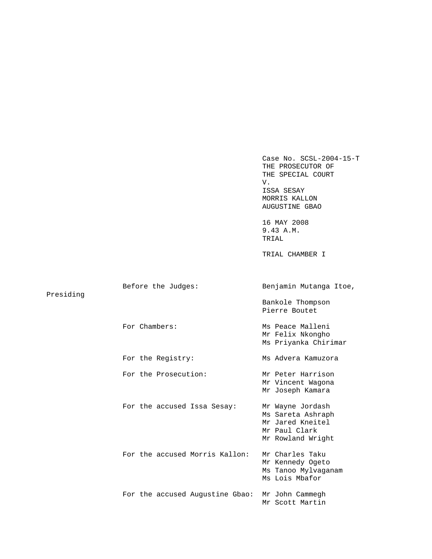Case No. SCSL-2004-15-T THE PROSECUTOR OF THE SPECIAL COURT V. ISSA SESAY MORRIS KALLON AUGUSTINE GBAO 16 MAY 2008 9.43 A.M. TRIAL TRIAL CHAMBER I Before the Judges: Benjamin Mutanga Itoe, Presiding Bankole Thompson Pierre Boutet For Chambers: Ms Peace Malleni Mr Felix Nkongho Ms Priyanka Chirimar For the Registry: Ms Advera Kamuzora For the Prosecution: Mr Peter Harrison Mr Vincent Wagona Mr Joseph Kamara For the accused Issa Sesay: Mr Wayne Jordash Ms Sareta Ashraph Mr Jared Kneitel Mr Paul Clark Mr Rowland Wright For the accused Morris Kallon: Mr Charles Taku Mr Kennedy Ogeto Ms Tanoo Mylvaganam Ms Lois Mbafor For the accused Augustine Gbao: Mr John Cammegh Mr Scott Martin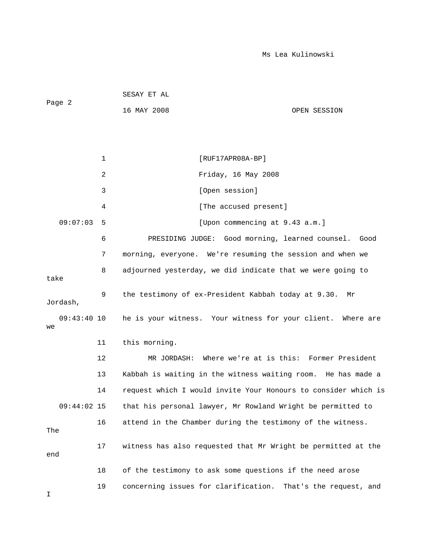| Page 2 | SESAY ET AL |              |  |  |
|--------|-------------|--------------|--|--|
|        | 16 MAY 2008 | OPEN SESSION |  |  |
|        |             |              |  |  |

|                     | $\mathbf 1$ | [RUF17APR08A-BP]                                                |
|---------------------|-------------|-----------------------------------------------------------------|
|                     | 2           | Friday, 16 May 2008                                             |
|                     | 3           | [Open session]                                                  |
|                     | 4           | [The accused present]                                           |
| 09:07:03            | 5           | [Upon commencing at 9.43 a.m.]                                  |
|                     | 6           | PRESIDING JUDGE:<br>Good morning, learned counsel.<br>Good      |
|                     | 7           | morning, everyone. We're resuming the session and when we       |
| take                | 8           | adjourned yesterday, we did indicate that we were going to      |
| Jordash,            | 9           | the testimony of ex-President Kabbah today at 9.30.<br>Mr       |
| $09:43:40$ 10<br>we |             | he is your witness. Your witness for your client. Where are     |
|                     | 11          | this morning.                                                   |
|                     | 12          | Where we're at is this: Former President<br>MR JORDASH:         |
|                     | 13          | Kabbah is waiting in the witness waiting room. He has made a    |
|                     | 14          | request which I would invite Your Honours to consider which is  |
| $09:44:02$ 15       |             | that his personal lawyer, Mr Rowland Wright be permitted to     |
| The                 | 16          | attend in the Chamber during the testimony of the witness.      |
| end                 | 17          | witness has also requested that Mr Wright be permitted at the   |
|                     | 18          | of the testimony to ask some questions if the need arose        |
|                     | 19          | concerning issues for clarification.<br>That's the request, and |

I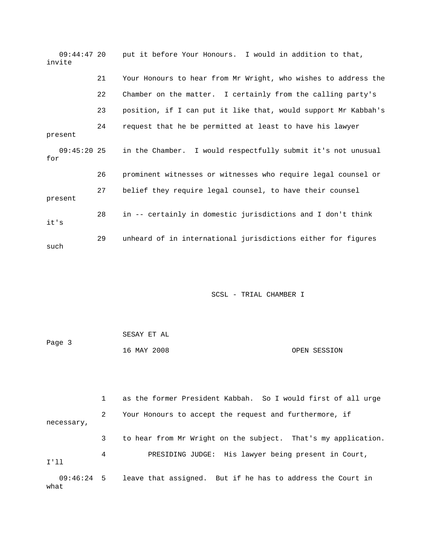09:44:47 20 put it before Your Honours. I would in addition to that, invite 21 Your Honours to hear from Mr Wright, who wishes to address the 22 Chamber on the matter. I certainly from the calling party's 23 position, if I can put it like that, would support Mr Kabbah's 24 request that he be permitted at least to have his lawyer present 09:45:20 25 in the Chamber. I would respectfully submit it's not unusual for 26 prominent witnesses or witnesses who require legal counsel or 27 belief they require legal counsel, to have their counsel present 28 in -- certainly in domestic jurisdictions and I don't think it's 29 unheard of in international jurisdictions either for figures such

SCSL - TRIAL CHAMBER I

| Page 3 | SESAY ET AL |              |
|--------|-------------|--------------|
|        | 16 MAY 2008 | OPEN SESSION |

 1 as the former President Kabbah. So I would first of all urge 2 Your Honours to accept the request and furthermore, if necessary, 3 to hear from Mr Wright on the subject. That's my application. 4 PRESIDING JUDGE: His lawyer being present in Court, I'll 09:46:24 5 leave that assigned. But if he has to address the Court in what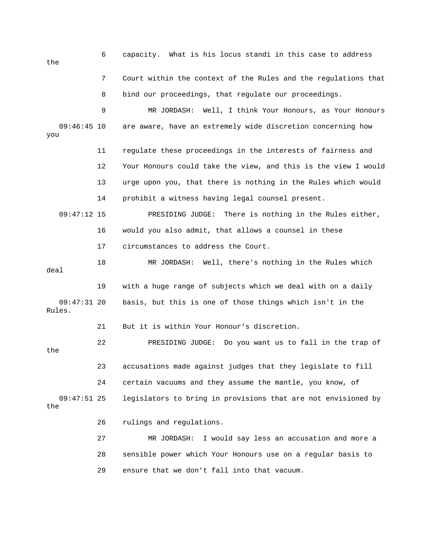6 capacity. What is his locus standi in this case to address the 7 Court within the context of the Rules and the regulations that 8 bind our proceedings, that regulate our proceedings. 9 MR JORDASH: Well, I think Your Honours, as Your Honours 09:46:45 10 are aware, have an extremely wide discretion concerning how you 11 regulate these proceedings in the interests of fairness and 12 Your Honours could take the view, and this is the view I would 13 urge upon you, that there is nothing in the Rules which would 14 prohibit a witness having legal counsel present. 09:47:12 15 PRESIDING JUDGE: There is nothing in the Rules either, 16 would you also admit, that allows a counsel in these 17 circumstances to address the Court. 18 MR JORDASH: Well, there's nothing in the Rules which deal 19 with a huge range of subjects which we deal with on a daily 09:47:31 20 basis, but this is one of those things which isn't in the Rules. 21 But it is within Your Honour's discretion. 22 PRESIDING JUDGE: Do you want us to fall in the trap of the 23 accusations made against judges that they legislate to fill 24 certain vacuums and they assume the mantle, you know, of 09:47:51 25 legislators to bring in provisions that are not envisioned by the 26 rulings and regulations. 27 MR JORDASH: I would say less an accusation and more a 28 sensible power which Your Honours use on a regular basis to

29 ensure that we don't fall into that vacuum.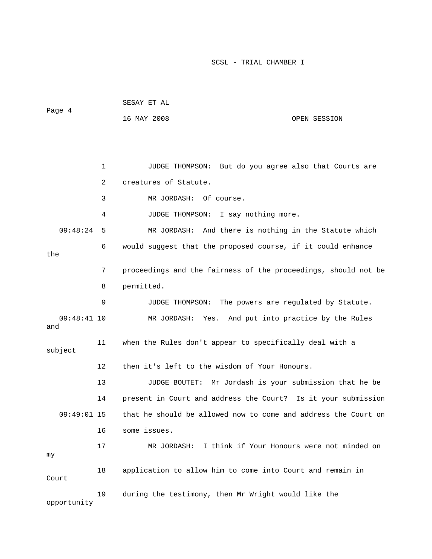| Page 4               |    | SESAY ET AL                                                    |                                            |
|----------------------|----|----------------------------------------------------------------|--------------------------------------------|
|                      |    | 16 MAY 2008                                                    | OPEN SESSION                               |
|                      |    |                                                                |                                            |
|                      |    |                                                                |                                            |
|                      | 1  | JUDGE THOMPSON: But do you agree also that Courts are          |                                            |
|                      | 2  | creatures of Statute.                                          |                                            |
|                      | 3  | MR JORDASH: Of course.                                         |                                            |
|                      | 4  | JUDGE THOMPSON: I say nothing more.                            |                                            |
| 09:48:24             | 5  | MR JORDASH: And there is nothing in the Statute which          |                                            |
| the                  | 6  | would suggest that the proposed course, if it could enhance    |                                            |
|                      | 7  | proceedings and the fairness of the proceedings, should not be |                                            |
|                      | 8  | permitted.                                                     |                                            |
|                      | 9  | JUDGE THOMPSON:                                                | The powers are regulated by Statute.       |
| $09:48:41$ 10<br>and |    | MR JORDASH: Yes. And put into practice by the Rules            |                                            |
| subject              | 11 | when the Rules don't appear to specifically deal with a        |                                            |
|                      | 12 | then it's left to the wisdom of Your Honours.                  |                                            |
|                      | 13 | JUDGE BOUTET: Mr Jordash is your submission that he be         |                                            |
|                      | 14 | present in Court and address the Court? Is it your submission  |                                            |
| 09:49:01 15          |    | that he should be allowed now to come and address the Court on |                                            |
|                      | 16 | some issues.                                                   |                                            |
| my                   | 17 | MR JORDASH:                                                    | I think if Your Honours were not minded on |
| Court                | 18 | application to allow him to come into Court and remain in      |                                            |
| opportunity          | 19 | during the testimony, then Mr Wright would like the            |                                            |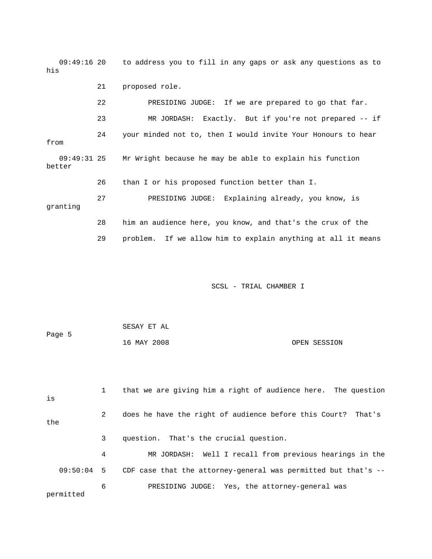09:49:16 20 to address you to fill in any gaps or ask any questions as to his 21 proposed role.

 22 PRESIDING JUDGE: If we are prepared to go that far. 23 MR JORDASH: Exactly. But if you're not prepared -- if 24 your minded not to, then I would invite Your Honours to hear from 09:49:31 25 Mr Wright because he may be able to explain his function better 26 than I or his proposed function better than I. 27 PRESIDING JUDGE: Explaining already, you know, is granting 28 him an audience here, you know, and that's the crux of the

SCSL - TRIAL CHAMBER I

29 problem. If we allow him to explain anything at all it means

| Page 5 | SESAY ET AL |              |
|--------|-------------|--------------|
|        | 16 MAY 2008 | OPEN SESSION |

| is        |   | that we are giving him a right of audience here. The question   |
|-----------|---|-----------------------------------------------------------------|
| the       | 2 | does he have the right of audience before this Court? That's    |
|           | 3 | question. That's the crucial question.                          |
|           | 4 | MR JORDASH: Well I recall from previous hearings in the         |
| 09:50:04  | 5 | CDF case that the attorney-general was permitted but that's $-$ |
| permitted | 6 | PRESIDING JUDGE: Yes, the attorney-general was                  |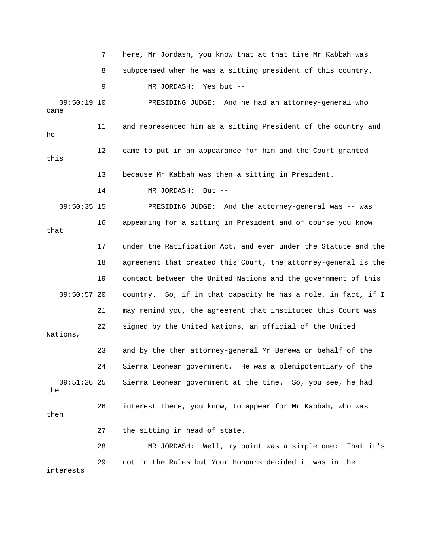7 here, Mr Jordash, you know that at that time Mr Kabbah was 8 subpoenaed when he was a sitting president of this country. 9 MR JORDASH: Yes but -- 09:50:19 10 PRESIDING JUDGE: And he had an attorney-general who came 11 and represented him as a sitting President of the country and he 12 came to put in an appearance for him and the Court granted this 13 because Mr Kabbah was then a sitting in President. 14 MR JORDASH: But -- 09:50:35 15 PRESIDING JUDGE: And the attorney-general was -- was 16 appearing for a sitting in President and of course you know that 17 under the Ratification Act, and even under the Statute and the 18 agreement that created this Court, the attorney-general is the 19 contact between the United Nations and the government of this 09:50:57 20 country. So, if in that capacity he has a role, in fact, if I 21 may remind you, the agreement that instituted this Court was 23 and by the then attorney-general Mr Berewa on behalf of the 24 Sierra Leonean government. He was a plenipotentiary of the 09:51:26 25 Sierra Leonean government at the time. So, you see, he had 26 interest there, you know, to appear for Mr Kabbah, who was 27 the sitting in head of state. int was a simple one: That it's 28 MR JORDASH: Well, my po 29 not in the Rules but Your Honours decided it was in the 22 signed by the United Nations, an official of the United Nations, the then interests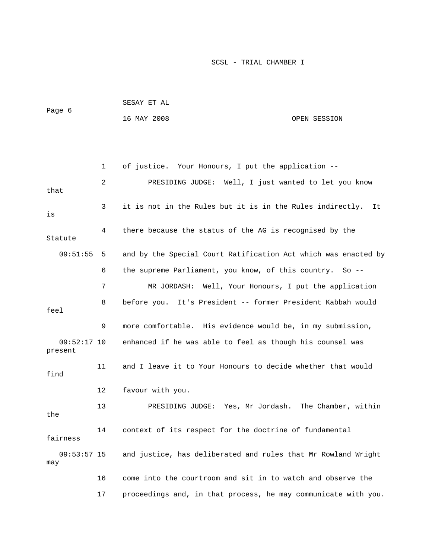| Page 6 | SESAY ET AL |              |
|--------|-------------|--------------|
|        | 16 MAY 2008 | OPEN SESSION |

 1 of justice. Your Honours, I put the application -- 6 the supreme Parliament, you know, of this country. So -- 7 MR JORDASH: Well, Your Honours, I put the application 9 more comfortable. His evidence would be, in my submission, 09:52:17 10 enhanced if he was able to feel as though his counsel was 11 and I leave it to Your Honours to decide whether that would 12 favour with you. 13 PRESIDING JUDGE: Yes, Mr Jordash. The Chamber, within 14 context of its respect for the doctrine of fundamental 09:53:57 15 and justice, has deliberated and rules that Mr Rowland Wright 17 proceedings and, in that process, he may communicate with you. 2 PRESIDING JUDGE: Well, I just wanted to let you know that 3 it is not in the Rules but it is in the Rules indirectly. It is 4 there because the status of the AG is recognised by the Statute 09:51:55 5 and by the Special Court Ratification Act which was enacted by 8 before you. It's President -- former President Kabbah would feel present find the fairness may 16 come into the courtroom and sit in to watch and observe the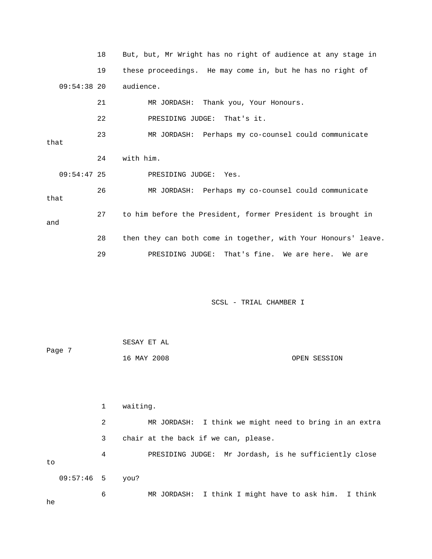|               | 18 | But, but, Mr Wright has no right of audience at any stage in   |
|---------------|----|----------------------------------------------------------------|
|               | 19 | these proceedings. He may come in, but he has no right of      |
| $09:54:38$ 20 |    | audience.                                                      |
|               | 21 | MR JORDASH: Thank you, Your Honours.                           |
|               | 22 | PRESIDING JUDGE: That's it.                                    |
| that          | 23 | MR JORDASH: Perhaps my co-counsel could communicate            |
|               | 24 | with him.                                                      |
| $09:54:47$ 25 |    | PRESIDING JUDGE: Yes.                                          |
| that          | 26 | MR JORDASH: Perhaps my co-counsel could communicate            |
| and           | 27 | to him before the President, former President is brought in    |
|               | 28 | then they can both come in together, with Your Honours' leave. |
|               | 29 | PRESIDING JUDGE: That's fine. We are here. We are              |
|               |    |                                                                |

| Page 7 | SESAY ET AL |              |
|--------|-------------|--------------|
|        | 16 MAY 2008 | OPEN SESSION |

 1 waiting. 2 MR JORDASH: I think we might need to bring in an extra 3 chair at the back if we can, please. 4 PRESIDING JUDGE: Mr Jordash, is he sufficiently close MR JORDASH: I think I might have to ask him. I think to 09:57:46 5 you? 6

he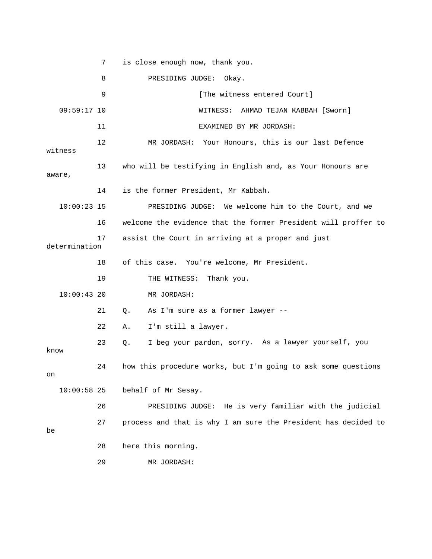7 is close enough now, thank you. entered Court] [The witness entered Court] [Sworn] 09:59:17 10 WITNESS: AHMAD TEJAN KABBAH 12 MR JORDASH: Your Honours, this is our last Defence witness 13 who will be testifying in English and, as Your Honours are aware, 14 is the former President, Mr Kabbah. 10:00:23 15 PRESIDING JUDGE: We welcome him to the Court, and we 16 welcome the evidence that the former President will proffer to determination of this case. You're welcome, Mr President. 21 Q. As I'm sure as a former lawyer --23 Q. I beg your pardon, sorry. As a lawyer yourself, you 24 how this procedure works, but I'm going to ask some questions behalf of Mr Sesay. : He is very familiar with the judicial 26 PRESIDING JUDGE 8 PRESIDING JUDGE: Okay. 11 EXAMINED BY MR JORDASH: 17 assist the Court in arriving at a proper and just 18 19 THE WITNESS: Thank you. 10:00:43 20 MR JORDASH: 22 A. I'm still a lawyer. know on  $10:00:58$  25 27 process and that is why I am sure the President has decided to be 28 here this morning. 29 MR JORDASH: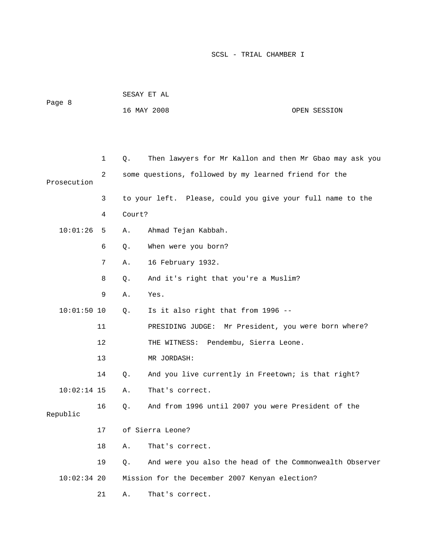|               |    | SESAY ET AL |                                                            |              |  |
|---------------|----|-------------|------------------------------------------------------------|--------------|--|
| Page 8        |    |             | 16 MAY 2008                                                | OPEN SESSION |  |
|               |    |             |                                                            |              |  |
|               |    |             |                                                            |              |  |
|               | 1  | Q.          | Then lawyers for Mr Kallon and then Mr Gbao may ask you    |              |  |
| Prosecution   | 2  |             | some questions, followed by my learned friend for the      |              |  |
|               | 3  |             | to your left. Please, could you give your full name to the |              |  |
|               | 4  | Court?      |                                                            |              |  |
| 10:01:26      | 5  | Α.          | Ahmad Tejan Kabbah.                                        |              |  |
|               | 6  | Q.          | When were you born?                                        |              |  |
|               | 7  | Α.          | 16 February 1932.                                          |              |  |
|               | 8  | Q.          | And it's right that you're a Muslim?                       |              |  |
|               | 9  | Α.          | Yes.                                                       |              |  |
| $10:01:50$ 10 |    | Q.          | Is it also right that from 1996 --                         |              |  |
|               | 11 |             | PRESIDING JUDGE: Mr President, you were born where?        |              |  |
|               | 12 |             | THE WITNESS: Pendembu, Sierra Leone.                       |              |  |
|               | 13 |             | MR JORDASH:                                                |              |  |
|               | 14 | Q.          | And you live currently in Freetown; is that right?         |              |  |
| $10:02:14$ 15 |    | Α.          | That's correct.                                            |              |  |
| Republic      | 16 | Q.          | And from 1996 until 2007 you were President of the         |              |  |
|               | 17 |             | of Sierra Leone?                                           |              |  |
|               | 18 | Α.          | That's correct.                                            |              |  |
|               | 19 | Q.          | And were you also the head of the Commonwealth Observer    |              |  |
| $10:02:34$ 20 |    |             | Mission for the December 2007 Kenyan election?             |              |  |
|               | 21 | Α.          | That's correct.                                            |              |  |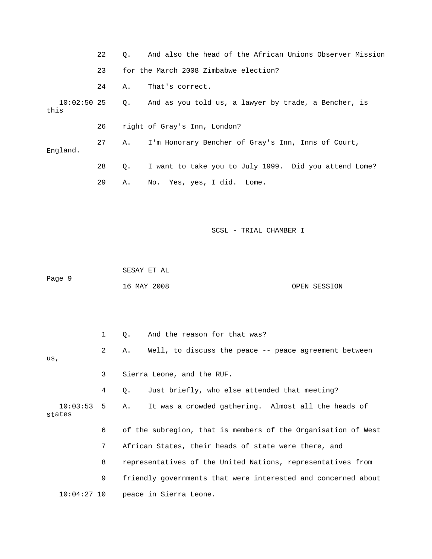|          | 22 | $\circ$ . | And also the head of the African Unions Observer Mission            |
|----------|----|-----------|---------------------------------------------------------------------|
|          | 23 |           | for the March 2008 Zimbabwe election?                               |
|          | 24 | Α.        | That's correct.                                                     |
| this     |    |           | 10:02:50 25 Q. And as you told us, a lawyer by trade, a Bencher, is |
|          | 26 |           | right of Gray's Inn, London?                                        |
| England. | 27 | A.,       | I'm Honorary Bencher of Gray's Inn, Inns of Court,                  |
|          | 28 | О.        | I want to take you to July 1999. Did you attend Lome?               |
|          | 29 | Α.        | No. Yes, yes, I did. Lome.                                          |

 SESAY ET AL ge 9 Pa

16 MAY 2008 OPEN SESSION

|                           | $\mathbf{1}$   | $\circ$ . | And the reason for that was?                                  |
|---------------------------|----------------|-----------|---------------------------------------------------------------|
| us,                       | $2^{\circ}$    | Α.        | Well, to discuss the peace -- peace agreement between         |
|                           |                |           |                                                               |
|                           | 3              |           | Sierra Leone, and the RUF.                                    |
|                           | 4              | $\circ$ . | Just briefly, who else attended that meeting?                 |
| $10:03:53$ 5 A.<br>states |                |           | It was a crowded gathering. Almost all the heads of           |
|                           | 6              |           | of the subregion, that is members of the Organisation of West |
|                           | 7 <sup>7</sup> |           | African States, their heads of state were there, and          |
|                           | 8              |           | representatives of the United Nations, representatives from   |
|                           | 9              |           | friendly governments that were interested and concerned about |
|                           |                |           | $10:04:27$ 10 peace in Sierra Leone.                          |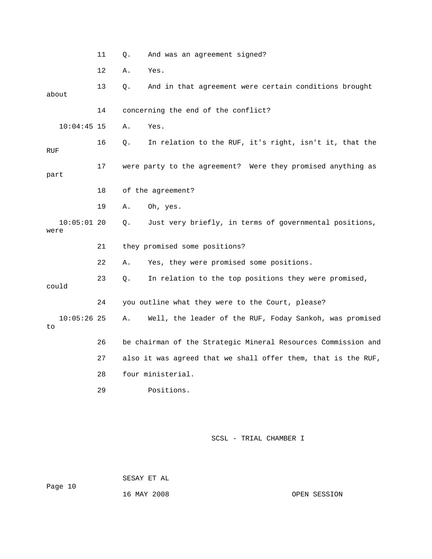|                       | 11 | Q. | And was an agreement signed?                                  |
|-----------------------|----|----|---------------------------------------------------------------|
|                       | 12 | Α. | Yes.                                                          |
| about                 | 13 | Q. | And in that agreement were certain conditions brought         |
|                       | 14 |    | concerning the end of the conflict?                           |
| $10:04:45$ 15         |    | Α. | Yes.                                                          |
| RUF                   | 16 | Q. | In relation to the RUF, it's right, isn't it, that the        |
| part                  | 17 |    | were party to the agreement? Were they promised anything as   |
|                       | 18 |    | of the agreement?                                             |
|                       | 19 | Α. | Oh, yes.                                                      |
| $10:05:01$ 20<br>were |    | Q. | Just very briefly, in terms of governmental positions,        |
|                       | 21 |    | they promised some positions?                                 |
|                       | 22 | Α. | Yes, they were promised some positions.                       |
| could                 | 23 | Q. | In relation to the top positions they were promised,          |
|                       | 24 |    | you outline what they were to the Court, please?              |
| $10:05:26$ 25<br>to   |    | Α. | Well, the leader of the RUF, Foday Sankoh, was promised       |
|                       | 26 |    | be chairman of the Strategic Mineral Resources Commission and |
|                       | 27 |    | also it was agreed that we shall offer them, that is the RUF, |
|                       | 28 |    | four ministerial.                                             |
|                       | 29 |    | Positions.                                                    |

 SESAY ET AL ge 10 Pa 16 MAY 2008 OPEN SESSION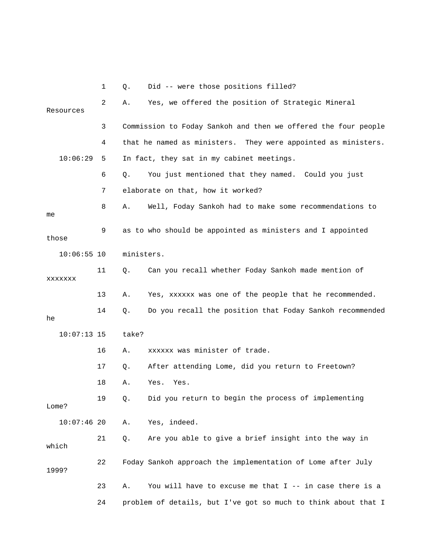|       |               | 1  | Q.         | Did -- were those positions filled?                            |
|-------|---------------|----|------------|----------------------------------------------------------------|
|       | Resources     | 2  | Α.         | Yes, we offered the position of Strategic Mineral              |
|       |               | 3  |            | Commission to Foday Sankoh and then we offered the four people |
|       |               | 4  |            | that he named as ministers. They were appointed as ministers.  |
|       | 10:06:29      | 5  |            | In fact, they sat in my cabinet meetings.                      |
|       |               | 6  | Q.         | You just mentioned that they named. Could you just             |
|       |               | 7  |            | elaborate on that, how it worked?                              |
| me    |               | 8  | Α.         | Well, Foday Sankoh had to make some recommendations to         |
| those |               | 9  |            | as to who should be appointed as ministers and I appointed     |
|       | $10:06:55$ 10 |    | ministers. |                                                                |
|       | XXXXXXX       | 11 | Q.         | Can you recall whether Foday Sankoh made mention of            |
|       |               | 13 | Α.         | Yes, xxxxxx was one of the people that he recommended.         |
| he    |               | 14 | Q.         | Do you recall the position that Foday Sankoh recommended       |
|       | $10:07:13$ 15 |    | take?      |                                                                |
|       |               | 16 | Α.         | xxxxxx was minister of trade.                                  |
|       |               | 17 | Q.         | After attending Lome, did you return to Freetown?              |
|       |               | 18 | Α.         | Yes.<br>Yes.                                                   |
| Lome? |               | 19 | Q.         | Did you return to begin the process of implementing            |
|       | $10:07:46$ 20 |    | Α.         | Yes, indeed.                                                   |
| which |               | 21 | Q.         | Are you able to give a brief insight into the way in           |
| 1999? |               | 22 |            | Foday Sankoh approach the implementation of Lome after July    |
|       |               | 23 | Α.         | You will have to excuse me that $I$ -- in case there is a      |
|       |               | 24 |            | problem of details, but I've got so much to think about that I |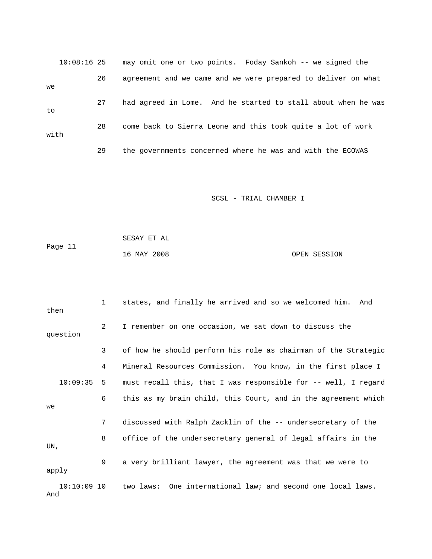|      | $10:08:16$ 25 |    | may omit one or two points. Foday Sankoh -- we signed the     |
|------|---------------|----|---------------------------------------------------------------|
| we   |               | 26 | agreement and we came and we were prepared to deliver on what |
| to   |               | 27 | had agreed in Lome. And he started to stall about when he was |
| with |               | 28 | come back to Sierra Leone and this took quite a lot of work   |
|      |               | 29 | the governments concerned where he was and with the ECOWAS    |

|         | SESAY ET AL |              |
|---------|-------------|--------------|
| Page 11 |             |              |
|         | 16 MAY 2008 | OPEN SESSION |

| then                 | 1              | states, and finally he arrived and so we welcomed him.<br>And  |
|----------------------|----------------|----------------------------------------------------------------|
| question             | $\overline{2}$ | I remember on one occasion, we sat down to discuss the         |
|                      | 3              | of how he should perform his role as chairman of the Strategic |
|                      | 4              | Mineral Resources Commission. You know, in the first place I   |
| 10:09:35             | 5              | must recall this, that I was responsible for -- well, I regard |
| we                   | 6              | this as my brain child, this Court, and in the agreement which |
|                      | 7              | discussed with Ralph Zacklin of the -- undersecretary of the   |
| UN,                  | 8              | office of the undersecretary general of legal affairs in the   |
| apply                | 9              | a very brilliant lawyer, the agreement was that we were to     |
| $10:10:09$ 10<br>And |                | two laws: One international law; and second one local laws.    |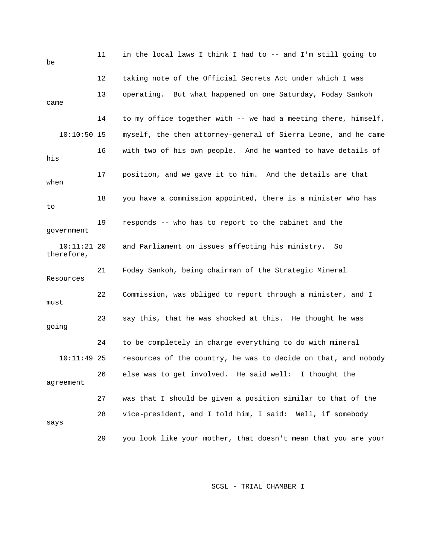| be                          | 11 | in the local laws I think I had to -- and I'm still going to   |
|-----------------------------|----|----------------------------------------------------------------|
|                             | 12 | taking note of the Official Secrets Act under which I was      |
| came                        | 13 | operating. But what happened on one Saturday, Foday Sankoh     |
|                             | 14 | to my office together with -- we had a meeting there, himself, |
| $10:10:50$ 15               |    | myself, the then attorney-general of Sierra Leone, and he came |
| his                         | 16 | with two of his own people. And he wanted to have details of   |
| when                        | 17 | position, and we gave it to him. And the details are that      |
| to                          | 18 | you have a commission appointed, there is a minister who has   |
| government                  | 19 | responds -- who has to report to the cabinet and the           |
| $10:11:21$ 20<br>therefore, |    | and Parliament on issues affecting his ministry.<br>- So       |
| Resources                   | 21 | Foday Sankoh, being chairman of the Strategic Mineral          |
| must                        | 22 | Commission, was obliged to report through a minister, and I    |
| going                       | 23 | say this, that he was shocked at this. He thought he was       |
|                             | 24 | to be completely in charge everything to do with mineral       |
| $10:11:49$ 25               |    | resources of the country, he was to decide on that, and nobody |
| agreement                   | 26 | else was to get involved. He said well:<br>I thought the       |
|                             | 27 | was that I should be given a position similar to that of the   |
| says                        | 28 | vice-president, and I told him, I said: Well, if somebody      |
|                             | 29 | you look like your mother, that doesn't mean that you are your |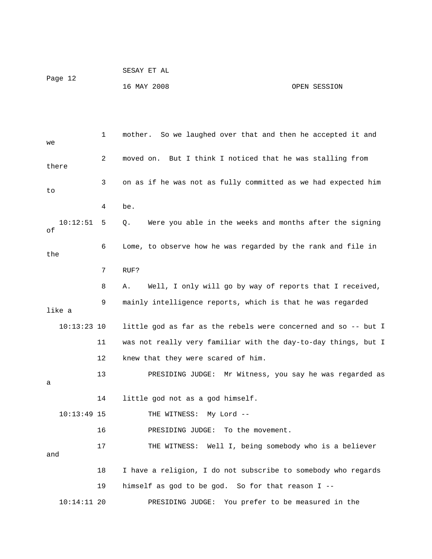|         | SESAY ET AL |              |
|---------|-------------|--------------|
| Page 12 |             |              |
|         | 16 MAY 2008 | OPEN SESSION |

 1 mother. So we laughed over that and then he accepted it and there 3 on as if he was not as fully committed as we had expected him 10:12:51 5 Q. Were you able in the weeks and months after the signing 8 A. Well, I only will go by way of reports that I received, y intelligence reports, which is that he was regarded 9 mainl 10:13:23 10 little god as far as the rebels were concerned and so -- but I 11 was not really very familiar with the day-to-day things, but I 12 knew that they were scared of him. 10:13:49 15 THE WITNESS: My Lord -- 16 PRESIDING JUDGE: To the movement. 17 THE WITNESS: Well I, being somebody who is a believer 19 himself as god to be god. So for that reason I -- 10:14:11 20 PRESIDING JUDGE: You prefer to be measured in the we 2 moved on. But I think I noticed that he was stalling from to 4 be. of 6 Lome, to observe how he was regarded by the rank and file in the 7 RUF? like a 13 PRESIDING JUDGE: Mr Witness, you say he was regarded as a 14 little god not as a god himself. and 18 I have a religion, I do not subscribe to somebody who regards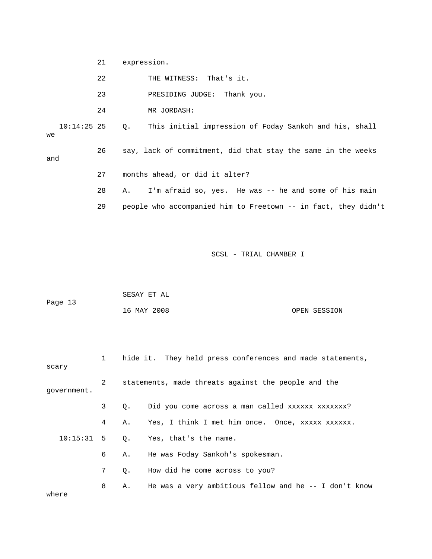21 expression.

and

22 THE WITNESS: That's it.

23 PRESIDING JUDGE: Thank you.

24 MR JORDASH:

 10:14:25 25 Q. This initial impression of Foday Sankoh and his, shall we

26 say, lack of commitment, did that stay the same in the weeks

- 27 months ahead, or did it alter?
- 28 A. I'm afraid so, yes. He was -- he and some of his main
- 29 people who accompanied him to Freetown -- in fact, they didn't

|         | SESAY ET AL |              |
|---------|-------------|--------------|
| Page 13 |             |              |
|         | 16 MAY 2008 | OPEN SESSION |

| scary        |                |           | hide it. They held press conferences and made statements, |  |  |
|--------------|----------------|-----------|-----------------------------------------------------------|--|--|
| qovernment.  | 2              |           | statements, made threats against the people and the       |  |  |
|              | 3              | Q.        | Did you come across a man called xxxxxx xxxxxxx?          |  |  |
|              | 4              | Α.        | Yes, I think I met him once. Once, xxxxx xxxxxx.          |  |  |
| $10:15:31$ 5 |                |           | 0. Yes, that's the name.                                  |  |  |
|              | 6              |           | A. He was Foday Sankoh's spokesman.                       |  |  |
|              | $7\phantom{.}$ | $\circ$ . | How did he come across to you?                            |  |  |
| where        | 8              | Α.        | He was a very ambitious fellow and he $-$ - I don't know  |  |  |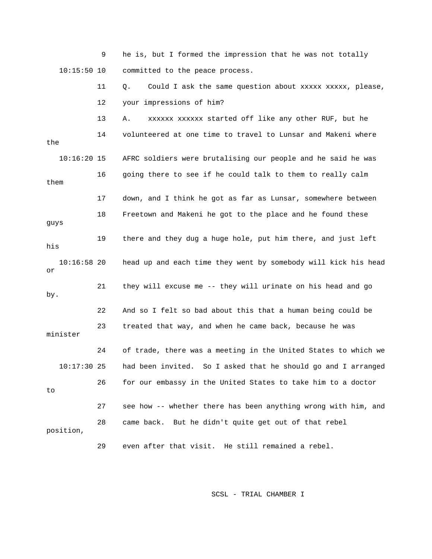9 he is, but I formed the impression that he was not totally 10:15:50 10 committed to the peace process. 11 Q. Could I ask the same question about xxxxx xxxxx, please, 12 your impressions of him? 13 A. xxxxxx xxxxxx started off like any other RUF, but he e 14 volunteered at one time to travel to Lunsar and Makeni wher 16 going there to see if he could talk to them to really calm 18 Freetown and Makeni he got to the place and he found these 23 treated that way, and when he came back, because he was 24 of trade, there was a meeting in the United States to which we 10:17:30 25 had been invited. So I asked that he should go and I arranged 26 for our embassy in the United States to take him to a doctor 28 came back. But he didn't quite get out of that rebel the 10:16:20 15 AFRC soldiers were brutalising our people and he said he was them 17 down, and I think he got as far as Lunsar, somewhere between guys 19 there and they dug a huge hole, put him there, and just left his 10:16:58 20 head up and each time they went by somebody will kick his head or 21 they will excuse me -- they will urinate on his head and go by. 22 And so I felt so bad about this that a human being could be minister to 27 see how -- whether there has been anything wrong with him, and position, 29 even after that visit. He still remained a rebel.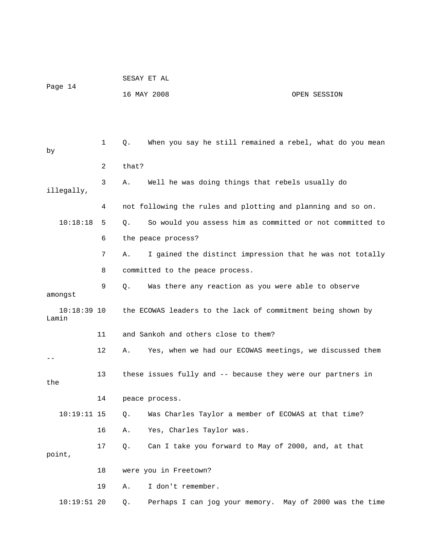| Page 14                |    | SESAY ET AL |                                                              |              |
|------------------------|----|-------------|--------------------------------------------------------------|--------------|
|                        |    |             | 16 MAY 2008                                                  | OPEN SESSION |
|                        |    |             |                                                              |              |
|                        |    |             |                                                              |              |
| by                     | 1  | Q.          | When you say he still remained a rebel, what do you mean     |              |
|                        | 2  | that?       |                                                              |              |
| illegally,             | 3  | Α.          | Well he was doing things that rebels usually do              |              |
|                        | 4  |             | not following the rules and plotting and planning and so on. |              |
| 10:18:18               | 5  | Q.          | So would you assess him as committed or not committed to     |              |
|                        | 6  |             | the peace process?                                           |              |
|                        | 7  | Α.          | I gained the distinct impression that he was not totally     |              |
|                        | 8  |             | committed to the peace process.                              |              |
| amongst                | 9  | Q.          | Was there any reaction as you were able to observe           |              |
| $10:18:39$ 10<br>Lamin |    |             | the ECOWAS leaders to the lack of commitment being shown by  |              |
|                        | 11 |             | and Sankoh and others close to them?                         |              |
|                        | 12 | Α.          | Yes, when we had our ECOWAS meetings, we discussed them      |              |
| the                    | 13 |             | these issues fully and -- because they were our partners in  |              |
|                        | 14 |             | peace process.                                               |              |
| $10:19:11$ 15          |    | Q.          | Was Charles Taylor a member of ECOWAS at that time?          |              |
|                        | 16 | Α.          | Yes, Charles Taylor was.                                     |              |
| point,                 | 17 | Q.          | Can I take you forward to May of 2000, and, at that          |              |
|                        | 18 |             | were you in Freetown?                                        |              |
|                        | 19 | Α.          | I don't remember.                                            |              |
| $10:19:51$ 20          |    | Q.          | Perhaps I can jog your memory. May of 2000 was the time      |              |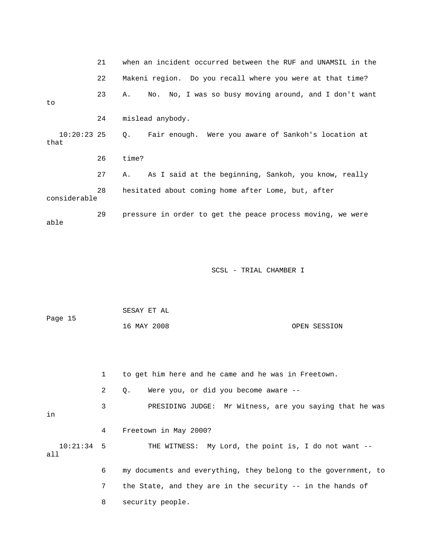|              | 21 | when an incident occurred between the RUF and UNAMSIL in the       |
|--------------|----|--------------------------------------------------------------------|
|              | 22 | Makeni region. Do you recall where you were at that time?          |
| to           | 23 | No. No, I was so busy moving around, and I don't want<br>Α.        |
|              | 24 | mislead anybody.                                                   |
| that         |    | 10:20:23 25 Q. Fair enough. Were you aware of Sankoh's location at |
|              | 26 | time?                                                              |
|              | 27 | As I said at the beginning, Sankoh, you know, really<br>Α.         |
| considerable | 28 | hesitated about coming home after Lome, but, after                 |
| able         | 29 | pressure in order to get the peace process moving, we were         |

|         | SESAY ET AL |              |
|---------|-------------|--------------|
| Page 15 |             |              |
|         | 16 MAY 2008 | OPEN SESSION |

 1 to get him here and he came and he was in Freetown. 2 Q. Were you, or did you become aware -- 3 PRESIDING JUDGE: Mr Witness, are you saying that he was 10:21:34 5 THE WITNESS: My Lord, the point is, I do not want - o 6 my documents and everything, they belong to the government, t 7 the State, and they are in the security -- in the hands of 8 security people. in 4 Freetown in May 2000? all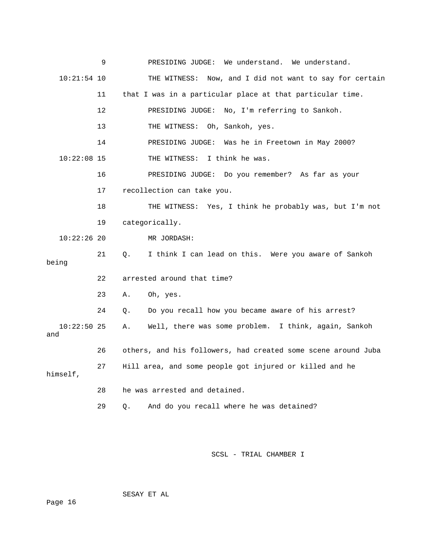|                      | 9       | PRESIDING JUDGE: We understand.<br>We understand.             |
|----------------------|---------|---------------------------------------------------------------|
| $10:21:54$ 10        |         | THE WITNESS: Now, and I did not want to say for certain       |
|                      | 11      | that I was in a particular place at that particular time.     |
|                      | $12 \,$ | PRESIDING JUDGE: No, I'm referring to Sankoh.                 |
|                      | 13      | THE WITNESS: Oh, Sankoh, yes.                                 |
|                      | 14      | PRESIDING JUDGE: Was he in Freetown in May 2000?              |
| $10:22:08$ 15        |         | I think he was.<br>THE WITNESS:                               |
|                      | 16      | PRESIDING JUDGE: Do you remember? As far as your              |
|                      | 17      | recollection can take you.                                    |
|                      | 18      | THE WITNESS: Yes, I think he probably was, but I'm not        |
|                      | 19      | categorically.                                                |
| $10:22:26$ 20        |         | MR JORDASH:                                                   |
| being                | 21      | I think I can lead on this. Were you aware of Sankoh<br>0.    |
|                      | 22      | arrested around that time?                                    |
|                      | 23      | Oh, yes.<br>Α.                                                |
|                      | 24      | Do you recall how you became aware of his arrest?<br>Q.       |
| $10:22:50$ 25<br>and |         | Well, there was some problem. I think, again, Sankoh<br>Α.    |
|                      | 26      | others, and his followers, had created some scene around Juba |
| himself,             | 27      | Hill area, and some people got injured or killed and he       |
|                      | 28      | he was arrested and detained.                                 |
|                      | 29      | And do you recall where he was detained?<br>Ο.                |

SESAY ET AL

ge 16 Pa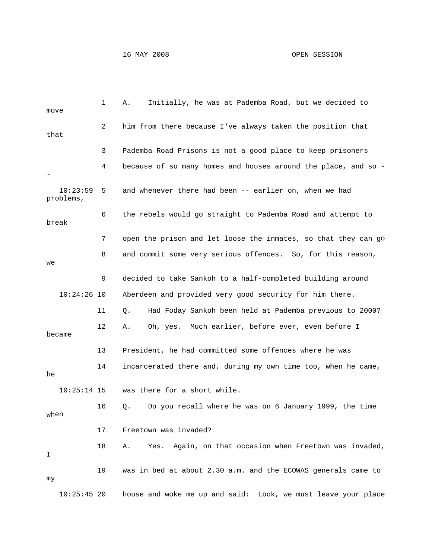## 16 MAY 2008 OPEN SESSION

| move                  | 1  | Α.<br>Initially, he was at Pademba Road, but we decided to       |
|-----------------------|----|------------------------------------------------------------------|
| that                  | 2  | him from there because I've always taken the position that       |
|                       | 3  | Pademba Road Prisons is not a good place to keep prisoners       |
|                       | 4  | because of so many homes and houses around the place, and so -   |
| 10:23:59<br>problems, | 5  | and whenever there had been -- earlier on, when we had           |
| break                 | 6  | the rebels would go straight to Pademba Road and attempt to      |
|                       | 7  | open the prison and let loose the inmates, so that they can go   |
| we                    | 8  | and commit some very serious offences. So, for this reason,      |
|                       | 9  | decided to take Sankoh to a half-completed building around       |
| $10:24:26$ 10         |    | Aberdeen and provided very good security for him there.          |
|                       | 11 | Had Foday Sankoh been held at Pademba previous to 2000?<br>Q.    |
| became                | 12 | Oh, yes. Much earlier, before ever, even before I<br>Α.          |
|                       | 13 | President, he had committed some offences where he was           |
| he                    | 14 | incarcerated there and, during my own time too, when he came,    |
| $10:25:14$ 15         |    | was there for a short while.                                     |
| when                  | 16 | Do you recall where he was on 6 January 1999, the time<br>Q.     |
|                       | 17 | Freetown was invaded?                                            |
| I                     | 18 | Again, on that occasion when Freetown was invaded,<br>Α.<br>Yes. |
| my                    | 19 | was in bed at about 2.30 a.m. and the ECOWAS generals came to    |
| $10:25:45$ 20         |    | house and woke me up and said: Look, we must leave your place    |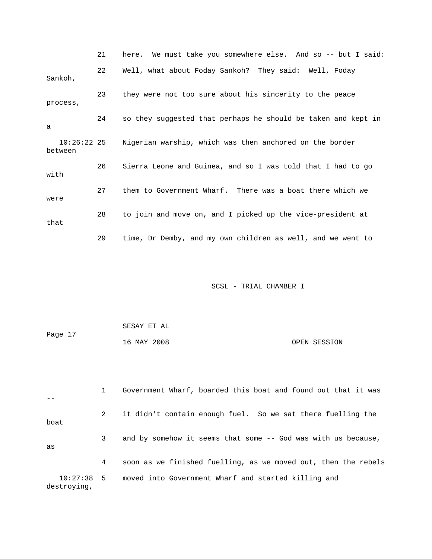|                          | 21 | here. We must take you somewhere else. And so -- but I said:  |
|--------------------------|----|---------------------------------------------------------------|
| Sankoh,                  | 22 | Well, what about Foday Sankoh? They said: Well, Foday         |
| process,                 | 23 | they were not too sure about his sincerity to the peace       |
| a                        | 24 | so they suggested that perhaps he should be taken and kept in |
| $10:26:22$ 25<br>between |    | Nigerian warship, which was then anchored on the border       |
| with                     | 26 | Sierra Leone and Guinea, and so I was told that I had to go   |
| were                     | 27 | them to Government Wharf. There was a boat there which we     |
| that                     | 28 | to join and move on, and I picked up the vice-president at    |
|                          | 29 | time, Dr Demby, and my own children as well, and we went to   |

| Page 17 | SESAY ET AL |              |
|---------|-------------|--------------|
|         | 16 MAY 2008 | OPEN SESSION |

|                             |   | Government Wharf, boarded this boat and found out that it was  |
|-----------------------------|---|----------------------------------------------------------------|
| boat                        | 2 | it didn't contain enough fuel. So we sat there fuelling the    |
| as                          | 3 | and by somehow it seems that some -- God was with us because,  |
|                             | 4 | soon as we finished fuelling, as we moved out, then the rebels |
| $10:27:38$ 5<br>destroying, |   | moved into Government Wharf and started killing and            |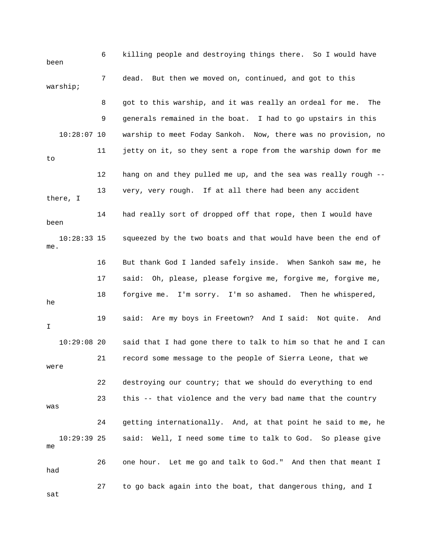| been                 | 6  | killing people and destroying things there. So I would have        |
|----------------------|----|--------------------------------------------------------------------|
| warship;             | 7  | But then we moved on, continued, and got to this<br>dead.          |
|                      | 8  | got to this warship, and it was really an ordeal for me.<br>The    |
|                      | 9  | generals remained in the boat. I had to go upstairs in this        |
| $10:28:07$ 10        |    | warship to meet Foday Sankoh. Now, there was no provision, no      |
| to                   | 11 | jetty on it, so they sent a rope from the warship down for me      |
|                      | 12 | hang on and they pulled me up, and the sea was really rough --     |
| there, I             | 13 | very, very rough. If at all there had been any accident            |
| been                 | 14 | had really sort of dropped off that rope, then I would have        |
| $10:28:33$ 15<br>me. |    | squeezed by the two boats and that would have been the end of      |
|                      | 16 | But thank God I landed safely inside. When Sankoh saw me, he       |
|                      | 17 | said: Oh, please, please forgive me, forgive me, forgive me,       |
| he                   | 18 | I'm sorry. I'm so ashamed. Then he whispered,<br>forgive me.       |
| I.                   | 19 | said:<br>Are my boys in Freetown? And I said:<br>Not quite.<br>And |
| $10:29:08$ 20        |    | said that I had gone there to talk to him so that he and I can     |
| were                 | 21 | record some message to the people of Sierra Leone, that we         |
|                      | 22 | destroying our country; that we should do everything to end        |
| was                  | 23 | this -- that violence and the very bad name that the country       |
|                      | 24 | getting internationally. And, at that point he said to me, he      |
| $10:29:39$ 25<br>me  |    | said:<br>Well, I need some time to talk to God. So please give     |
| had                  | 26 | one hour. Let me go and talk to God." And then that meant I        |
| sat                  | 27 | to go back again into the boat, that dangerous thing, and I        |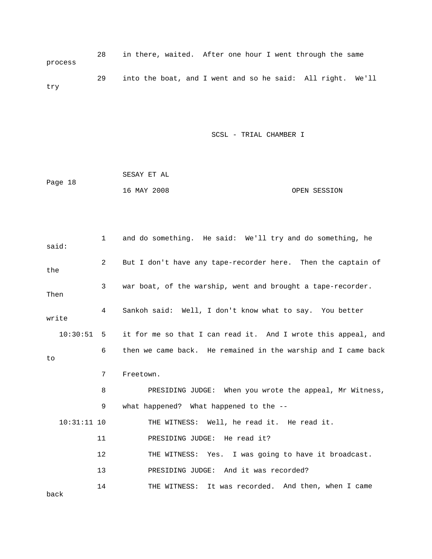28 in there, waited. After one hour I went through the same process 29 into the boat, and I went and so he said: All right. We'll try

|         | SESAY ET AL |              |
|---------|-------------|--------------|
| Page 18 |             |              |
|         | 16 MAY 2008 | OPEN SESSION |

| said:         | 1  | and do something. He said: We'll try and do something, he     |
|---------------|----|---------------------------------------------------------------|
| the           | 2  | But I don't have any tape-recorder here. Then the captain of  |
| Then          | 3  | war boat, of the warship, went and brought a tape-recorder.   |
| write         | 4  | Sankoh said: Well, I don't know what to say. You better       |
| 10:30:51      | 5  | it for me so that I can read it. And I wrote this appeal, and |
| to            | 6  | then we came back. He remained in the warship and I came back |
|               | 7  | Freetown.                                                     |
|               | 8  | PRESIDING JUDGE: When you wrote the appeal, Mr Witness,       |
|               | 9  | what happened? What happened to the --                        |
| $10:31:11$ 10 |    | THE WITNESS: Well, he read it. He read it.                    |
|               | 11 | PRESIDING JUDGE: He read it?                                  |
|               | 12 | THE WITNESS: Yes. I was going to have it broadcast.           |
|               | 13 | PRESIDING JUDGE: And it was recorded?                         |
| back          | 14 | THE WITNESS: It was recorded. And then, when I came           |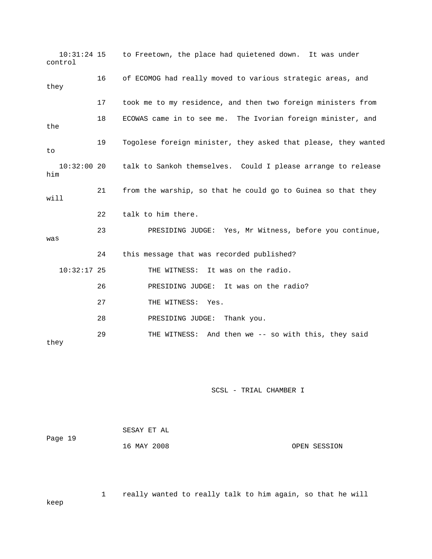10:31:24 15 to Freetown, the place had quietened down. It was under 17 took me to my residence, and then two foreign ministers from 18 ECOWAS came in to see me. The Ivorian foreign minister, and the 19 Togolese foreign minister, they asked that please, they wanted 10:32:00 20 talk to Sankoh themselves. Could I please arrange to release 21 from the warship, so that he could go to Guinea so that they 22 talk to him there. 23 PRESIDING JUDGE: Yes, Mr Witness, before you continue, was 24 this message that was recorded published? 10:32:17 25 THE WITNESS: It was on the radio. 26 PRESIDING JUDGE: It was on the radio? 29 THE WITNESS: And then we -- so with this, they said they control 16 of ECOMOG had really moved to various strategic areas, and they to him will 27 THE WITNESS: Yes. 28 PRESIDING JUDGE: Thank you.

SCSL - TRIAL CHAMBER I

|         | SESAY ET AL |              |
|---------|-------------|--------------|
| Page 19 |             |              |
|         | 16 MAY 2008 | OPEN SESSION |

 1 really wanted to really talk to him again, so that he will keep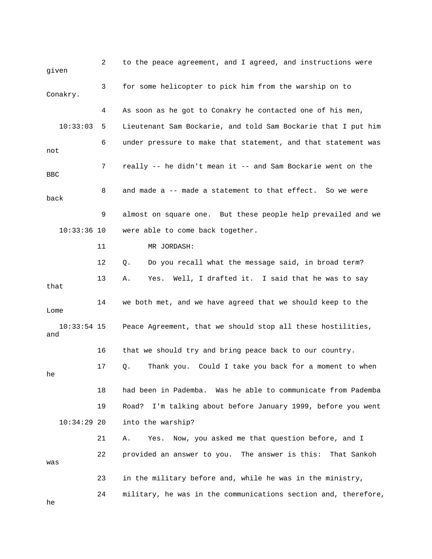2 to the peace agreement, and I agreed, and instructions were given 3 for some helicopter to pick him from the warship on to Conakry. 4 As soon as he got to Conakry he contacted one of his men, 6 under pressure to make that statement, and that statement was 7 really -- he didn't mean it -- and Sam Bockarie went on the back 9 almost on square one. But these people help prevailed and we 11 MR JORDASH: 12 Q. Do you recall what the message said, in broad term? that 14 we both met, and we have agreed that we should keep to the and 19 Road? I'm talking about before January 1999, before you went 21 A. Yes. Now, you asked me that question before, and I was 23 in the military before and, while he was in the ministry, 24 military, he was in the communications section and, therefore, 10:33:03 5 Lieutenant Sam Bockarie, and told Sam Bockarie that I put him not BBC 8 and made a -- made a statement to that effect. So we were 10:33:36 10 were able to come back together. 13 A. Yes. Well, I drafted it. I said that he was to say Lome 10:33:54 15 Peace Agreement, that we should stop all these hostilities, 16 that we should try and bring peace back to our country. 17 Q. Thank you. Could I take you back for a moment to when he 18 had been in Pademba. Was he able to communicate from Pademba 10:34:29 20 into the warship? 22 provided an answer to you. The answer is this: That Sankoh

he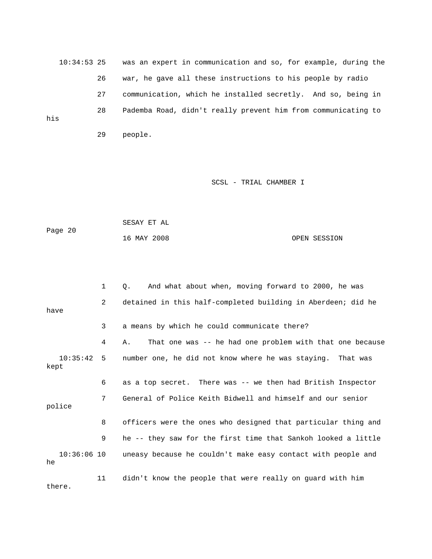10:34:53 25 was an expert in communication and so, for example, during the 26 war, he gave all these instructions to his people by radio 27 communication, which he installed secretly. And so, being in 28 Pademba Road, didn't really prevent him from communicating to his 29 people.

## SCSL - TRIAL CHAMBER I

|         | SESAY ET AL |              |
|---------|-------------|--------------|
| Page 20 |             |              |
|         | 16 MAY 2008 | OPEN SESSION |

|                      | 1              | And what about when, moving forward to 2000, he was<br>О.      |
|----------------------|----------------|----------------------------------------------------------------|
| have                 | $\overline{a}$ | detained in this half-completed building in Aberdeen; did he   |
|                      | 3              | a means by which he could communicate there?                   |
|                      | 4              | That one was -- he had one problem with that one because<br>Α. |
| $10:35:42$ 5<br>kept |                | number one, he did not know where he was staying. That was     |
|                      | 6              | as a top secret. There was -- we then had British Inspector    |
| police               | 7              | General of Police Keith Bidwell and himself and our senior     |
|                      | 8              | officers were the ones who designed that particular thing and  |
|                      | 9              | he -- they saw for the first time that Sankoh looked a little  |
| $10:36:06$ 10<br>he  |                | uneasy because he couldn't make easy contact with people and   |
|                      | 11             | didn't know the people that were really on quard with him      |

there.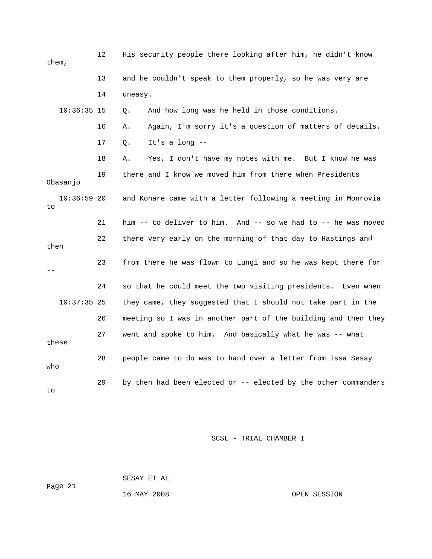| them,               | 12 | His security people there looking after him, he didn't know    |
|---------------------|----|----------------------------------------------------------------|
|                     | 13 | and he couldn't speak to them properly, so he was very are     |
|                     | 14 | uneasy.                                                        |
| $10:36:35$ 15       |    | And how long was he held in those conditions.<br>Q.            |
|                     | 16 | Again, I'm sorry it's a question of matters of details.<br>Α.  |
|                     | 17 | It's a long $--$<br>Q.                                         |
|                     | 18 | Yes, I don't have my notes with me. But I know he was<br>Α.    |
| Obasanjo            | 19 | there and I know we moved him from there when Presidents       |
| $10:36:59$ 20<br>to |    | and Konare came with a letter following a meeting in Monrovia  |
|                     | 21 | him -- to deliver to him. And -- so we had to -- he was moved  |
| then                | 22 | there very early on the morning of that day to Hastings and    |
|                     | 23 | from there he was flown to Lungi and so he was kept there for  |
|                     | 24 | so that he could meet the two visiting presidents. Even when   |
| $10:37:35$ 25       |    | they came, they suggested that I should not take part in the   |
|                     | 26 | meeting so I was in another part of the building and then they |
| these               | 27 | went and spoke to him. And basically what he was -- what       |
| who                 | 28 | people came to do was to hand over a letter from Issa Sesay    |
| to                  | 29 | by then had been elected or -- elected by the other commanders |

 SESAY ET AL ge 21 16 MAY 2008 OPEN SESSION Pa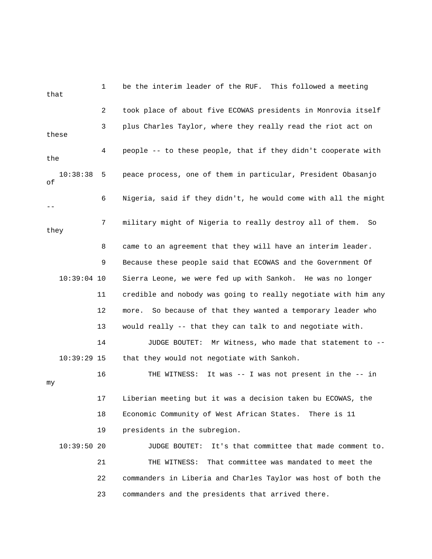1 be the interim leader of the RUF. This followed a meeting that 2 took place of about five ECOWAS presidents in Monrovia itself 3 plus Charles Taylor, where they really read the riot act on these 4 people -- to these people, that if they didn't cooperate with 6 Nigeria, said if they didn't, he would come with all the might 7 military might of Nigeria to really destroy all of them. So 8 came to an agreement that they will have an interim leader. 10:39:04 10 Sierra Leone, we were fed up with Sankoh. He was no longer 11 credible and nobody was going to really negotiate with him any 14 JUDGE BOUTET: Mr Witness, who made that statement to -e 17 Liberian meeting but it was a decision taken bu ECOWAS, th 18 Economic Community of West African States. There is 11 19 presidents in the subregion. . 10:39:50 20 JUDGE BOUTET: It's that committee that made comment to 22 commanders in Liberia and Charles Taylor was host of both the 23 commanders and the presidents that arrived there. the 10:38:38 5 peace process, one of them in particular, President Obasanjo of - they 9 Because these people said that ECOWAS and the Government Of 12 more. So because of that they wanted a temporary leader who 13 would really -- that they can talk to and negotiate with. 10:39:29 15 that they would not negotiate with Sankoh. 16 THE WITNESS: It was -- I was not present in the -- in my 21 THE WITNESS: That committee was mandated to meet the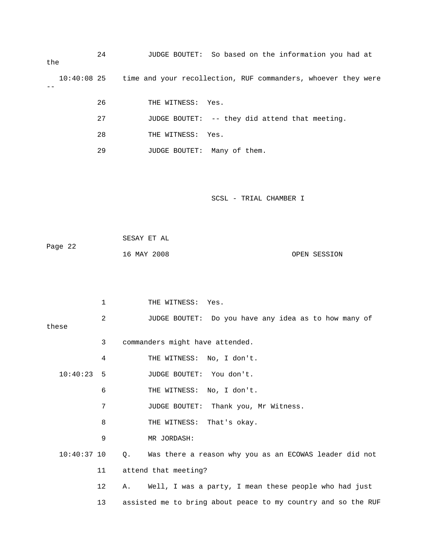| the           | 24 | JUDGE BOUTET: So based on the information you had at          |
|---------------|----|---------------------------------------------------------------|
| $10:40:08$ 25 |    | time and your recollection, RUF commanders, whoever they were |
|               | 26 | THE WITNESS: Yes.                                             |
|               | 27 | JUDGE BOUTET: -- they did attend that meeting.                |
|               | 28 | THE WITNESS:<br>Yes.                                          |
|               | 29 | JUDGE BOUTET: Many of them.                                   |
|               |    |                                                               |
|               |    |                                                               |
|               |    | SCSL - TRIAL CHAMBER I                                        |
|               |    |                                                               |
|               |    | SESAY ET AL                                                   |
| Page 22       |    | 16 MAY 2008<br>OPEN SESSION                                   |
|               |    |                                                               |
|               |    |                                                               |
|               | 1  | THE WITNESS: Yes.                                             |
|               | 2  | JUDGE BOUTET: Do you have any idea as to how many of          |
| these         | 3  | commanders might have attended.                               |
|               | 4  | No, I don't.                                                  |
| 10:40:23      | 5  | THE WITNESS:<br>JUDGE BOUTET: You don't.                      |
|               |    |                                                               |
|               | 6  | THE WITNESS: No, I don't.                                     |
|               | 7  | JUDGE BOUTET:<br>Thank you, Mr Witness.                       |
|               | 8  | THE WITNESS:<br>That's okay.                                  |
|               | 9  | MR JORDASH:                                                   |
| $10:40:37$ 10 |    | Was there a reason why you as an ECOWAS leader did not<br>Q.  |
|               | 11 | attend that meeting?                                          |
|               | 12 | Well, I was a party, I mean these people who had just<br>Α.   |
|               | 13 | assisted me to bring about peace to my country and so the RUF |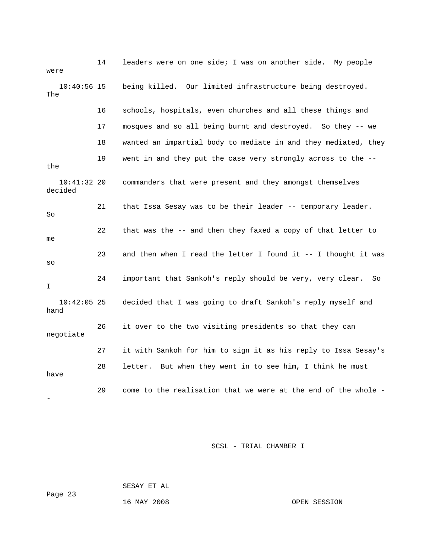| were                     | 14 | leaders were on one side; I was on another side. My people      |
|--------------------------|----|-----------------------------------------------------------------|
| $10:40:56$ 15<br>The     |    | being killed. Our limited infrastructure being destroyed.       |
|                          | 16 | schools, hospitals, even churches and all these things and      |
|                          | 17 | mosques and so all being burnt and destroyed. So they -- we     |
|                          | 18 | wanted an impartial body to mediate in and they mediated, they  |
| the                      | 19 | went in and they put the case very strongly across to the --    |
| $10:41:32$ 20<br>decided |    | commanders that were present and they amongst themselves        |
| So                       | 21 | that Issa Sesay was to be their leader -- temporary leader.     |
| me                       | 22 | that was the -- and then they faxed a copy of that letter to    |
| SO                       | 23 | and then when I read the letter I found it -- I thought it was  |
| I.                       | 24 | important that Sankoh's reply should be very, very clear.<br>So |
| $10:42:05$ 25<br>hand    |    | decided that I was going to draft Sankoh's reply myself and     |
| negotiate                | 26 | it over to the two visiting presidents so that they can         |
|                          | 27 | it with Sankoh for him to sign it as his reply to Issa Sesay's  |
| have                     | 28 | letter. But when they went in to see him, I think he must       |
|                          | 29 | come to the realisation that we were at the end of the whole -  |

SESAY ET AL

ge 23 Pa

16 MAY 2008 OPEN SESSION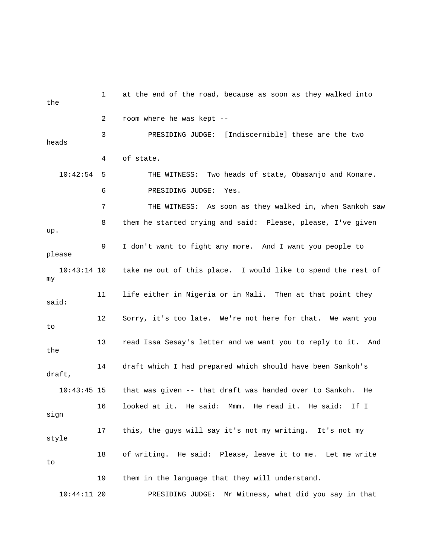1 at the end of the road, because as soon as they walked into the 2 room where he was kept -- 3 PRESIDING JUDGE: [Indiscernible] these are the two heads 10:42:54 5 THE WITNESS: Two heads of state, Obasanjo and Konare. 6 PRESIDING JUDGE: Yes. 7 THE WITNESS: As soon as they walked in, when Sankoh saw 8 them he started crying and said: Please, please, I've given 9 I don't want to fight any more. And I want you people to 11 life either in Nigeria or in Mali. Then at that point they said: 12 Sorry, it's too late. We're not here for that. We want you 13 read Issa Sesay's letter and we want you to reply to it. And 14 draft which I had prepared which should have been Sankoh's that was given -- that draft was handed over to Sankoh. He 19 them in the language that they will understand. t 10:44:11 20 PRESIDING JUDGE: Mr Witness, what did you say in tha 4 of state. up. please 10:43:14 10 take me out of this place. I would like to spend the rest of my to the draft,  $10:43:45$  15 16 looked at it. He said: Mmm. He read it. He said: If I sign 17 this, the guys will say it's not my writing. It's not my style 18 of writing. He said: Please, leave it to me. Let me write to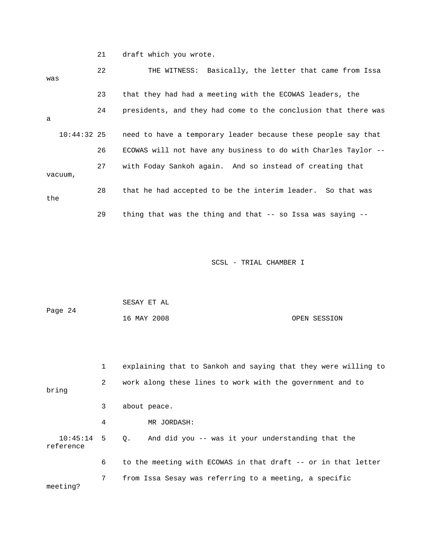21 draft which you wrote.

| was     |               | 22 | THE WITNESS: Basically, the letter that came from Issa           |
|---------|---------------|----|------------------------------------------------------------------|
|         |               | 23 | that they had had a meeting with the ECOWAS leaders, the         |
|         |               | 24 | presidents, and they had come to the conclusion that there was   |
| a       |               |    |                                                                  |
|         | $10:44:32$ 25 |    | need to have a temporary leader because these people say that    |
|         |               | 26 | ECOWAS will not have any business to do with Charles Taylor --   |
|         |               | 27 | with Foday Sankoh again. And so instead of creating that         |
| vacuum, |               |    |                                                                  |
| the     |               | 28 | that he had accepted to be the interim leader. So that was       |
|         |               | 29 | thing that was the thing and that $-$ - so Issa was saying $-$ - |

| Page 24 | SESAY ET AL |              |
|---------|-------------|--------------|
|         | 16 MAY 2008 | OPEN SESSION |

|                              | $\mathbf{1}$ | explaining that to Sankoh and saying that they were willing to |
|------------------------------|--------------|----------------------------------------------------------------|
| bring                        | 2            | work along these lines to work with the government and to      |
|                              | 3            | about peace.                                                   |
|                              | 4            | MR JORDASH:                                                    |
| $10:45:14$ 5 0.<br>reference |              | And did you -- was it your understanding that the              |
|                              | 6            | to the meeting with ECOWAS in that draft -- or in that letter  |
| meeting?                     | 7            | from Issa Sesay was referring to a meeting, a specific         |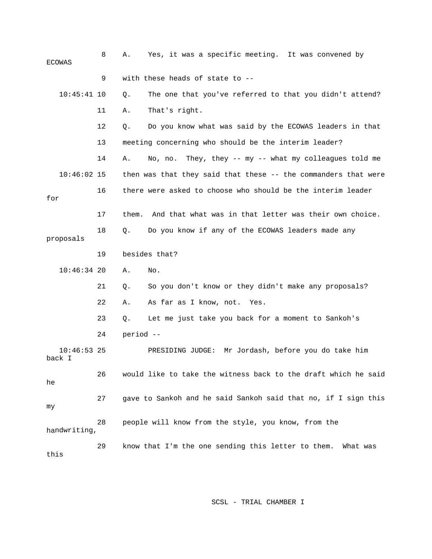| <b>ECOWAS</b>           | 8  | Yes, it was a specific meeting. It was convened by<br>Α.       |
|-------------------------|----|----------------------------------------------------------------|
|                         | 9  | with these heads of state to --                                |
| $10:45:41$ 10           |    | The one that you've referred to that you didn't attend?<br>Q.  |
|                         | 11 | That's right.<br>Α.                                            |
|                         | 12 | Do you know what was said by the ECOWAS leaders in that<br>Q.  |
|                         | 13 | meeting concerning who should be the interim leader?           |
|                         | 14 | No, no. They, they -- my -- what my colleagues told me<br>Α.   |
| $10:46:02$ 15           |    | then was that they said that these -- the commanders that were |
| for                     | 16 | there were asked to choose who should be the interim leader    |
|                         | 17 | them. And that what was in that letter was their own choice.   |
| proposals               | 18 | Do you know if any of the ECOWAS leaders made any<br>$Q$ .     |
|                         | 19 | besides that?                                                  |
| $10:46:34$ 20           |    | Α.<br>No.                                                      |
|                         | 21 | So you don't know or they didn't make any proposals?<br>Q.     |
|                         | 22 | As far as I know, not.<br>Α.<br>Yes.                           |
|                         | 23 | Let me just take you back for a moment to Sankoh's<br>Q.       |
|                         | 24 | period --                                                      |
| $10:46:53$ 25<br>back I |    | Mr Jordash, before you do take him<br>PRESIDING JUDGE:         |
| he                      | 26 | would like to take the witness back to the draft which he said |
| my                      | 27 | gave to Sankoh and he said Sankoh said that no, if I sign this |
| handwriting,            | 28 | people will know from the style, you know, from the            |
| this                    | 29 | know that I'm the one sending this letter to them.<br>What was |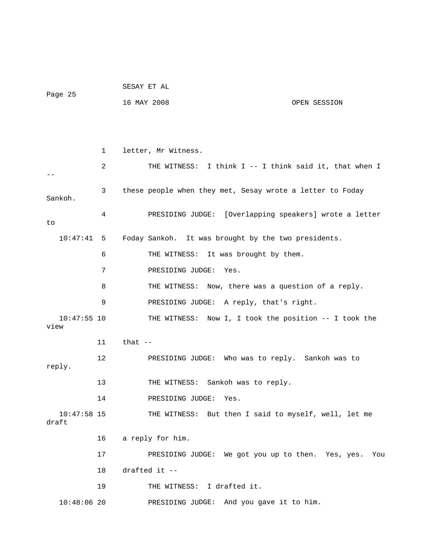| Page 25                |    | SESAY ET AL                                               |  |  |  |  |
|------------------------|----|-----------------------------------------------------------|--|--|--|--|
|                        |    | 16 MAY 2008<br>OPEN SESSION                               |  |  |  |  |
|                        |    |                                                           |  |  |  |  |
|                        |    |                                                           |  |  |  |  |
|                        | 1  | letter, Mr Witness.                                       |  |  |  |  |
|                        | 2  | THE WITNESS: I think I -- I think said it, that when I    |  |  |  |  |
| Sankoh.                | 3  | these people when they met, Sesay wrote a letter to Foday |  |  |  |  |
| to                     | 4  | PRESIDING JUDGE: [Overlapping speakers] wrote a letter    |  |  |  |  |
| 10:47:41 5             |    | Foday Sankoh. It was brought by the two presidents.       |  |  |  |  |
|                        | 6  | THE WITNESS: It was brought by them.                      |  |  |  |  |
|                        | 7  | PRESIDING JUDGE: Yes.                                     |  |  |  |  |
|                        | 8  | THE WITNESS: Now, there was a question of a reply.        |  |  |  |  |
|                        | 9  | PRESIDING JUDGE: A reply, that's right.                   |  |  |  |  |
| $10:47:55$ 10<br>view  |    | THE WITNESS: Now I, I took the position -- I took the     |  |  |  |  |
|                        | 11 | that $--$                                                 |  |  |  |  |
| reply.                 | 12 | PRESIDING JUDGE: Who was to reply. Sankoh was to          |  |  |  |  |
|                        | 13 | Sankoh was to reply.<br>THE WITNESS:                      |  |  |  |  |
|                        | 14 | PRESIDING JUDGE: Yes.                                     |  |  |  |  |
| $10:47:58$ 15<br>draft |    | THE WITNESS: But then I said to myself, well, let me      |  |  |  |  |
|                        | 16 | a reply for him.                                          |  |  |  |  |
|                        | 17 | PRESIDING JUDGE: We got you up to then. Yes, yes. You     |  |  |  |  |
|                        | 18 | drafted it --                                             |  |  |  |  |
|                        | 19 | THE WITNESS: I drafted it.                                |  |  |  |  |
| $10:48:06$ 20          |    | PRESIDING JUDGE: And you gave it to him.                  |  |  |  |  |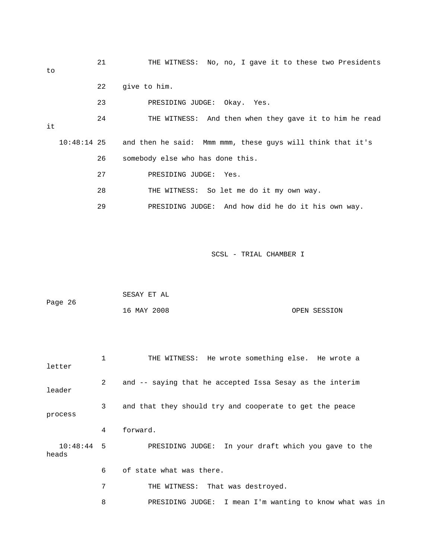| to | 21 | THE WITNESS: No, no, I gave it to these two Presidents                 |
|----|----|------------------------------------------------------------------------|
|    | 22 | give to him.                                                           |
|    | 23 | PRESIDING JUDGE: Okay. Yes.                                            |
| it | 24 | THE WITNESS: And then when they gave it to him he read                 |
|    |    | 10:48:14 25 and then he said: Mmm mmm, these guys will think that it's |
|    | 26 | somebody else who has done this.                                       |
|    | 27 | PRESIDING JUDGE: Yes.                                                  |
|    | 28 | THE WITNESS: So let me do it my own way.                               |
|    | 29 | PRESIDING JUDGE: And how did he do it his own way.                     |

|         | SESAY ET AL |  |              |
|---------|-------------|--|--------------|
| Page 26 |             |  |              |
|         | 16 MAY 2008 |  | OPEN SESSION |

| letter                | 1              | THE WITNESS: He wrote something else. He wrote a         |
|-----------------------|----------------|----------------------------------------------------------|
| leader                | $\overline{2}$ | and -- saying that he accepted Issa Sesay as the interim |
| process               | 3              | and that they should try and cooperate to get the peace  |
|                       | 4              | forward.                                                 |
| $10:48:44$ 5<br>heads |                | PRESIDING JUDGE: In your draft which you gave to the     |
|                       | 6              | of state what was there.                                 |
|                       | 7              | THE WITNESS: That was destroyed.                         |
|                       | 8              | PRESIDING JUDGE: I mean I'm wanting to know what was in  |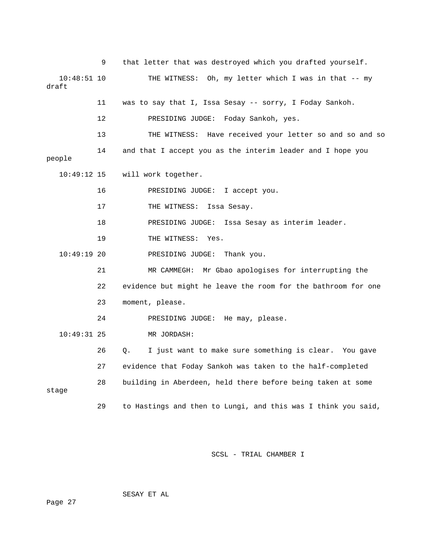9 that letter that was destroyed which you drafted yourself. 10:48:51 10 THE WITNESS: Oh, my letter which I was in that -- my 11 was to say that I, Issa Sesay -- sorry, I Foday Sankoh. 12 PRESIDING JUDGE: Foday Sankoh, yes. 13 THE WITNESS: Have received your letter so and so and so 14 and that I accept you as the interim leader and I hope you 10:49:12 15 will work together. 16 PRESIDING JUDGE: I accept you. 18 PRESIDING JUDGE: Issa Sesay as interim leader. 19 THE WITNESS: Yes. 21 MR CAMMEGH: Mr Gbao apologises for interrupting the 22 evidence but might he leave the room for the bathroom for one 24 PRESIDING JUDGE: He may, please. 27 evidence that Foday Sankoh was taken to the half-completed 28 building in Aberdeen, held there before being taken at some stage 29 to Hastings and then to Lungi, and this was I think you said, draft people 17 THE WITNESS: Issa Sesay. 10:49:19 20 PRESIDING JUDGE: Thank you. 23 moment, please. 10:49:31 25 MR JORDASH: 26 Q. I just want to make sure something is clear. You gave

SCSL - TRIAL CHAMBER I

SESAY ET AL

Page 27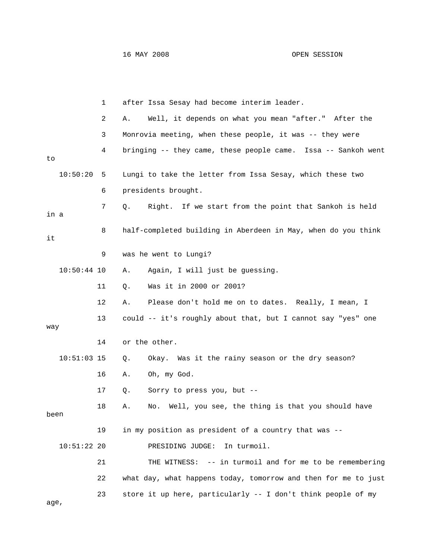|               | 1  | after Issa Sesay had become interim leader.                    |
|---------------|----|----------------------------------------------------------------|
|               | 2  | Well, it depends on what you mean "after." After the<br>Α.     |
|               | 3  | Monrovia meeting, when these people, it was -- they were       |
| to            | 4  | bringing -- they came, these people came. Issa -- Sankoh went  |
| 10:50:20      | 5  | Lungi to take the letter from Issa Sesay, which these two      |
|               | 6  | presidents brought.                                            |
| in a          | 7  | Right. If we start from the point that Sankoh is held<br>Q.    |
| it            | 8  | half-completed building in Aberdeen in May, when do you think  |
|               | 9  | was he went to Lungi?                                          |
| $10:50:44$ 10 |    | Again, I will just be guessing.<br>Α.                          |
|               | 11 | Was it in 2000 or 2001?<br>Q.                                  |
|               | 12 | Please don't hold me on to dates. Really, I mean, I<br>Α.      |
| way           | 13 | could -- it's roughly about that, but I cannot say "yes" one   |
|               | 14 | or the other.                                                  |
| $10:51:03$ 15 |    | Okay. Was it the rainy season or the dry season?<br>Q.         |
|               | 16 | Oh, my God.<br>Α.                                              |
|               | 17 | Sorry to press you, but --<br>Q.                               |
| been          | 18 | Well, you see, the thing is that you should have<br>Α.<br>No.  |
|               | 19 | in my position as president of a country that was --           |
| $10:51:22$ 20 |    | PRESIDING JUDGE:<br>In turmoil.                                |
|               | 21 | THE WITNESS: -- in turmoil and for me to be remembering        |
|               | 22 | what day, what happens today, tomorrow and then for me to just |
| age,          | 23 | store it up here, particularly -- I don't think people of my   |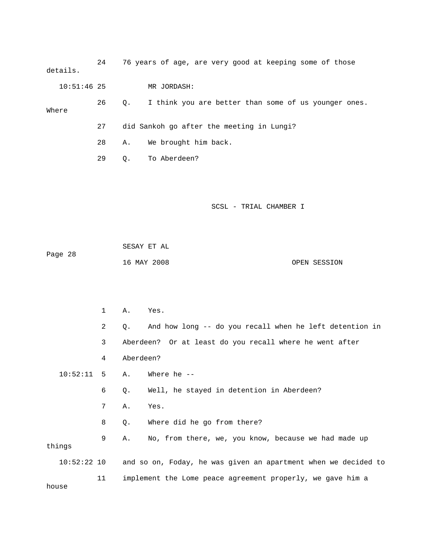24 76 years of age, are very good at keeping some of those details.

10:51:46 25 MR JORDASH:

 26 Q. I think you are better than some of us younger ones. Where 27 did Sankoh go after the meeting in Lungi?

28 A. We brought him back.

29 Q. To Aberdeen?

SCSL - TRIAL CHAMBER I

 SESAY ET AL Page 28 16 MAY 2008 OPEN SESSION

2 Q. And how long -- do you recall when he left detention in 3 Aberdeen? Or at least do you recall where he went after 4 Aberdeen? Where he --8 Q. Where did he go from there? 9 A. No, from there, we, you know, because we had made up 10:52:22 10 and so on, Foday, he was given an apartment when we decided to 11 implement the Lome peace agreement properly, we gave him a 1 A. Yes.  $10:52:11$  5 A. 6 Q. Well, he stayed in detention in Aberdeen? 7 A. Yes. things

house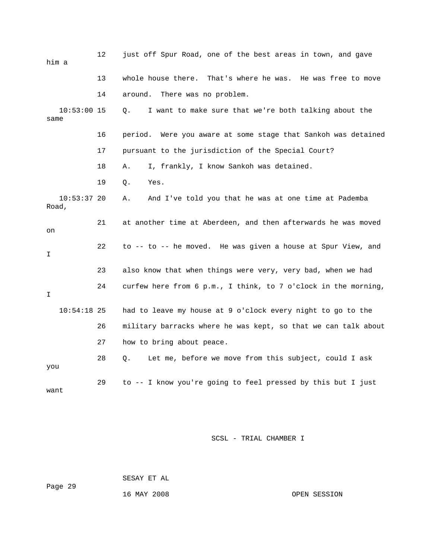| him a                  | 12 | just off Spur Road, one of the best areas in town, and gave    |
|------------------------|----|----------------------------------------------------------------|
|                        | 13 | whole house there. That's where he was. He was free to move    |
|                        | 14 | around.<br>There was no problem.                               |
| $10:53:00$ 15<br>same  |    | I want to make sure that we're both talking about the<br>Q.    |
|                        | 16 | period. Were you aware at some stage that Sankoh was detained  |
|                        | 17 | pursuant to the jurisdiction of the Special Court?             |
|                        | 18 | I, frankly, I know Sankoh was detained.<br>Α.                  |
|                        | 19 | Q.<br>Yes.                                                     |
| $10:53:37$ 20<br>Road, |    | And I've told you that he was at one time at Pademba<br>Α.     |
| on                     | 21 | at another time at Aberdeen, and then afterwards he was moved  |
| I.                     | 22 | to -- to -- he moved. He was given a house at Spur View, and   |
|                        | 23 | also know that when things were very, very bad, when we had    |
| I                      | 24 | curfew here from 6 p.m., I think, to 7 o'clock in the morning, |
| $10:54:18$ 25          |    | had to leave my house at 9 o'clock every night to go to the    |
|                        | 26 | military barracks where he was kept, so that we can talk about |
|                        | 27 | how to bring about peace.                                      |
| you                    | 28 | Let me, before we move from this subject, could I ask<br>Q.    |
| want                   | 29 | to -- I know you're going to feel pressed by this but I just   |

 SESAY ET AL ge 29 16 MAY 2008 OPEN SESSION Pa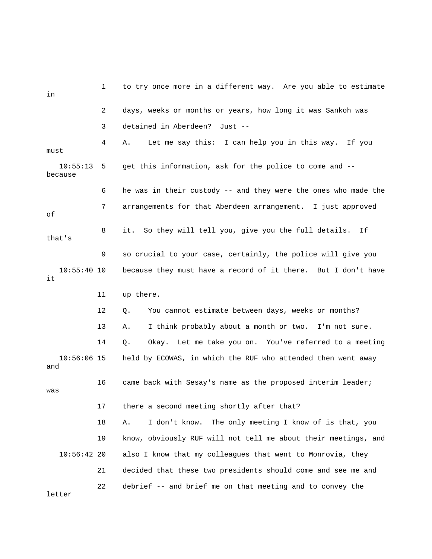| in                   | 1  | to try once more in a different way. Are you able to estimate  |
|----------------------|----|----------------------------------------------------------------|
|                      | 2  | days, weeks or months or years, how long it was Sankoh was     |
|                      | 3  | detained in Aberdeen? Just --                                  |
| must                 | 4  | Let me say this: I can help you in this way. If you<br>Α.      |
| 10:55:13<br>because  | 5  | get this information, ask for the police to come and --        |
|                      | 6  | he was in their custody -- and they were the ones who made the |
| оf                   | 7  | arrangements for that Aberdeen arrangement. I just approved    |
| that's               | 8  | So they will tell you, give you the full details.<br>it.<br>If |
|                      | 9  | so crucial to your case, certainly, the police will give you   |
| $10:55:40$ 10<br>it  |    | because they must have a record of it there. But I don't have  |
|                      | 11 | up there.                                                      |
|                      | 12 | You cannot estimate between days, weeks or months?<br>Q.       |
|                      | 13 | I think probably about a month or two. I'm not sure.<br>Α.     |
|                      | 14 | Okay. Let me take you on. You've referred to a meeting<br>Q.   |
| $10:56:06$ 15<br>and |    | held by ECOWAS, in which the RUF who attended then went away   |
| was                  | 16 | came back with Sesay's name as the proposed interim leader;    |
|                      | 17 | there a second meeting shortly after that?                     |
|                      | 18 | The only meeting I know of is that, you<br>I don't know.<br>Α. |
|                      | 19 | know, obviously RUF will not tell me about their meetings, and |
| $10:56:42$ 20        |    | also I know that my colleagues that went to Monrovia, they     |
|                      | 21 | decided that these two presidents should come and see me and   |
| letter               | 22 | debrief -- and brief me on that meeting and to convey the      |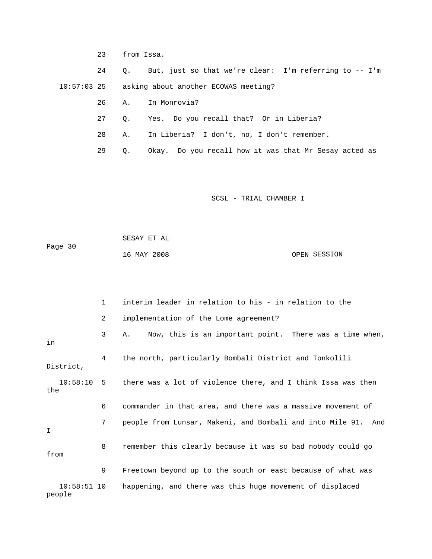23 from Issa.

 24 Q. But, just so that we're clear: I'm referring to -- I'm 10:57:03 25 asking about another ECOWAS meeting?

26 A. In Monrovia?

27 Q. Yes. Do you recall that? Or in Liberia?

28 A. In Liberia? I don't, no, I don't remember.

29 Q. Okay. Do you recall how it was that Mr Sesay acted as

SCSL - TRIAL CHAMBER I

 SESAY ET AL Page 30 OPEN SESSION 16 MAY 2008

|                         | $\mathbf{1}$   | interim leader in relation to his - in relation to the        |
|-------------------------|----------------|---------------------------------------------------------------|
|                         | $\overline{2}$ | implementation of the Lome agreement?                         |
| in                      | 3              | Now, this is an important point. There was a time when,<br>Α. |
| District,               | 4              | the north, particularly Bombali District and Tonkolili        |
| 10:58:10 5<br>the       |                | there was a lot of violence there, and I think Issa was then  |
|                         | 6              | commander in that area, and there was a massive movement of   |
| I                       | 7              | people from Lunsar, Makeni, and Bombali and into Mile 91. And |
| from                    | 8              | remember this clearly because it was so bad nobody could go   |
|                         | 9              | Freetown beyond up to the south or east because of what was   |
| $10:58:51$ 10<br>people |                | happening, and there was this huge movement of displaced      |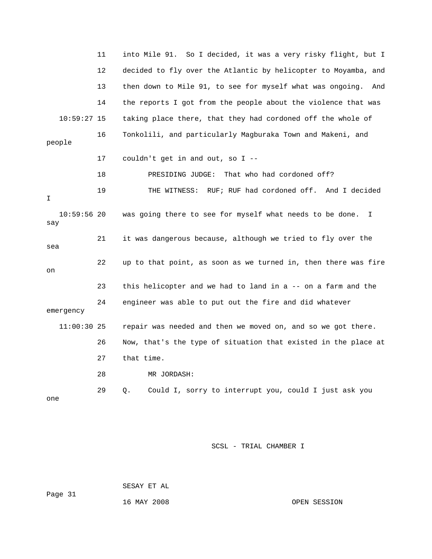|                      | 11 | So I decided, it was a very risky flight, but I<br>into Mile 91. |
|----------------------|----|------------------------------------------------------------------|
|                      | 12 | decided to fly over the Atlantic by helicopter to Moyamba, and   |
|                      | 13 | then down to Mile 91, to see for myself what was ongoing.<br>And |
|                      | 14 | the reports I got from the people about the violence that was    |
| $10:59:27$ 15        |    | taking place there, that they had cordoned off the whole of      |
| people               | 16 | Tonkolili, and particularly Magburaka Town and Makeni, and       |
|                      | 17 | couldn't get in and out, so I --                                 |
|                      | 18 | PRESIDING JUDGE:<br>That who had cordoned off?                   |
| I                    | 19 | RUF; RUF had cordoned off.<br>THE WITNESS:<br>And I decided      |
| $10:59:56$ 20<br>say |    | was going there to see for myself what needs to be done.<br>I.   |
| sea                  | 21 | it was dangerous because, although we tried to fly over the      |
| on                   | 22 | up to that point, as soon as we turned in, then there was fire   |
|                      | 23 | this helicopter and we had to land in a -- on a farm and the     |
| emergency            | 24 | engineer was able to put out the fire and did whatever           |
| $11:00:30$ 25        |    | repair was needed and then we moved on, and so we got there.     |
|                      | 26 | Now, that's the type of situation that existed in the place at   |
|                      | 27 | that time.                                                       |
|                      | 28 | MR JORDASH:                                                      |
| one                  | 29 | Could I, sorry to interrupt you, could I just ask you<br>Q.      |

 SESAY ET AL ge 31

Pa

16 MAY 2008 OPEN SESSION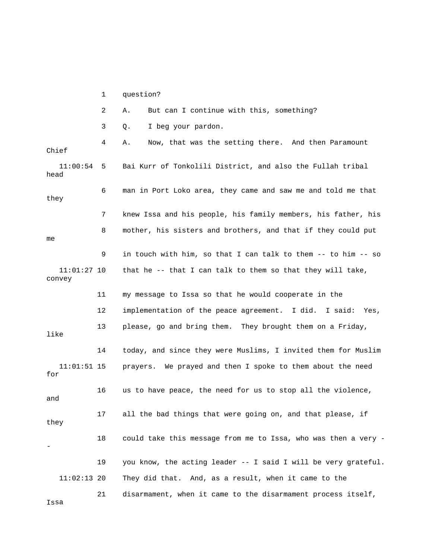1 question? 3 Q. I beg your pardon. 4 A. Now, that was the setting there. And then Paramount Chief 11:00:54 5 Bai Kurr of Tonkolili District, and also the Fullah tribal head 6 man in Port Loko area, they came and saw me and told me that 7 knew Issa and his people, his family members, his father, his 8 mother, his sisters and brothers, and that if they could put that he  $-$ - that I can talk to them so that they will take, convey 11 my message to Issa so that he would cooperate in the 12 implementation of the peace agreement. I did. I said: Yes, like 14 today, and since they were Muslims, I invited them for Muslim 11:01:51 15 prayers. We prayed and then I spoke to them about the need 16 us to have peace, the need for us to stop all the violence, 17 all the bad things that were going on, and that please, if 18 could take this message from me to Issa, who was then a very -. 19 you know, the acting leader -- I said I will be very grateful 21 disarmament, when it came to the disarmament process itself, 2 A. But can I continue with this, something? they me 9 in touch with him, so that I can talk to them -- to him -- so  $11:01:27$  10 13 please, go and bring them. They brought them on a Friday, for and they - 11:02:13 20 They did that. And, as a result, when it came to the

Issa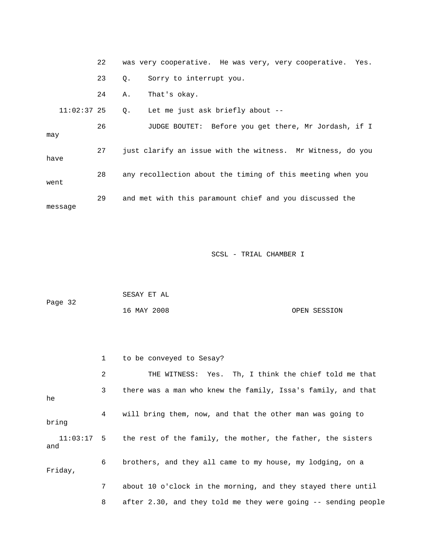|               | 22 |    | was very cooperative. He was very, very cooperative. Yes.  |
|---------------|----|----|------------------------------------------------------------|
|               | 23 | 0. | Sorry to interrupt you.                                    |
|               | 24 | Α. | That's okay.                                               |
| $11:02:37$ 25 |    | Q. | Let me just ask briefly about --                           |
| may           | 26 |    | JUDGE BOUTET: Before you get there, Mr Jordash, if I       |
| have          | 27 |    | just clarify an issue with the witness. Mr Witness, do you |
| went          | 28 |    | any recollection about the timing of this meeting when you |
| message       | 29 |    | and met with this paramount chief and you discussed the    |

|         | SESAY ET AL |              |
|---------|-------------|--------------|
| Page 32 |             |              |
|         | 16 MAY 2008 | OPEN SESSION |

|         |                 | to be conveyed to Sesay?                                               |
|---------|-----------------|------------------------------------------------------------------------|
|         | $\overline{2}$  | THE WITNESS: Yes. Th, I think the chief told me that                   |
| he      | $\mathbf{3}$    | there was a man who knew the family, Issa's family, and that           |
| bring   | $4\overline{ }$ | will bring them, now, and that the other man was going to              |
| and     |                 | 11:03:17 5 the rest of the family, the mother, the father, the sisters |
| Friday, | 6               | brothers, and they all came to my house, my lodging, on a              |
|         | 7               | about 10 o'clock in the morning, and they stayed there until           |
|         | 8               | after 2.30, and they told me they were going -- sending people         |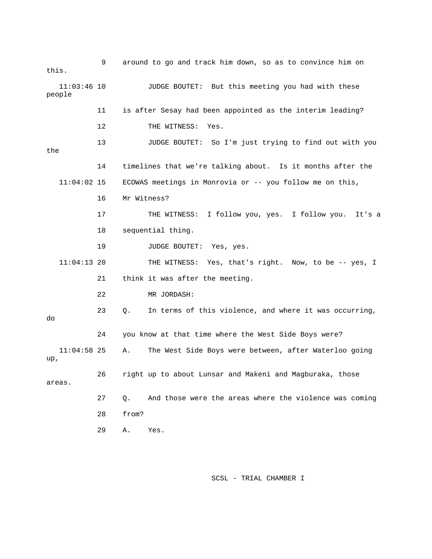9 around to go and track him down, so as to convince him on this. JUDGE BOUTET: But this meeting you had with these people 12 THE WITNESS: Yes. 13 JUDGE BOUTET: So I'm just trying to find out with you the 14 timelines that we're talking about. Is it months after the 19 JUDGE BOUTET: Yes, yes. 11:04:13 20 THE WITNESS: Yes, that's right. Now, to be -- yes, I 21 think it was after the meeting. 22 MR JORDASH: 23 Q. In terms of this violence, and where it was occurring, 11:04:58 25 A. The West Side Boys were between, after Waterloo going , up 26 right up to about Lunsar and Makeni and Magburaka, those 27 Q. And those were the areas where the violence was coming 28 from? 29 A. Yes.  $11:03:46$  10 11 is after Sesay had been appointed as the interim leading? 11:04:02 15 ECOWAS meetings in Monrovia or -- you follow me on this, 16 Mr Witness? 17 THE WITNESS: I follow you, yes. I follow you. It's a 18 sequential thing. do 24 you know at that time where the West Side Boys were? areas.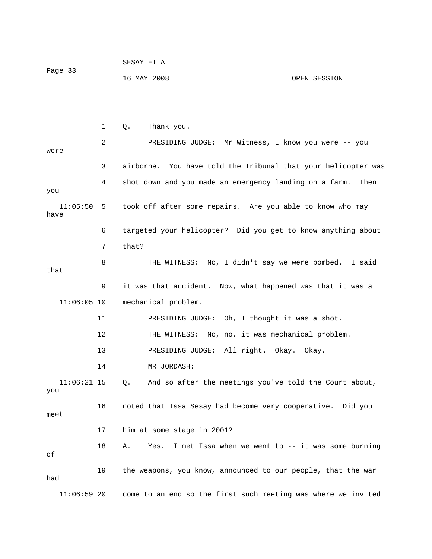| Page 33 | SESAY ET AL |              |
|---------|-------------|--------------|
|         | 16 MAY 2008 | OPEN SESSION |

|                      | 1  | Thank you.<br>Q.                                                |
|----------------------|----|-----------------------------------------------------------------|
| were                 | 2  | PRESIDING JUDGE: Mr Witness, I know you were -- you             |
|                      | 3  | airborne. You have told the Tribunal that your helicopter was   |
| you                  | 4  | shot down and you made an emergency landing on a farm.<br>Then  |
| $11:05:50$ 5<br>have |    | took off after some repairs. Are you able to know who may       |
|                      | 6  | targeted your helicopter? Did you get to know anything about    |
|                      | 7  | that?                                                           |
| that                 | 8  | THE WITNESS: No, I didn't say we were bombed. I said            |
|                      | 9  | it was that accident. Now, what happened was that it was a      |
| $11:06:05$ 10        |    | mechanical problem.                                             |
|                      | 11 | PRESIDING JUDGE: Oh, I thought it was a shot.                   |
|                      | 12 | THE WITNESS: No, no, it was mechanical problem.                 |
|                      | 13 | PRESIDING JUDGE: All right. Okay. Okay.                         |
|                      | 14 | MR JORDASH:                                                     |
| $11:06:21$ 15<br>you |    | And so after the meetings you've told the Court about,<br>Q.    |
| meet                 | 16 | noted that Issa Sesay had become very cooperative. Did you      |
|                      | 17 | him at some stage in 2001?                                      |
| оf                   | 18 | I met Issa when we went to -- it was some burning<br>Α.<br>Yes. |
| had                  | 19 | the weapons, you know, announced to our people, that the war    |
| $11:06:59$ 20        |    | come to an end so the first such meeting was where we invited   |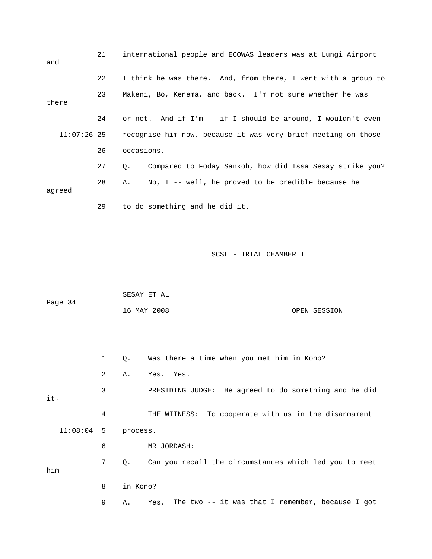| and         | 21 |            | international people and ECOWAS leaders was at Lungi Airport  |
|-------------|----|------------|---------------------------------------------------------------|
|             | 22 |            | I think he was there. And, from there, I went with a group to |
| there       | 23 |            | Makeni, Bo, Kenema, and back. I'm not sure whether he was     |
|             | 24 |            | or not. And if I'm -- if I should be around, I wouldn't even  |
| 11:07:26 25 |    |            | recognise him now, because it was very brief meeting on those |
|             | 26 | occasions. |                                                               |
|             | 27 | Q.         | Compared to Foday Sankoh, how did Issa Sesay strike you?      |
| agreed      | 28 | Α.         | No, $I$ -- well, he proved to be credible because he          |
|             | 29 |            | to do something and he did it.                                |

|         | SESAY ET AL |              |
|---------|-------------|--------------|
| Page 34 |             |              |
|         | 16 MAY 2008 | OPEN SESSION |

 1 Q. Was there a time when you met him in Kono? 3 PRESIDING JUDGE: He agreed to do something and he did . it 4 THE WITNESS: To cooperate with us in the disarmament 9 A. Yes. The two -- it was that I remember, because I got 2 A. Yes. Yes. 11:08:04 5 process. 6 MR JORDASH: 7 Q. Can you recall the circumstances which led you to meet him 8 in Kono?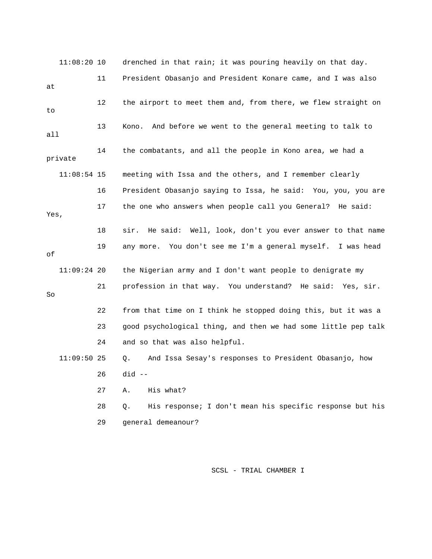11:08:20 10 drenched in that rain; it was pouring heavily on that day. 11 President Obasanjo and President Konare came, and I was also 12 the airport to meet them and, from there, we flew straight on 14 the combatants, and all the people in Kono area, we had a 11:08:54 15 meeting with Issa and the others, and I remember clearly 16 President Obasanjo saying to Issa, he said: You, you, you are 18 sir. He said: Well, look, don't you ever answer to that name 19 any more. You don't see me I'm a general myself. I was head 24 and so that was also helpful. 11:09:50 25 Q. And Issa Sesay's responses to President Obasanjo, how at to 13 Kono. And before we went to the general meeting to talk to all private 17 the one who answers when people call you General? He said: Yes, of 11:09:24 20 the Nigerian army and I don't want people to denigrate my 21 profession in that way. You understand? He said: Yes, sir. So 22 from that time on I think he stopped doing this, but it was a 23 good psychological thing, and then we had some little pep talk 26 did -- 27 A. His what? 28 Q. His response; I don't mean his specific response but his 29 general demeanour?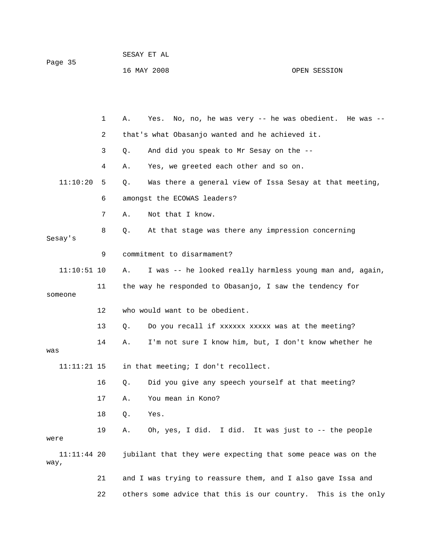|         | SESAY ET AL |  |
|---------|-------------|--|
| Page 35 |             |  |

16 MAY 2008 OPEN SESSION

|                     | $\mathbf{1}$ | Α. | Yes. No, no, he was very -- he was obedient. He was --        |
|---------------------|--------------|----|---------------------------------------------------------------|
|                     | 2            |    | that's what Obasanjo wanted and he achieved it.               |
|                     | 3            | Q. | And did you speak to Mr Sesay on the --                       |
|                     | 4            | Α. | Yes, we greeted each other and so on.                         |
| 11:10:20            | 5            | Q. | Was there a general view of Issa Sesay at that meeting,       |
|                     | 6            |    | amongst the ECOWAS leaders?                                   |
|                     | 7            | Α. | Not that I know.                                              |
| Sesay's             | 8            | Q. | At that stage was there any impression concerning             |
|                     | 9            |    | commitment to disarmament?                                    |
| $11:10:51$ 10       |              | Α. | I was -- he looked really harmless young man and, again,      |
| someone             | 11           |    | the way he responded to Obasanjo, I saw the tendency for      |
|                     | 12           |    | who would want to be obedient.                                |
|                     | 13           | Q. | Do you recall if xxxxxx xxxxx was at the meeting?             |
| was                 | 14           | Α. | I'm not sure I know him, but, I don't know whether he         |
| $11:11:21$ 15       |              |    | in that meeting; I don't recollect.                           |
|                     | 16           | Q. | Did you give any speech yourself at that meeting?             |
|                     | 17           | Α. | You mean in Kono?                                             |
|                     | 18           | Q. | Yes.                                                          |
| were                | 19           | Α. | Oh, yes, I did. I did. It was just to -- the people           |
| 11:11:44 20<br>way, |              |    | jubilant that they were expecting that some peace was on the  |
|                     | 21           |    | and I was trying to reassure them, and I also gave Issa and   |
|                     | 22           |    | others some advice that this is our country. This is the only |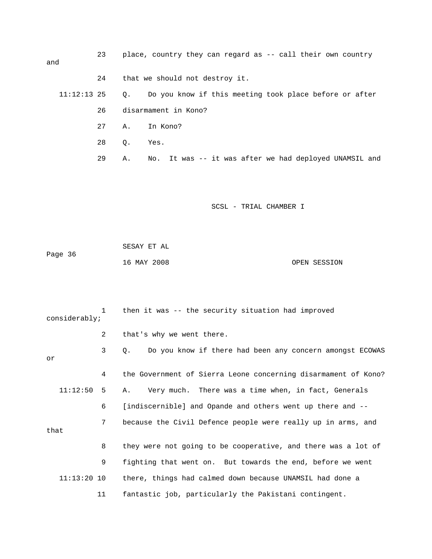| and         | 23 |    | place, country they can regard as -- call their own country |
|-------------|----|----|-------------------------------------------------------------|
|             | 24 |    | that we should not destroy it.                              |
| 11:12:13 25 |    |    | Q. Do you know if this meeting took place before or after   |
|             | 26 |    | disarmament in Kono?                                        |
|             | 27 |    | A. In Kono?                                                 |
|             | 28 | Q. | Yes.                                                        |
|             | 29 | Α. | No. It was -- it was after we had deployed UNAMSIL and      |

| Page 36 | SESAY ET AL |              |
|---------|-------------|--------------|
|         | 16 MAY 2008 | OPEN SESSION |

| considerably; | $\mathbf{1}$ | then it was -- the security situation had improved             |
|---------------|--------------|----------------------------------------------------------------|
|               | 2            | that's why we went there.                                      |
| or            | 3            | Do you know if there had been any concern amongst ECOWAS<br>О. |
|               | 4            | the Government of Sierra Leone concerning disarmament of Kono? |
| 11:12:50      | $5 -$        | Very much. There was a time when, in fact, Generals<br>Α.      |
|               | 6            | [indiscernible] and Opande and others went up there and --     |
| that          | 7            | because the Civil Defence people were really up in arms, and   |
|               | 8            | they were not going to be cooperative, and there was a lot of  |
|               | 9            | fighting that went on. But towards the end, before we went     |
| $11:13:20$ 10 |              | there, things had calmed down because UNAMSIL had done a       |
|               | 11           | fantastic job, particularly the Pakistani contingent.          |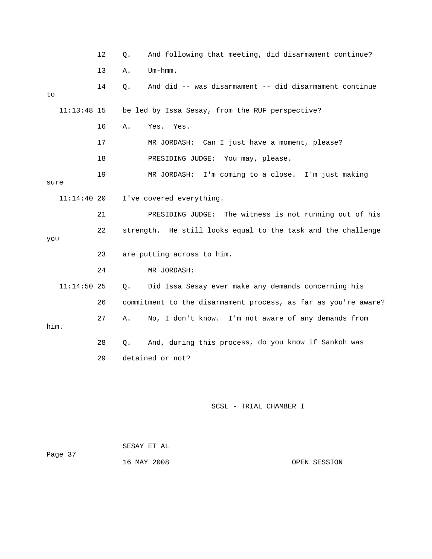12 Q. And following that meeting, did disarmament continue? 13 A. Um-hmm. 18 PRESIDING JUDGE: You may, please. 21 PRESIDING JUDGE: The witness is not running out of his 22 strength. He still looks equal to the task and the challenge you 24 MR JORDASH: 11:14:50 25 Q. Did Issa Sesay ever make any demands concerning his 28 Q. And, during this process, do you know if Sankoh was 14 Q. And did -- was disarmament -- did disarmament continue to 11:13:48 15 be led by Issa Sesay, from the RUF perspective? 16 A. Yes. Yes. 17 MR JORDASH: Can I just have a moment, please? 19 MR JORDASH: I'm coming to a close. I'm just making sure 11:14:40 20 I've covered everything. 23 are putting across to him. 26 commitment to the disarmament process, as far as you're aware? 27 A. No, I don't know. I'm not aware of any demands from him. 29 detained or not? SCSL - TRIAL CHAMBER I

|         | SESAY ET AL |  |
|---------|-------------|--|
| Page 37 |             |  |
|         | 16 MAY 2008 |  |

OPEN SESSION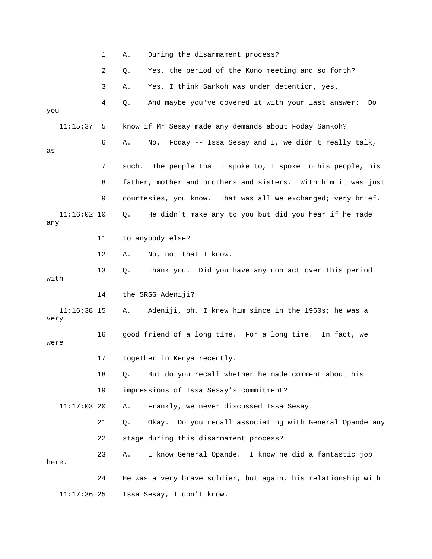|                       | 1  | During the disarmament process?<br>Α.                            |
|-----------------------|----|------------------------------------------------------------------|
|                       | 2  | Yes, the period of the Kono meeting and so forth?<br>Q.          |
|                       | 3  | Yes, I think Sankoh was under detention, yes.<br>Α.              |
|                       | 4  | And maybe you've covered it with your last answer:<br>Q.<br>Do   |
| you                   |    |                                                                  |
| 11:15:37              | 5  | know if Mr Sesay made any demands about Foday Sankoh?            |
| as                    | 6  | Foday -- Issa Sesay and I, we didn't really talk,<br>Α.<br>No.   |
|                       | 7  | The people that I spoke to, I spoke to his people, his<br>such.  |
|                       | 8  | father, mother and brothers and sisters. With him it was just    |
|                       | 9  | courtesies, you know. That was all we exchanged; very brief.     |
| $11:16:02$ 10<br>any  |    | He didn't make any to you but did you hear if he made<br>Q.      |
|                       | 11 | to anybody else?                                                 |
|                       | 12 | No, not that I know.<br>Α.                                       |
| with                  | 13 | Thank you. Did you have any contact over this period<br>Q.       |
|                       | 14 | the SRSG Adeniji?                                                |
| $11:16:38$ 15<br>very |    | Adeniji, oh, I knew him since in the 1960s; he was a<br>Α.       |
| were                  | 16 | good friend of a long time. For a long time.<br>In fact, we      |
|                       | 17 | together in Kenya recently.                                      |
|                       | 18 | But do you recall whether he made comment about his<br>Q.        |
|                       | 19 | impressions of Issa Sesay's commitment?                          |
| $11:17:03$ 20         |    | Frankly, we never discussed Issa Sesay.<br>Α.                    |
|                       | 21 | Do you recall associating with General Opande any<br>Q.<br>Okay. |
|                       | 22 | stage during this disarmament process?                           |
| here.                 | 23 | I know General Opande. I know he did a fantastic job<br>Α.       |
|                       | 24 | He was a very brave soldier, but again, his relationship with    |

11:17:36 25 Issa Sesay, I don't know.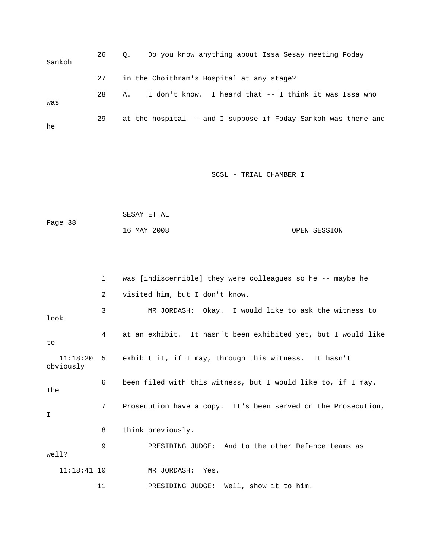| Sankoh | 26 | Do you know anything about Issa Sesay meeting Foday<br>$\circ$ . |
|--------|----|------------------------------------------------------------------|
|        | 27 | in the Choithram's Hospital at any stage?                        |
| was    | 28 | I don't know. I heard that -- I think it was Issa who<br>Α.      |
| he     | 29 | at the hospital -- and I suppose if Foday Sankoh was there and   |

| Page 38 | SESAY ET AL |              |  |
|---------|-------------|--------------|--|
|         | 16 MAY 2008 | OPEN SESSION |  |

|       |               | $\mathbf{1}$   | was [indiscernible] they were colleagues so he -- maybe he       |
|-------|---------------|----------------|------------------------------------------------------------------|
|       |               | $\overline{a}$ | visited him, but I don't know.                                   |
| look  |               | 3              | MR JORDASH: Okay. I would like to ask the witness to             |
| to    |               | 4              | at an exhibit. It hasn't been exhibited yet, but I would like    |
|       | obviously     |                | 11:18:20 5 exhibit it, if I may, through this witness. It hasn't |
| The   |               | 6              | been filed with this witness, but I would like to, if I may.     |
| I     |               | 7 <sup>7</sup> | Prosecution have a copy. It's been served on the Prosecution,    |
|       |               | 8              | think previously.                                                |
| well? |               | 9              | PRESIDING JUDGE: And to the other Defence teams as               |
|       | $11:18:41$ 10 |                | MR JORDASH: Yes.                                                 |
|       |               | 11             | PRESIDING JUDGE: Well, show it to him.                           |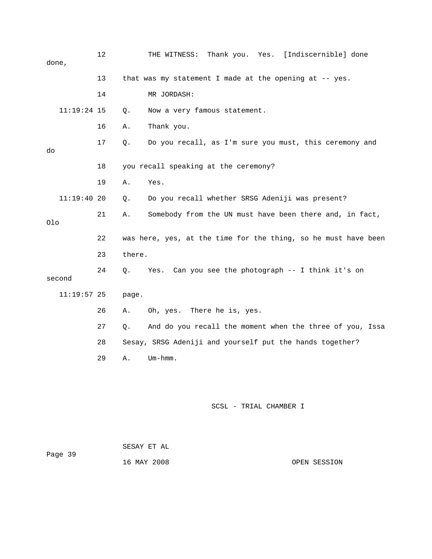| done,  | 12            | THE WITNESS: Thank you. Yes. [Indiscernible] done              |
|--------|---------------|----------------------------------------------------------------|
|        | 13            | that was my statement I made at the opening at -- yes.         |
|        | 14            | MR JORDASH:                                                    |
|        | $11:19:24$ 15 | Now a very famous statement.<br>Q.                             |
|        | 16            | Thank you.<br>Α.                                               |
| do     | 17            | Do you recall, as I'm sure you must, this ceremony and<br>Q.   |
|        | 18            | you recall speaking at the ceremony?                           |
|        | 19            | Yes.<br>Α.                                                     |
|        | 11:19:4020    | Do you recall whether SRSG Adeniji was present?<br>Q.          |
| Olo    | 21            | Somebody from the UN must have been there and, in fact,<br>Α.  |
|        | 22            | was here, yes, at the time for the thing, so he must have been |
|        | 23            | there.                                                         |
| second | 24            | Can you see the photograph -- I think it's on<br>Q.<br>Yes.    |
|        | $11:19:57$ 25 | page.                                                          |
|        |               |                                                                |
|        | 26            | There he is, yes.<br>Oh, yes.<br>Α.                            |
|        | 27            | And do you recall the moment when the three of you, Issa<br>Q. |
|        | 28            | Sesay, SRSG Adeniji and yourself put the hands together?       |
|        | 29            | $Um - hmm.$<br>Α.                                              |
|        |               |                                                                |

Page 39 16 MAY 2008 OPEN SESSION SESAY ET AL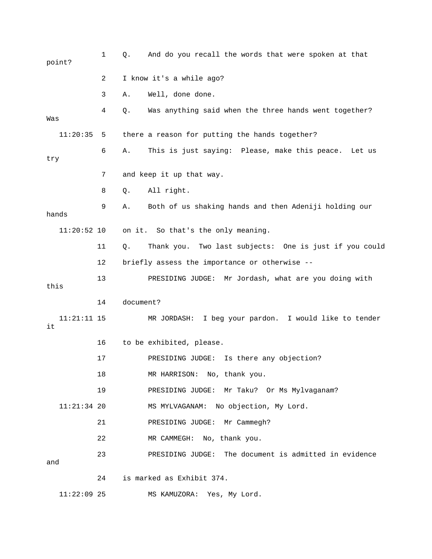| point?              | 1  | And do you recall the words that were spoken at that<br>Q.   |
|---------------------|----|--------------------------------------------------------------|
|                     | 2  | I know it's a while ago?                                     |
|                     | 3  | Well, done done.<br>Α.                                       |
| Was                 | 4  | Was anything said when the three hands went together?<br>Q.  |
| 11:20:35            | 5  | there a reason for putting the hands together?               |
| try                 | 6  | This is just saying: Please, make this peace. Let us<br>Α.   |
|                     | 7  | and keep it up that way.                                     |
|                     | 8  | All right.<br>Q.                                             |
| hands               | 9  | Both of us shaking hands and then Adeniji holding our<br>Α.  |
| $11:20:52$ 10       |    | on it. So that's the only meaning.                           |
|                     | 11 | Thank you. Two last subjects: One is just if you could<br>Q. |
|                     | 12 | briefly assess the importance or otherwise --                |
| this                | 13 | PRESIDING JUDGE: Mr Jordash, what are you doing with         |
|                     | 14 | document?                                                    |
| $11:21:11$ 15<br>it |    | I beg your pardon. I would like to tender<br>MR JORDASH:     |
|                     | 16 | to be exhibited, please.                                     |
|                     | 17 | Is there any objection?<br>PRESIDING JUDGE:                  |
|                     | 18 | MR HARRISON: No, thank you.                                  |
|                     | 19 | PRESIDING JUDGE: Mr Taku? Or Ms Mylvaganam?                  |
| $11:21:34$ 20       |    | No objection, My Lord.<br>MS MYLVAGANAM:                     |
|                     | 21 | Mr Cammegh?<br>PRESIDING JUDGE:                              |
|                     | 22 | No, thank you.<br>MR CAMMEGH:                                |
| and                 | 23 | The document is admitted in evidence<br>PRESIDING JUDGE:     |
|                     | 24 | is marked as Exhibit 374.                                    |
| $11:22:09$ 25       |    | MS KAMUZORA: Yes, My Lord.                                   |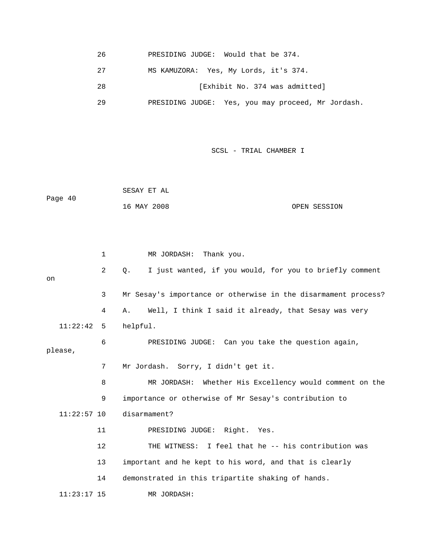26 PRESIDING JUDGE: Would that be 374.

27 MS KAMUZORA: Yes, My Lords, it's 374.

28 [Exhibit No. 374 was admitted]

, you may proceed, Mr Jordash. 29 PRESIDING JUDGE: Yes

SCSL - TRIAL CHAMBER I

 SESAY ET AL ge 40 16 MAY 2008 OPEN SESSION Pa

|         |               | 1              | MR JORDASH: Thank you.                                               |
|---------|---------------|----------------|----------------------------------------------------------------------|
| on      |               | $\overline{2}$ | I just wanted, if you would, for you to briefly comment<br>$\circ$ . |
|         |               | 3              | Mr Sesay's importance or otherwise in the disarmament process?       |
|         |               | 4              | Well, I think I said it already, that Sesay was very<br>Α.           |
|         | 11:22:42      | -5             | helpful.                                                             |
| please, |               | 6              | PRESIDING JUDGE: Can you take the question again,                    |
|         |               | 7              | Mr Jordash. Sorry, I didn't get it.                                  |
|         |               | 8              | MR JORDASH: Whether His Excellency would comment on the              |
|         |               | 9              | importance or otherwise of Mr Sesay's contribution to                |
|         | $11:22:57$ 10 |                | disarmament?                                                         |
|         | 11            |                | PRESIDING JUDGE: Right. Yes.                                         |
|         | 12            |                | THE WITNESS: I feel that he -- his contribution was                  |
|         | 13            |                | important and he kept to his word, and that is clearly               |
|         | 14            |                | demonstrated in this tripartite shaking of hands.                    |
|         | $11:23:17$ 15 |                | MR JORDASH:                                                          |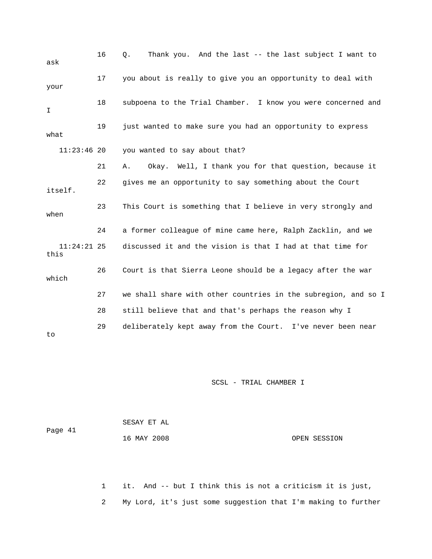| ask                   | 16 | Thank you. And the last -- the last subject I want to<br>Q.    |
|-----------------------|----|----------------------------------------------------------------|
| your                  | 17 | you about is really to give you an opportunity to deal with    |
| I                     | 18 | subpoena to the Trial Chamber. I know you were concerned and   |
| what                  | 19 | just wanted to make sure you had an opportunity to express     |
| $11:23:46$ 20         |    | you wanted to say about that?                                  |
|                       | 21 | Okay. Well, I thank you for that question, because it<br>Α.    |
| itself.               | 22 | gives me an opportunity to say something about the Court       |
| when                  | 23 | This Court is something that I believe in very strongly and    |
|                       | 24 | a former colleague of mine came here, Ralph Zacklin, and we    |
| $11:24:21$ 25<br>this |    | discussed it and the vision is that I had at that time for     |
| which                 | 26 | Court is that Sierra Leone should be a legacy after the war    |
|                       | 27 | we shall share with other countries in the subregion, and so I |
|                       | 28 | still believe that and that's perhaps the reason why I         |
| to                    | 29 | deliberately kept away from the Court. I've never been near    |

| Page 41 | SESAY ET AL |              |
|---------|-------------|--------------|
|         | 16 MAY 2008 | OPEN SESSION |

 1 it. And -- but I think this is not a criticism it is just, 2 My Lord, it's just some suggestion that I'm making to further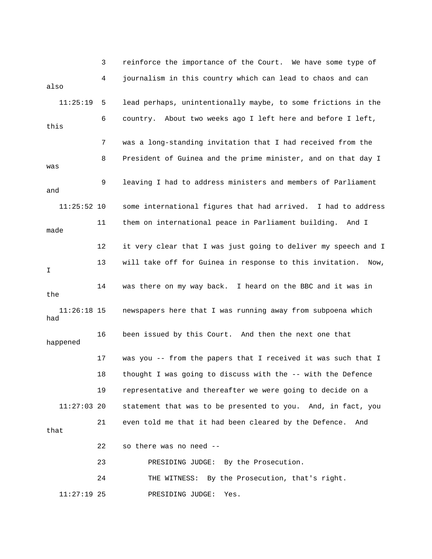3 reinforce the importance of the Court. We have some type of 4 journalism in this country which can lead to chaos an d can also 11:25:19 5 lead perhaps, unintentionally maybe, to some frictions in the this 7 was a long-standing invitation that I had received from the 8 President of Guinea and the prime minister, and on that day I 11 them on international peace in Parliament building. And I 13 will take off for Guinea in response to this invitation. Now, 14 was there on my way back. I heard on the BBC and it was in happened 17 was you -- from the papers that I received it was such that I 19 representative and thereafter we were going to decide on a statement that was to be presented to you. And, in fact, you 21 even told me that it had been cleared by the Defence. And 6 country. About two weeks ago I left here and before I left, was 9 leaving I had to address ministers and members of Parliament and 11:25:52 10 some international figures that had arrived. I had to address made 12 it very clear that I was just going to deliver my speech and I I the 11:26:18 15 newspapers here that I was running away from subpoena which had 16 been issued by this Court. And then the next one that 18 thought I was going to discuss with the -- with the Defence  $11:27:03$  20 that 22 so there was no need -- 23 PRESIDING JUDGE: By the Prosecution. 24 THE WITNESS: By the Prosecution, that's right. 11:27:19 25 PRESIDING JUDGE: Yes.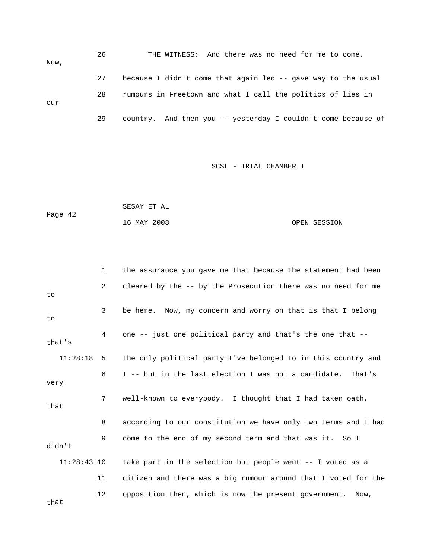26 THE WITNESS: And there was no need for me to come. Now, 27 because I didn't come that again led -- gave way to the usual 28 rumours in Freetown and what I call the politics of lies in our 29 country. And then you -- yesterday I couldn't come because of

```
Page 42
16 MAY 2008 OPEN SESSION 
SESAY ET AL
```

|               | $\mathbf{1}$ | the assurance you gave me that because the statement had been  |
|---------------|--------------|----------------------------------------------------------------|
| to            | 2            | cleared by the -- by the Prosecution there was no need for me  |
| to            | 3            | be here. Now, my concern and worry on that is that I belong    |
| that's        | 4            | one -- just one political party and that's the one that --     |
| 11:28:18      | 5            | the only political party I've belonged to in this country and  |
| very          | 6            | I -- but in the last election I was not a candidate. That's    |
| that          | 7            | well-known to everybody. I thought that I had taken oath,      |
|               | 8            | according to our constitution we have only two terms and I had |
| didn't        | 9            | come to the end of my second term and that was it. So I        |
| $11:28:43$ 10 |              | take part in the selection but people went -- I voted as a     |
|               | 11           | citizen and there was a big rumour around that I voted for the |
| that          | 12           | opposition then, which is now the present government. Now,     |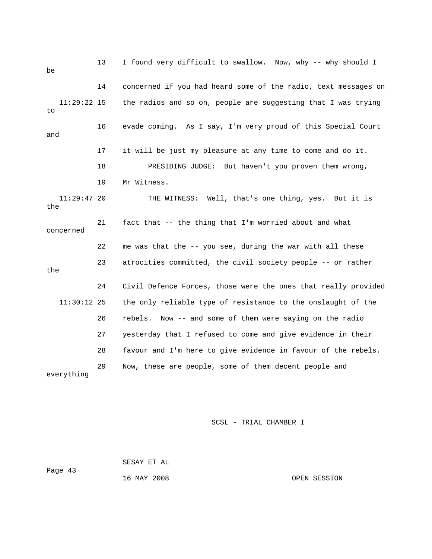13 I found very difficult to swallow. Now, why -- why shoul d I be 14 concerned if you had heard some of the radio, text messages on 11:29:22 15 the radios and so on, people are suggesting that I was trying 18 PRESIDING JUDGE: But haven't you proven them wrong, THE WITNESS: Well, that's one thing, yes. But it is 21 fact that -- the thing that I'm worried about and what 22 me was that the -- you see, during the war with all these 23 atrocities committed, the civil society people -- or rather 24 Civil Defence Forces, those were the ones that really provided the only reliable type of resistance to the onslaught of the 26 rebels. Now -- and some of them were saying on the radio 29 Now, these are people, some of them decent people and to 16 evade coming. As I say, I'm very proud of this Special Court and 17 it will be just my pleasure at any time to come and do it. 19 Mr Witness.  $11:29:47$  20 the concerned the  $11:30:12$  25 27 yesterday that I refused to come and give evidence in their 28 favour and I'm here to give evidence in favour of the rebels. everything

## SCSL - TRIAL CHAMBER I

 SESAY ET AL Page 43

16 MAY 2008 OPEN SESSION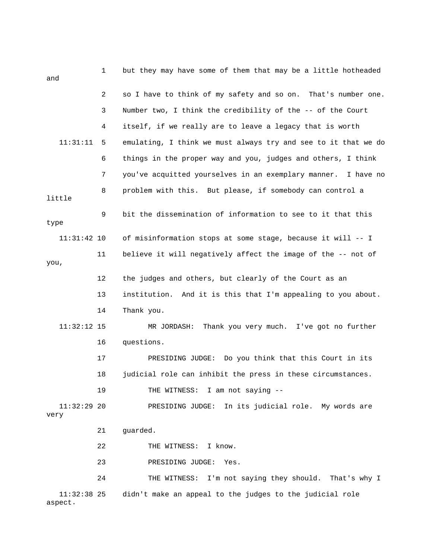| and                    | $\mathbf 1$ | but they may have some of them that may be a little hotheaded    |
|------------------------|-------------|------------------------------------------------------------------|
|                        | 2           | so I have to think of my safety and so on. That's number one.    |
|                        | 3           | Number two, I think the credibility of the -- of the Court       |
|                        | 4           | itself, if we really are to leave a legacy that is worth         |
| 11:31:11               | 5           | emulating, I think we must always try and see to it that we do   |
|                        | 6           | things in the proper way and you, judges and others, I think     |
|                        | 7           | you've acquitted yourselves in an exemplary manner.<br>I have no |
| little                 | 8           | problem with this. But please, if somebody can control a         |
| type                   | 9           | bit the dissemination of information to see to it that this      |
| $11:31:42$ 10          |             | of misinformation stops at some stage, because it will -- I      |
| you,                   | 11          | believe it will negatively affect the image of the -- not of     |
|                        | 12          | the judges and others, but clearly of the Court as an            |
|                        | 13          | institution. And it is this that I'm appealing to you about.     |
|                        | 14          | Thank you.                                                       |
| $11:32:12$ 15          |             | Thank you very much. I've got no further<br>MR JORDASH:          |
|                        | 16          | questions.                                                       |
|                        | 17          | PRESIDING JUDGE: Do you think that this Court in its             |
|                        | 18          | judicial role can inhibit the press in these circumstances.      |
|                        | 19          | THE WITNESS: I am not saying --                                  |
| $11:32:29$ 20<br>very  |             | PRESIDING JUDGE: In its judicial role. My words are              |
|                        | 21          | guarded.                                                         |
|                        | 22          | THE WITNESS: I know.                                             |
|                        | 23          | PRESIDING JUDGE:<br>Yes.                                         |
|                        | 24          | THE WITNESS: I'm not saying they should. That's why I            |
| 11:32:38 25<br>aspect. |             | didn't make an appeal to the judges to the judicial role         |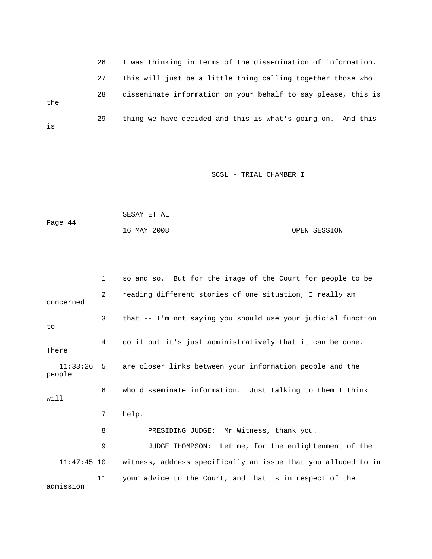|     | 26 | I was thinking in terms of the dissemination of information.  |
|-----|----|---------------------------------------------------------------|
|     | 27 | This will just be a little thing calling together those who   |
| the | 28 | disseminate information on your behalf to say please, this is |
| is  | 29 | thing we have decided and this is what's going on. And this   |

| Page 44 | SESAY ET AL |              |
|---------|-------------|--------------|
|         | 16 MAY 2008 | OPEN SESSION |

|               | $\mathbf{1}$ | so and so. But for the image of the Court for people to be          |
|---------------|--------------|---------------------------------------------------------------------|
| concerned     | 2            | reading different stories of one situation, I really am             |
| to            | 3            | that -- I'm not saying you should use your judicial function        |
| There         | 4            | do it but it's just administratively that it can be done.           |
| people        |              | 11:33:26 5 are closer links between your information people and the |
| will          | 6            | who disseminate information. Just talking to them I think           |
|               | 7            | help.                                                               |
|               | 8            | PRESIDING JUDGE: Mr Witness, thank you.                             |
|               | 9            | JUDGE THOMPSON: Let me, for the enlightenment of the                |
| $11:47:45$ 10 |              | witness, address specifically an issue that you alluded to in       |
| admission     | 11           | your advice to the Court, and that is in respect of the             |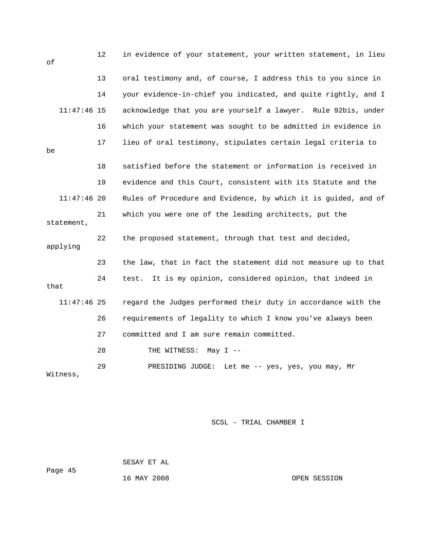| οf            | 12 | in evidence of your statement, your written statement, in lieu |
|---------------|----|----------------------------------------------------------------|
|               | 13 | oral testimony and, of course, I address this to you since in  |
|               | 14 | your evidence-in-chief you indicated, and quite rightly, and I |
| $11:47:46$ 15 |    | acknowledge that you are yourself a lawyer. Rule 92bis, under  |
|               | 16 | which your statement was sought to be admitted in evidence in  |
| be            | 17 | lieu of oral testimony, stipulates certain legal criteria to   |
|               | 18 | satisfied before the statement or information is received in   |
|               | 19 | evidence and this Court, consistent with its Statute and the   |
| $11:47:46$ 20 |    | Rules of Procedure and Evidence, by which it is guided, and of |
| statement,    | 21 | which you were one of the leading architects, put the          |
| applying      | 22 | the proposed statement, through that test and decided,         |
|               | 23 | the law, that in fact the statement did not measure up to that |
| that          | 24 | It is my opinion, considered opinion, that indeed in<br>test.  |
| $11:47:46$ 25 |    | regard the Judges performed their duty in accordance with the  |
|               | 26 | requirements of legality to which I know you've always been    |
|               | 27 | committed and I am sure remain committed.                      |
|               | 28 | THE WITNESS:<br>May $I$ --                                     |
| Witness,      | 29 | PRESIDING JUDGE:<br>Let me -- yes, yes, you may, Mr            |

 SESAY ET AL ge 45

Pa

16 MAY 2008 OPEN SESSION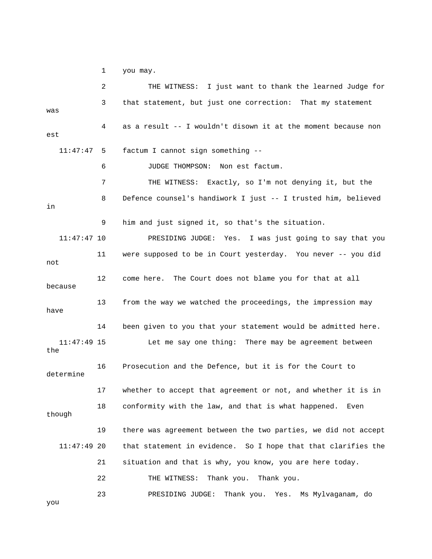1 you may.

r 2 THE WITNESS: I just want to thank the learned Judge fo 3 that statement, but just one correction: That my statement was 4 as a result -- I wouldn't disown it at the moment because non est factum I cannot sign something -- 8 Defence counsel's handiwork I just -- I trusted him, believed 9 him and just signed it, so that's the situation. 11:47:47 10 PRESIDING JUDGE: Yes. I was just going to say that you 11 were supposed to be in Court yesterday. You never -- you did because 13 from the way we watched the proceedings, the impression may have Let me say one thing: There may be agreement between 16 Prosecution and the Defence, but it is for the Court to determine 17 whether to accept that agreement or not, and whether it is in though 19 there was agreement between the two parties, we did not accept  $11:47:49$  20 that statement in evidence. So I hope that that clarifies the 21 situation and that is why, you know, you are here today. o 23 PRESIDING JUDGE: Thank you. Yes. Ms Mylvaganam, d  $11:47:47$  5 6 JUDGE THOMPSON: Non est factum. 7 THE WITNESS: Exactly, so I'm not denying it, but the in not 12 come here. The Court does not blame you for that at all 14 been given to you that your statement would be admitted here.  $11:47:49$  15 the 18 conformity with the law, and that is what happened. Even 22 THE WITNESS: Thank you. Thank you.

you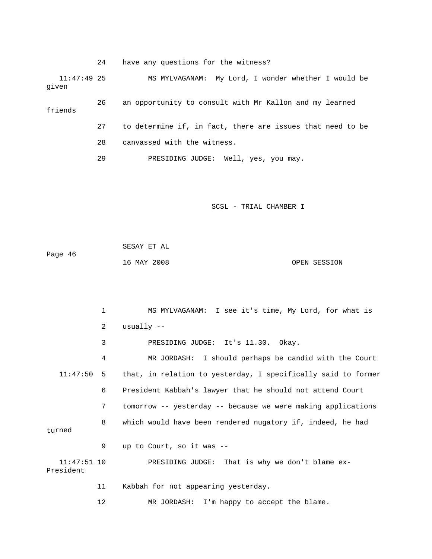24 have any questions for the witness?

 11:47:49 25 MS MYLVAGANAM: My Lord, I wonder whether I would be given 26 an opportunity to consult with Mr Kallon and my learned 27 to determine if, in fact, there are issues that need to be friends

- 28 canvassed with the witness.
- 29 PRESIDING JUDGE: Well, yes, you may.

SCSL - TRIAL CHAMBER I

|         | SESAY ET AL |              |  |
|---------|-------------|--------------|--|
| Page 46 |             |              |  |
|         | 16 MAY 2008 | OPEN SESSION |  |

 1 MS MYLVAGANAM: I see it's time, My Lord, for what is 4 MR JORDASH: I should perhaps be candid with the Court 11:47:50 5 that, in relation to yesterday, I specifically said to former 7 tomorrow -- yesterday -- because we were making applications 8 which would have been rendered nugatory if, indeed, he had turned 11:47:51 10 PRESIDING JUDGE: That is why we don't blame ex- 12 MR JORDASH: I'm happy to accept the blame. 2 usually -- 3 PRESIDING JUDGE: It's 11.30. Okay. 6 President Kabbah's lawyer that he should not attend Court 9 up to Court, so it was -- President 11 Kabbah for not appearing yesterday.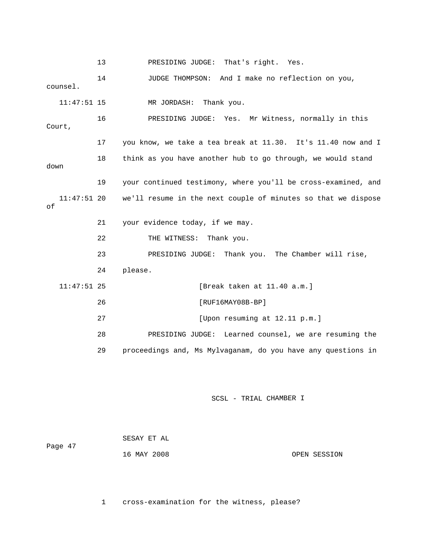13 PRESIDING JUDGE: That's right. Yes. 14 JUDGE THOMPSON: And I make no reflection on you, MR JORDASH: Thank you. ess, normally in this 16 PRESIDING JUDGE: Yes. Mr Witn Court, 17 you know, we take a tea break at 11.30. It's 11.40 now and I 18 think as you have another hub to go through, we would stand 19 your continued testimony, where you'll be cross-examined, and 11:47:51 20 we'll resume in the next couple of minutes so that we dispose 21 your evidence today, if we may. 22 THE WITNESS: Thank you. 23 PRESIDING JUDGE: Thank you. The Chamber will rise, 26 [RUF16MAY08B-BP] 27 [Upon resuming at 12.11 p.m.] 28 PRESIDING JUDGE: Learned counsel, we are resuming the n 29 proceedings and, Ms Mylvaganam, do you have any questions i counsel. 11:47:51 down of 24 please. 11:47:51 25 [Break taken at 11.40 a.m.]

## SCSL - TRIAL CHAMBER I

| Page 47 | SESAY ET AL |              |
|---------|-------------|--------------|
|         | 16 MAY 2008 | OPEN SESSION |

1 cross-examination for the witness, please?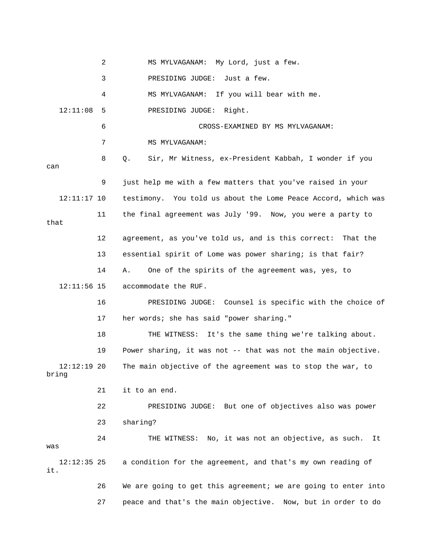|                        | 2  | MS MYLVAGANAM: My Lord, just a few.                            |
|------------------------|----|----------------------------------------------------------------|
|                        | 3  | PRESIDING JUDGE:<br>Just a few.                                |
|                        | 4  | MS MYLVAGANAM: If you will bear with me.                       |
| 12:11:08               | 5  | PRESIDING JUDGE: Right.                                        |
|                        | 6  | CROSS-EXAMINED BY MS MYLVAGANAM:                               |
|                        | 7  | MS MYLVAGANAM:                                                 |
| can                    | 8  | Sir, Mr Witness, ex-President Kabbah, I wonder if you<br>Q.    |
|                        | 9  | just help me with a few matters that you've raised in your     |
| $12:11:17$ 10          |    | testimony. You told us about the Lome Peace Accord, which was  |
| that                   | 11 | the final agreement was July '99. Now, you were a party to     |
|                        | 12 | agreement, as you've told us, and is this correct: That the    |
|                        | 13 | essential spirit of Lome was power sharing; is that fair?      |
|                        | 14 | One of the spirits of the agreement was, yes, to<br>Α.         |
| $12:11:56$ 15          |    | accommodate the RUF.                                           |
|                        | 16 | PRESIDING JUDGE: Counsel is specific with the choice of        |
|                        | 17 | her words; she has said "power sharing."                       |
|                        | 18 | THE WITNESS: It's the same thing we're talking about.          |
|                        | 19 | Power sharing, it was not -- that was not the main objective.  |
| $12:12:19$ 20<br>bring |    | The main objective of the agreement was to stop the war, to    |
|                        | 21 | it to an end.                                                  |
|                        | 22 | PRESIDING JUDGE: But one of objectives also was power          |
|                        | 23 | sharing?                                                       |
| was                    | 24 | THE WITNESS: No, it was not an objective, as such.<br>It       |
| $12:12:35$ 25<br>it.   |    | a condition for the agreement, and that's my own reading of    |
|                        | 26 | We are going to get this agreement; we are going to enter into |
|                        | 27 | peace and that's the main objective. Now, but in order to do   |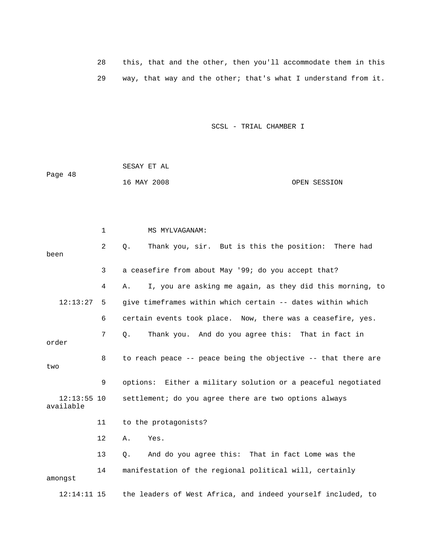28 this, that and the other, then you'll accommodate them in this 29 way, that way and the other; that's what I understand from it.

SCSL - TRIAL CHAMBER I

Page 48 16 MAY 2008 OPEN SESSION SESAY ET AL

 1 MS MYLVAGANAM: 2 Q. Thank you, sir. But is this the position: There had 3 a ceasefire from about May '99; do you accept that? 4 A. I, you are asking me again, as they did this morning, to 12:13:27 5 give timeframes within which certain -- dates within which 6 certain events took place. Now, there was a ceasefire, yes. 7 Q. Thank you. And do you agree this: That in fact in 8 to reach peace -- peace being the objective -- that there are available 12 A. Yes. 14 manifestation of the regional political will, certainly 12:14:11 15 the leaders of West Africa, and indeed yourself included, to been order two 9 options: Either a military solution or a peaceful negotiated 12:13:55 10 settlement; do you agree there are two options always 11 to the protagonists? 13 Q. And do you agree this: That in fact Lome was the amongst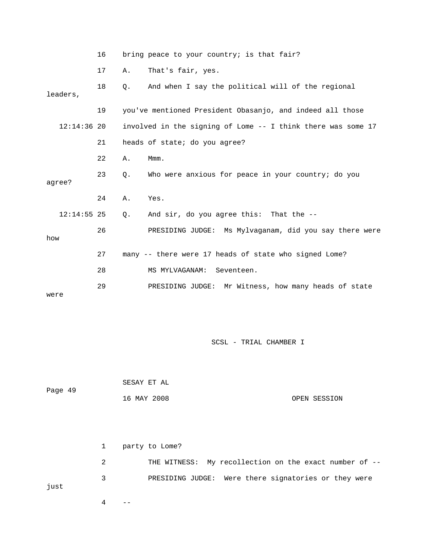|               | 16 |           | bring peace to your country; is that fair?                   |
|---------------|----|-----------|--------------------------------------------------------------|
|               | 17 | Α.        | That's fair, yes.                                            |
| leaders,      | 18 | $\circ$ . | And when I say the political will of the regional            |
|               | 19 |           | you've mentioned President Obasanjo, and indeed all those    |
| $12:14:36$ 20 |    |           | involved in the signing of Lome -- I think there was some 17 |
|               | 21 |           | heads of state; do you agree?                                |
|               | 22 | Α.        | Mmm.                                                         |
| agree?        | 23 | Q.        | Who were anxious for peace in your country; do you           |
|               | 24 | Α.        | Yes.                                                         |
| $12:14:55$ 25 |    | Q.        | And sir, do you agree this: That the --                      |
| how           | 26 |           | PRESIDING JUDGE: Ms Mylvaganam, did you say there were       |
|               | 27 |           | many -- there were 17 heads of state who signed Lome?        |
|               | 28 |           | Seventeen.<br>MS MYLVAGANAM:                                 |
| were          | 29 |           | PRESIDING JUDGE: Mr Witness, how many heads of state         |

| Page 49 | SESAY ET AL |              |
|---------|-------------|--------------|
|         | 16 MAY 2008 | OPEN SESSION |

 2 THE WITNESS: My recollection on the exact number of -- 1 party to Lome? 3 PRESIDING JUDGE: Were there signatories or they were just

 $4$  --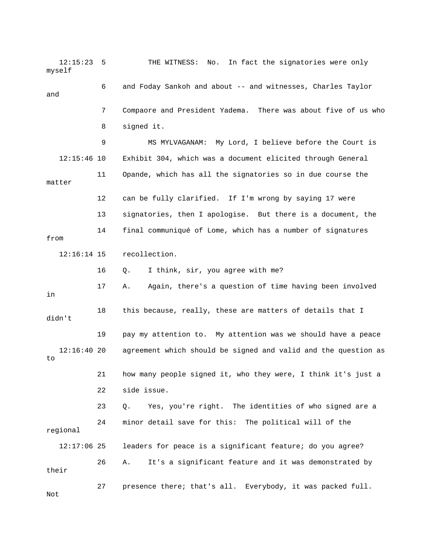12:15:23 5 THE WITNESS: No. In fact the signatories were only myself 6 and Foday Sankoh and about -- and witnesses, Charles Taylor 9 MS MYLVAGANAM: My Lord, I believe before the Court is 11 Opande, which has all the signatories so in due course the 12 can be fully clarified. If I'm wrong by saying 17 were 14 final communiqué of Lome, which has a number of signatures from 16 Q. I think, sir, you agree with me? 17 A. Again, there's a question of time having been involved 18 this because, really, these are matters of details that I 19 pay my attention to. My attention was we should have a peace agreement which should be signed and valid and the question as 21 how many people signed it, who they were, I think it's just a 23 Q. Yes, you're right. The identities of who signed are a regional 26 A. It's a significant feature and it was demonstrated by their 27 presence there; that's all. Everybody, it was packed full. and 7 Compaore and President Yadema. There was about five of us who 8 signed it. 12:15:46 10 Exhibit 304, which was a document elicited through General matter 13 signatories, then I apologise. But there is a document, the 12:16:14 15 recollection. in didn't  $12:16:4020$ to 22 side issue. 24 minor detail save for this: The political will of the 12:17:06 25 leaders for peace is a significant feature; do you agree? Not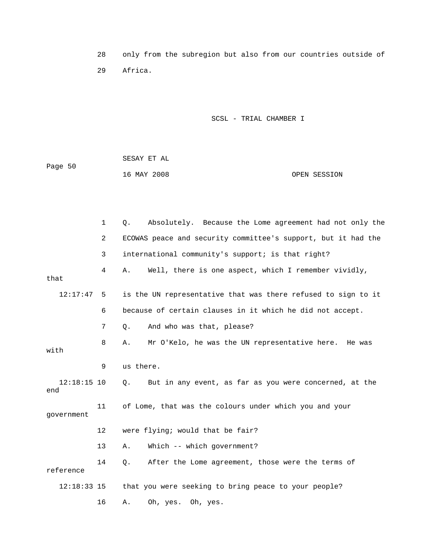28 only from the subregion but also from our countries outside of 29 Africa.

|         | SESAY ET AL |              |
|---------|-------------|--------------|
| Page 50 |             |              |
|         | 16 MAY 2008 | OPEN SESSION |

|                      | $\mathbf 1$ | Absolutely. Because the Lome agreement had not only the<br>Q.       |
|----------------------|-------------|---------------------------------------------------------------------|
|                      | 2           | ECOWAS peace and security committee's support, but it had the       |
|                      | 3           | international community's support; is that right?                   |
| that                 | 4           | Well, there is one aspect, which I remember vividly,<br>Α.          |
| 12:17:47             | 5           | is the UN representative that was there refused to sign to it       |
|                      | 6           | because of certain clauses in it which he did not accept.           |
|                      | 7           | And who was that, please?<br>$\circ$ .                              |
| with                 | 8           | Mr O'Kelo, he was the UN representative here. He was<br>Α.          |
|                      | 9           | us there.                                                           |
| $12:18:15$ 10<br>end |             | But in any event, as far as you were concerned, at the<br>$\circ$ . |
| qovernment           | 11          | of Lome, that was the colours under which you and your              |
|                      | 12          | were flying; would that be fair?                                    |
|                      | 13          | Which -- which government?<br>Α.                                    |
| reference            | 14          | After the Lome agreement, those were the terms of<br>Q.             |
| 12:18:33 15          |             | that you were seeking to bring peace to your people?                |
|                      | 16          | Oh, yes. Oh, yes.<br>Α.                                             |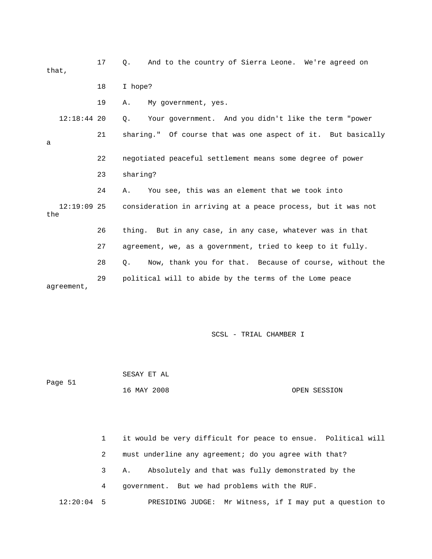17 Q. And to the country of Sierra Leone. We're agreed on that, 19 A. My government, yes. 20 Q. Your government. And you didn't like the term "power 21 sharing." Of course that was one aspect of it. But basically 23 sharing? 24 A. You see, this was an element that we took into 12:19:09 25 consideration in arriving at a peace process, but it was not the 27 agreement, we, as a government, tried to keep to it fully. 28 Q. Now, thank you for that. Because of course, without the 29 political will to abide by the terms of the Lome peace agreement, 18 I hope? 12:18:44 a 22 negotiated peaceful settlement means some degree of power 26 thing. But in any case, in any case, whatever was in that

SCSL - TRIAL CHAMBER I

 SESAY ET AL Page 51

16 MAY 2008 OPEN SESSION

1 it would be very difficult for peace to ensue. Political will 2 must underline any agreement; do you agree with that? 3 A. Absolutely and that was fully demonstrated by the 4 government. But we had problems with the RUF. 12:20:04 5 PRESIDING JUDGE: Mr Witness, if I may put a question to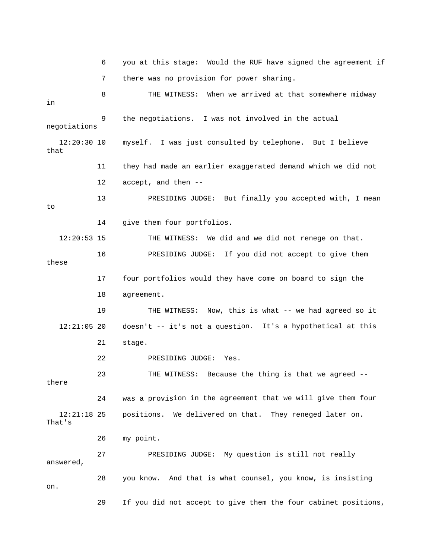6 you at this stage: Would the RUF have signed the agreement if 7 there was no provision for power sharing. 8 THE WITNESS: When we arrived at that somewhere midway negotiations 12:20:30 10 myself. I was just consulted by telephone. But I believe 12:20:53 15 THE WITNESS: We did and we did not renege on that. 16 PRESIDING JUDGE: If you did not accept to give them these 18 agreement. 19 THE WITNESS: Now, this is what -- we had agreed so it 12:21:05 20 doesn't -- it's not a question. It's a hypothetical at this 23 THE WITNESS: Because the thing is that we agreed -- 24 was a provision in the agreement that we will give them four 26 my point. 27 PRESIDING JUDGE: My question is still not really in 9 the negotiations. I was not involved in the actual that 11 they had made an earlier exaggerated demand which we did not 12 accept, and then -- 13 PRESIDING JUDGE: But finally you accepted with, I mean to 14 give them four portfolios. 17 four portfolios would they have come on board to sign the 21 stage. 22 PRESIDING JUDGE: Yes. there 12:21:18 25 positions. We delivered on that. They reneged later on. That's answered, 28 you know. And that is what counsel, you know, is insisting on. 29 If you did not accept to give them the four cabinet positions,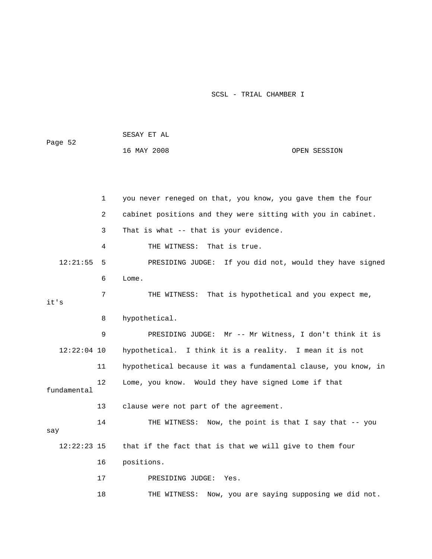|               |                | SESAY ET AL                                                    |                                           |
|---------------|----------------|----------------------------------------------------------------|-------------------------------------------|
| Page 52       |                | 16 MAY 2008                                                    | OPEN SESSION                              |
|               |                |                                                                |                                           |
|               |                |                                                                |                                           |
|               | 1              | you never reneged on that, you know, you gave them the four    |                                           |
|               | $\overline{2}$ | cabinet positions and they were sitting with you in cabinet.   |                                           |
|               | 3              | That is what -- that is your evidence.                         |                                           |
|               | 4              | That is true.<br>THE WITNESS:                                  |                                           |
| 12:21:55      | 5              | PRESIDING JUDGE: If you did not, would they have signed        |                                           |
|               | 6              | Lome.                                                          |                                           |
|               | 7              | THE WITNESS: That is hypothetical and you expect me,           |                                           |
| it's          |                |                                                                |                                           |
|               | 8              | hypothetical.                                                  |                                           |
|               | 9              | PRESIDING JUDGE: Mr -- Mr Witness, I don't think it is         |                                           |
| $12:22:04$ 10 |                | hypothetical. I think it is a reality. I mean it is not        |                                           |
|               | 11             | hypothetical because it was a fundamental clause, you know, in |                                           |
| fundamental   | 12             | Lome, you know. Would they have signed Lome if that            |                                           |
|               | 13             | clause were not part of the agreement.                         |                                           |
| say           | 14             | THE WITNESS: Now, the point is that I say that -- you          |                                           |
| $12:22:23$ 15 |                | that if the fact that is that we will give to them four        |                                           |
|               | 16             | positions.                                                     |                                           |
|               | 17             | PRESIDING JUDGE:<br>Yes.                                       |                                           |
|               | 18             | THE WITNESS:                                                   | Now, you are saying supposing we did not. |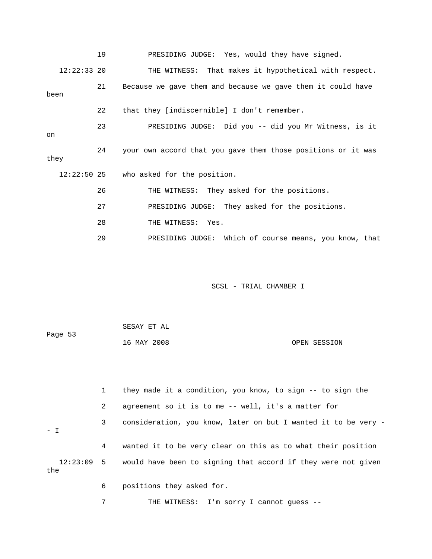|               | 19 | PRESIDING JUDGE: Yes, would they have signed.                |
|---------------|----|--------------------------------------------------------------|
| $12:22:33$ 20 |    | THE WITNESS: That makes it hypothetical with respect.        |
| been          | 21 | Because we gave them and because we gave them it could have  |
|               | 22 | that they [indiscernible] I don't remember.                  |
| on            | 23 | PRESIDING JUDGE: Did you -- did you Mr Witness, is it        |
| they          | 24 | your own accord that you gave them those positions or it was |
| $12:22:50$ 25 |    | who asked for the position.                                  |
|               | 26 | THE WITNESS: They asked for the positions.                   |
|               | 27 | PRESIDING JUDGE: They asked for the positions.               |
|               | 28 | THE WITNESS: Yes.                                            |
|               | 29 | PRESIDING JUDGE: Which of course means, you know, that       |
|               |    |                                                              |
|               |    | SCSL - TRIAL CHAMBER I                                       |

| Page 53 | SESAY ET AL |              |
|---------|-------------|--------------|
|         | 16 MAY 2008 | OPEN SESSION |

|       | $\mathbf{1}$ | they made it a condition, you know, to sign -- to sign the               |
|-------|--------------|--------------------------------------------------------------------------|
|       | 2            | agreement so it is to me -- well, it's a matter for                      |
| $-$ T | 3            | consideration, you know, later on but I wanted it to be very -           |
|       | 4            | wanted it to be very clear on this as to what their position             |
| the   |              | 12:23:09 5 would have been to signing that accord if they were not given |
|       | 6            | positions they asked for.                                                |

7 THE WITNESS: I'm sorry I cannot guess --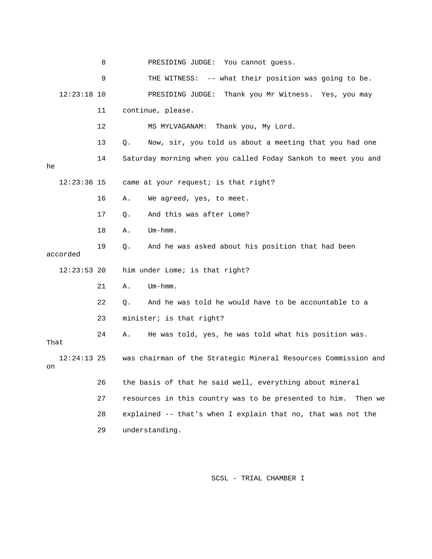8 PRESIDING JUDGE: You cannot guess.

|                     | 9  | -- what their position was going to be.<br>THE WITNESS:          |
|---------------------|----|------------------------------------------------------------------|
| $12:23:18$ 10       |    | Thank you Mr Witness. Yes, you may<br>PRESIDING JUDGE:           |
|                     | 11 | continue, please.                                                |
|                     | 12 | MS MYLVAGANAM:<br>Thank you, My Lord.                            |
|                     | 13 | Q.<br>Now, sir, you told us about a meeting that you had one     |
| he                  | 14 | Saturday morning when you called Foday Sankoh to meet you and    |
| $12:23:36$ 15       |    | came at your request; is that right?                             |
|                     | 16 | We agreed, yes, to meet.<br>Α.                                   |
|                     | 17 | And this was after Lome?<br>Q.                                   |
|                     | 18 | $Um - hmm.$<br>Α.                                                |
| accorded            | 19 | And he was asked about his position that had been<br>Q.          |
| $12:23:53$ 20       |    | him under Lome; is that right?                                   |
|                     | 21 | $Um - hmm.$<br>Α.                                                |
|                     | 22 | And he was told he would have to be accountable to a<br>Ο.       |
|                     | 23 | minister; is that right?                                         |
| That                | 24 | He was told, yes, he was told what his position was.<br>Α.       |
| $12:24:13$ 25<br>on |    | was chairman of the Strategic Mineral Resources Commission and   |
|                     | 26 | the basis of that he said well, everything about mineral         |
|                     | 27 | resources in this country was to be presented to him.<br>Then we |
|                     | 28 | explained -- that's when I explain that no, that was not the     |
|                     | 29 | understanding.                                                   |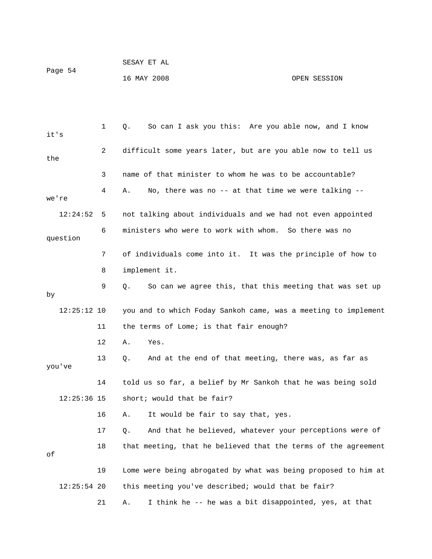| Page 54 | SESAY ET AL |              |
|---------|-------------|--------------|
|         | 16 MAY 2008 | OPEN SESSION |

| it's          | 1  | So can I ask you this: Are you able now, and I know<br>Q.      |
|---------------|----|----------------------------------------------------------------|
| the           | 2  | difficult some years later, but are you able now to tell us    |
|               | 3  | name of that minister to whom he was to be accountable?        |
| we're         | 4  | No, there was no -- at that time we were talking --<br>Α.      |
| 12:24:52      | 5  | not talking about individuals and we had not even appointed    |
| question      | 6  | ministers who were to work with whom. So there was no          |
|               | 7  | of individuals come into it. It was the principle of how to    |
|               | 8  | implement it.                                                  |
| by            | 9  | So can we agree this, that this meeting that was set up<br>Q.  |
| $12:25:12$ 10 |    | you and to which Foday Sankoh came, was a meeting to implement |
|               | 11 | the terms of Lome; is that fair enough?                        |
|               | 12 | Α.<br>Yes.                                                     |
| you've        | 13 | And at the end of that meeting, there was, as far as<br>Q.     |
|               | 14 | told us so far, a belief by Mr Sankoh that he was being sold   |
| $12:25:36$ 15 |    | short; would that be fair?                                     |
|               | 16 | It would be fair to say that, yes.<br>А.                       |
|               | 17 | And that he believed, whatever your perceptions were of<br>Q.  |
| οf            | 18 | that meeting, that he believed that the terms of the agreement |
|               | 19 | Lome were being abrogated by what was being proposed to him at |
| $12:25:54$ 20 |    | this meeting you've described; would that be fair?             |
|               | 21 | I think he -- he was a bit disappointed, yes, at that<br>Α.    |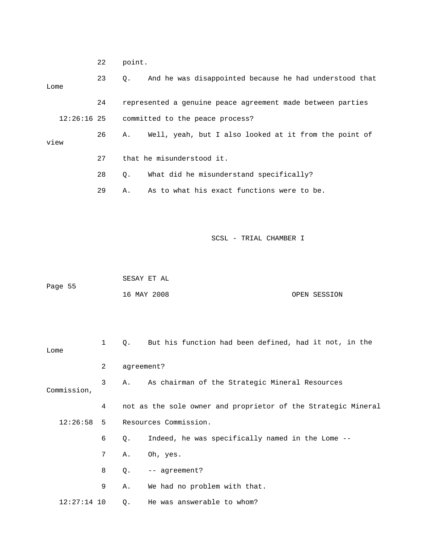|               | 22           | point.      |                                                               |
|---------------|--------------|-------------|---------------------------------------------------------------|
| Lome          | 23           | Q.          | And he was disappointed because he had understood that        |
|               | 24           |             | represented a genuine peace agreement made between parties    |
| $12:26:16$ 25 |              |             | committed to the peace process?                               |
|               |              |             |                                                               |
| view          | 26           | Α.          | Well, yeah, but I also looked at it from the point of         |
|               | 27           |             | that he misunderstood it.                                     |
|               | 28           | Q.          | What did he misunderstand specifically?                       |
|               | 29           | Α.          | As to what his exact functions were to be.                    |
|               |              |             |                                                               |
|               |              |             |                                                               |
|               |              |             | SCSL - TRIAL CHAMBER I                                        |
|               |              |             |                                                               |
|               |              | SESAY ET AL |                                                               |
| Page 55       |              | 16 MAY 2008 | OPEN SESSION                                                  |
|               |              |             |                                                               |
|               |              |             |                                                               |
|               | $\mathbf{1}$ | Q.          | But his function had been defined, had it not, in the         |
| Lome          | 2            | agreement?  |                                                               |
|               |              |             |                                                               |
| Commission,   | 3            | Α.          | As chairman of the Strategic Mineral Resources                |
|               | 4            |             | not as the sole owner and proprietor of the Strategic Mineral |
| 12:26:58      | 5            |             | Resources Commission.                                         |
|               | 6            | Q.          | Indeed, he was specifically named in the Lome --              |
|               | 7            | Α.          | Oh, yes.                                                      |
|               | 8            | Q.          | -- agreement?                                                 |
|               | 9            | Α.          | We had no problem with that.                                  |
| $12:27:14$ 10 |              | Q.          | He was answerable to whom?                                    |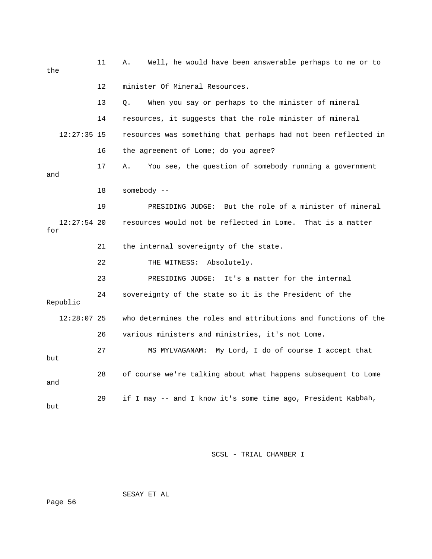| the                  | 11 | Well, he would have been answerable perhaps to me or to<br>Α.  |
|----------------------|----|----------------------------------------------------------------|
|                      | 12 | minister Of Mineral Resources.                                 |
|                      | 13 | When you say or perhaps to the minister of mineral<br>О.       |
|                      | 14 | resources, it suggests that the role minister of mineral       |
| $12:27:35$ 15        |    | resources was something that perhaps had not been reflected in |
|                      | 16 | the agreement of Lome; do you agree?                           |
| and                  | 17 | You see, the question of somebody running a government<br>Α.   |
|                      | 18 | $somebody$ --                                                  |
|                      | 19 | PRESIDING JUDGE: But the role of a minister of mineral         |
| $12:27:54$ 20<br>for |    | resources would not be reflected in Lome. That is a matter     |
|                      | 21 | the internal sovereignty of the state.                         |
|                      |    |                                                                |
|                      | 22 | THE WITNESS: Absolutely.                                       |
|                      | 23 | It's a matter for the internal<br>PRESIDING JUDGE:             |
| Republic             | 24 | sovereignty of the state so it is the President of the         |
| $12:28:07$ 25        |    | who determines the roles and attributions and functions of the |
|                      | 26 | various ministers and ministries, it's not Lome.               |
| but                  | 27 | MS MYLVAGANAM: My Lord, I do of course I accept that           |
| and                  | 28 | of course we're talking about what happens subsequent to Lome  |

SESAY ET AL

Page 56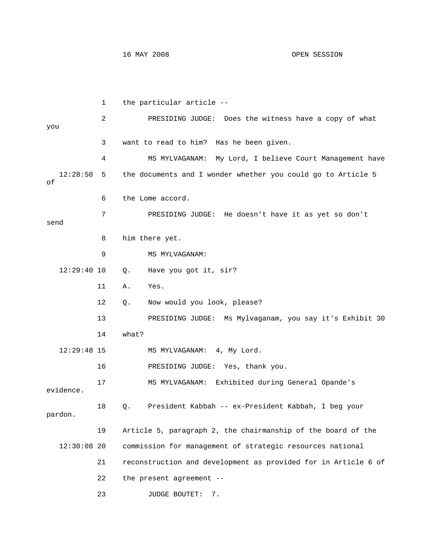16 MAY 2008 OPEN SESSION

 1 the particular article -- 2 PRESIDING JUDGE: Does the witness have a copy of what you 3 want to read to him? Has he been given. 4 MS MYLVAGANAM: My Lord, I believe Court Management have 12:28:50 5 the documents and I wonder whether you could go to Article 5 6 the Lome accord. doesn't have it as yet so don't 7 PRESIDING JUDGE: He send 8 him there yet. 12 Q. Now would you look, please? 13 PRESIDING JUDGE: Ms Mylvaganam, you say it's Exhibit 30 14 what? MS MYLVAGANAM: 4, My Lord. Yes, thank you. 16 PRESIDING JUDGE: 17 MS MYLVAGANAM: Exhibited during General Opande's evidence. 18 Q. President Kabbah -- ex-President Kabbah, I beg your commission for management of strategic resources national 21 reconstruction and development as provided for in Article 6 of of 9 MS MYLVAGANAM: 12:29:40 10 Q. Have you got it, sir? 11 A. Yes.  $12:29:48$  15 pardon. 19 Article 5, paragraph 2, the chairmanship of the board of the  $12:30:08$  20 22 the present agreement -- 23 JUDGE BOUTET: 7.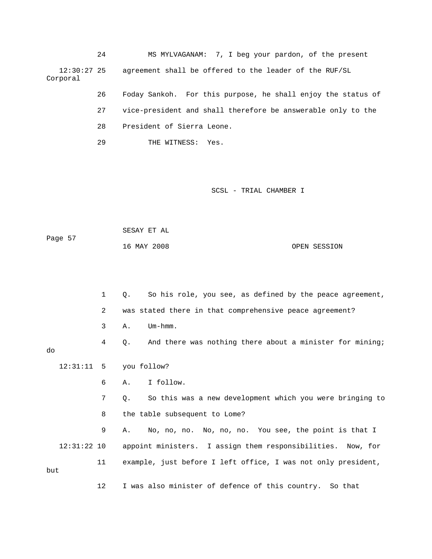24 MS MYLVAGANAM: 7, I beg your pardon, of the present agreement shall be offered to the leader of the RUF/SL 12:30: Corporal

> 26 Foday Sankoh. For this purpose, he shall enjoy the status of 28 President of Sierra Leone. 27 vice-president and shall therefore be answerable only to the

29 THE WITNESS: Yes.

SCSL - TRIAL CHAMBER I

| Page 57 | SESAY ET AL |              |
|---------|-------------|--------------|
|         | 16 MAY 2008 | OPEN SESSION |

 1 Q. So his role, you see, as defined by the peace agreement, 2 was stated there in that comprehensive peace agreement? 3 A. Um-hmm. 4 Q. And there was nothing there about a minister for mining; 12:31:11 5 you follow? 6 A. I follow. 7 Q. So this was a new development which you were bringing to 8 the table subsequent to Lome? 9 A. No, no, no. No, no, no. You see, the point is that I 12:31:22 10 appoint ministers. I assign them responsibilities. Now, for 11 example, just before I left office, I was not only president, 12 I was also minister of defence of this country. So that do but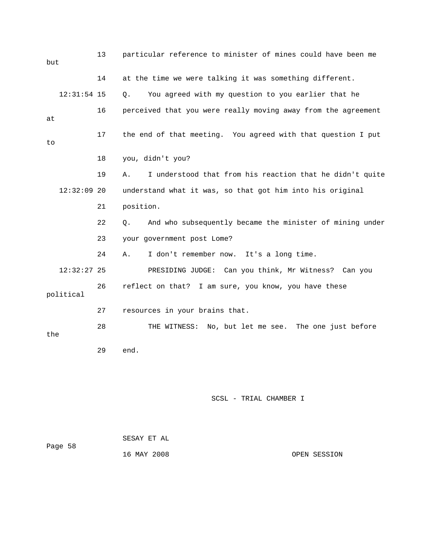| but |               | 13 | particular reference to minister of mines could have been me   |
|-----|---------------|----|----------------------------------------------------------------|
|     |               | 14 | at the time we were talking it was something different.        |
|     | $12:31:54$ 15 |    | You agreed with my question to you earlier that he<br>Q.       |
| at  |               | 16 | perceived that you were really moving away from the agreement  |
| to  |               | 17 | the end of that meeting. You agreed with that question I put   |
|     |               | 18 | you, didn't you?                                               |
|     |               | 19 | Α.<br>I understood that from his reaction that he didn't quite |
|     | $12:32:09$ 20 |    | understand what it was, so that got him into his original      |
|     |               | 21 | position.                                                      |
|     |               | 22 | And who subsequently became the minister of mining under<br>Q. |
|     |               | 23 | your government post Lome?                                     |
|     |               | 24 | I don't remember now. It's a long time.<br>Α.                  |
|     | $12:32:27$ 25 |    | PRESIDING JUDGE: Can you think, Mr Witness? Can you            |
|     | political     | 26 | reflect on that? I am sure, you know, you have these           |
|     |               | 27 | resources in your brains that.                                 |
| the |               | 28 | THE WITNESS: No, but let me see. The one just before           |
|     |               | 29 | end.                                                           |
|     |               |    |                                                                |
|     |               |    |                                                                |
|     |               |    |                                                                |

| Page 58 | SESAY ET AL |              |
|---------|-------------|--------------|
|         | 16 MAY 2008 | OPEN SESSION |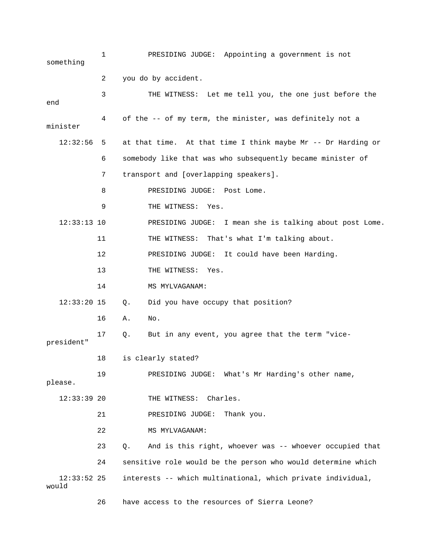| something              | 1  | PRESIDING JUDGE: Appointing a government is not               |
|------------------------|----|---------------------------------------------------------------|
|                        | 2  | you do by accident.                                           |
| end                    | 3  | THE WITNESS: Let me tell you, the one just before the         |
| minister               | 4  | of the -- of my term, the minister, was definitely not a      |
| 12:32:56               | 5  | at that time. At that time I think maybe Mr -- Dr Harding or  |
|                        | 6  | somebody like that was who subsequently became minister of    |
|                        | 7  | transport and [overlapping speakers].                         |
|                        | 8  | PRESIDING JUDGE: Post Lome.                                   |
|                        | 9  | THE WITNESS: Yes.                                             |
| $12:33:13$ 10          |    | PRESIDING JUDGE: I mean she is talking about post Lome.       |
|                        | 11 | THE WITNESS: That's what I'm talking about.                   |
|                        | 12 | PRESIDING JUDGE: It could have been Harding.                  |
|                        | 13 | THE WITNESS: Yes.                                             |
|                        | 14 | MS MYLVAGANAM:                                                |
| $12:33:20$ 15          |    | Did you have occupy that position?<br>Q.                      |
|                        | 16 | No.<br>Α.                                                     |
| president"             | 17 | But in any event, you agree that the term "vice-<br>Q.        |
|                        | 18 | is clearly stated?                                            |
| please.                | 19 | What's Mr Harding's other name,<br>PRESIDING JUDGE:           |
| $12:33:39$ 20          |    | THE WITNESS: Charles.                                         |
|                        | 21 | Thank you.<br>PRESIDING JUDGE:                                |
|                        | 22 | MS MYLVAGANAM:                                                |
|                        | 23 | And is this right, whoever was -- whoever occupied that<br>Q. |
|                        | 24 | sensitive role would be the person who would determine which  |
| $12:33:52$ 25<br>would |    | interests -- which multinational, which private individual,   |
|                        | 26 | have access to the resources of Sierra Leone?                 |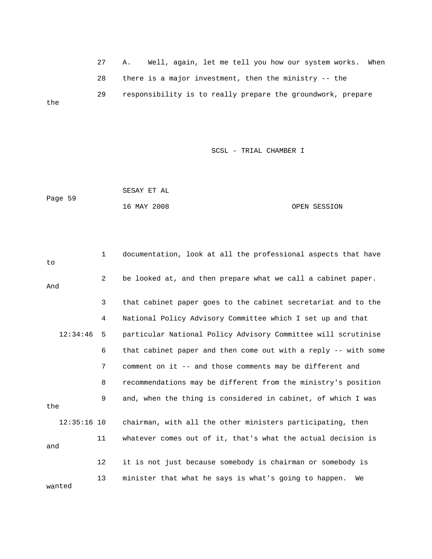27 A. Well, again, le t me tell you how our system works. When 28 there is a major inve stment, then the ministry -- the 29 responsibility is to really prepare the groundwork, prepare the

SCSL - TRIAL CHAMBER I

Page 59 16 MAY 2008 OPEN SESSION SESAY ET AL

 1 documentation, look at all the professional aspects that have 2 be looked at, and then prepare what we call a cabinet paper. 3 that cabinet paper goes to the cabinet secretariat and to the 4 National Policy Advisory Committee which I set up and that 12:34:46 5 particular National Policy Advisory Committee will scrutinise 7 comment on it -- and those comments may be different and 8 recommendations may be different from the ministry's position the 11 whatever comes out of it, that's what the actual decision is wanted to And 6 that cabinet paper and then come out with a reply -- with some 9 and, when the thing is considered in cabinet, of which I was 12:35:16 10 chairman, with all the other ministers participating, then and 12 it is not just because somebody is chairman or somebody is 13 minister that what he says is what's going to happen. We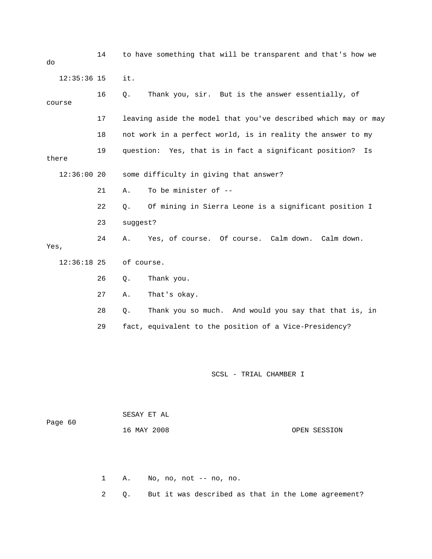14 to have something that will be transparent and that's how we 16 Q. Thank you, sir. But is the answer essentially, of 17 leaving aside the model that you've described which may or may 19 question: Yes, that is in fact a significant position? Is 12:36:00 20 some difficulty in giving that answer? 21 A. To be minister of -- 28 Q. Thank you so much. And would you say that that is, in SCSL - TRIAL CHAMBER I do 12:35:36 15 it. course 18 not work in a perfect world, is in reality the answer to my there 22 Q. Of mining in Sierra Leone is a significant position I 23 suggest? 24 A. Yes, of course. Of course. Calm down. Calm down. Yes, 12:36:18 25 of course. 26 Q. Thank you. 27 A. That's okay. 29 fact, equivalent to the position of a Vice-Presidency?

 16 MAY 2008 OPEN SESSION SESAY ET AL Page 60

1 A. No, no, not -- no, no.

2 Q. But it was described as that in the Lome agreement?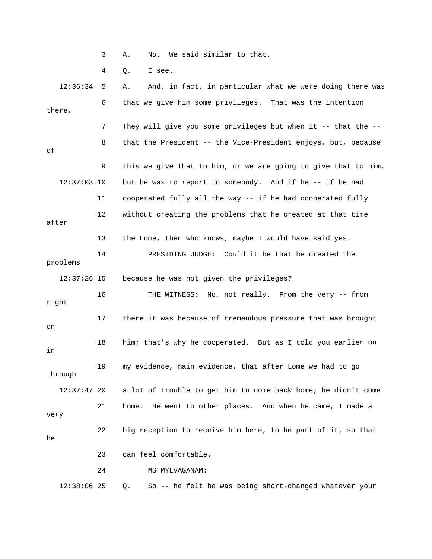3 A. No. We said similar to that.

4 Q. I see.

 12:36:34 5 A. And, in fact, in particular what we were doing there was 6 that we give him some privileges. That was the intention 7 They will give you some privileges but when it -- that the -- 8 that the President -- the Vice-President enjoys, but, because 9 this we give that to him, or we are going to give that to him, 12 without creating the problems that he created at that time 17 there it was because of tremendous pressure that was brought 18 him; that's why he cooperated. But as I told you earlier on 19 my evidence, main evidence, that after Lome we had to go 12:37:47 20 a lot of trouble to get him to come back home; he didn't come 21 home. He went to other places. And when he came, I made a very 22 big reception to receive him here, to be part of it, so that 23 can feel comfortable. 12:38:06 25 Q. So -- he felt he was being short-changed whatever your there. of 12:37:03 10 but he was to report to somebody. And if he -- if he had 11 cooperated fully all the way -- if he had cooperated fully after 13 the Lome, then who knows, maybe I would have said yes. 14 PRESIDING JUDGE: Could it be that he created the problems 12:37:26 15 because he was not given the privileges? 16 THE WITNESS: No, not really. From the very -- from right on in through he 24 MS MYLVAGANAM: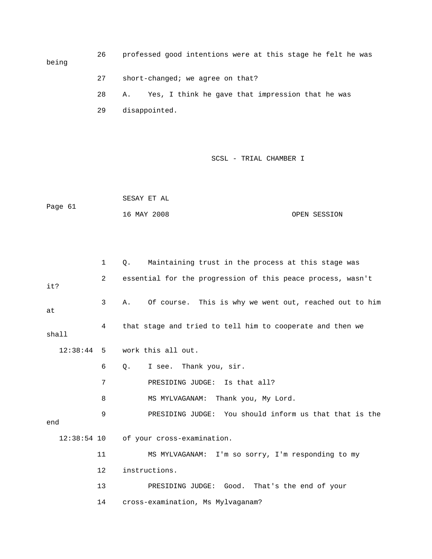26 professed good intentions were at this stage he felt he was being 27 short-changed; we agree on that? 28 A. Yes, I think he gave that impression that he was

29 disappointed.

|         | SESAY ET AL |              |
|---------|-------------|--------------|
| Paqe 61 |             |              |
|         | 16 MAY 2008 | OPEN SESSION |

|              | $\mathbf{1}$   | Maintaining trust in the process at this stage was<br>Ο.     |
|--------------|----------------|--------------------------------------------------------------|
| it?          | $\overline{2}$ | essential for the progression of this peace process, wasn't  |
| at           | 3              | Of course. This is why we went out, reached out to him<br>Α. |
| shall        | 4              | that stage and tried to tell him to cooperate and then we    |
| $12:38:44$ 5 |                | work this all out.                                           |
|              | 6              | I see. Thank you, sir.<br>Q.                                 |
|              | 7              | PRESIDING JUDGE: Is that all?                                |
|              | 8              | MS MYLVAGANAM: Thank you, My Lord.                           |
| end          | 9              | PRESIDING JUDGE: You should inform us that that is the       |
|              |                | 12:38:54 10 of your cross-examination.                       |
|              | 11             | MS MYLVAGANAM: I'm so sorry, I'm responding to my            |
|              | 12             | instructions.                                                |
|              | 13             | PRESIDING JUDGE: Good. That's the end of your                |
|              | 14             | cross-examination, Ms Mylvaganam?                            |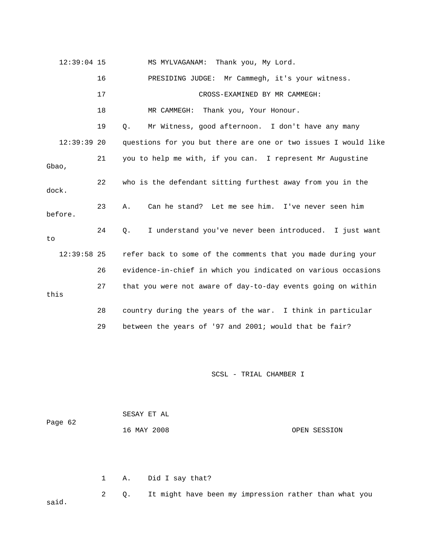| $12:39:04$ 15 |    | Thank you, My Lord.<br>MS MYLVAGANAM:                          |
|---------------|----|----------------------------------------------------------------|
|               | 16 | PRESIDING JUDGE: Mr Cammegh, it's your witness.                |
|               | 17 | CROSS-EXAMINED BY MR CAMMEGH:                                  |
|               | 18 | MR CAMMEGH: Thank you, Your Honour.                            |
|               | 19 | Mr Witness, good afternoon. I don't have any many<br>0.        |
| $12:39:39$ 20 |    | questions for you but there are one or two issues I would like |
| Gbao,         | 21 | you to help me with, if you can. I represent Mr Augustine      |
| dock.         | 22 | who is the defendant sitting furthest away from you in the     |
| before.       | 23 | Can he stand? Let me see him. I've never seen him<br>Α.        |
| to            | 24 | I understand you've never been introduced. I just want<br>Q.   |
| $12:39:58$ 25 |    | refer back to some of the comments that you made during your   |
|               | 26 | evidence-in-chief in which you indicated on various occasions  |
| this          | 27 | that you were not aware of day-to-day events going on within   |
|               | 28 | country during the years of the war. I think in particular     |
|               | 29 | between the years of '97 and 2001; would that be fair?         |

| Page 62 |      | SESAY ET AL     |              |
|---------|------|-----------------|--------------|
|         |      | 16 MAY 2008     | OPEN SESSION |
|         |      |                 |              |
|         |      |                 |              |
|         | 1 A. | Did I say that? |              |

 2 Q. It might have been my impression rather than what you id. sa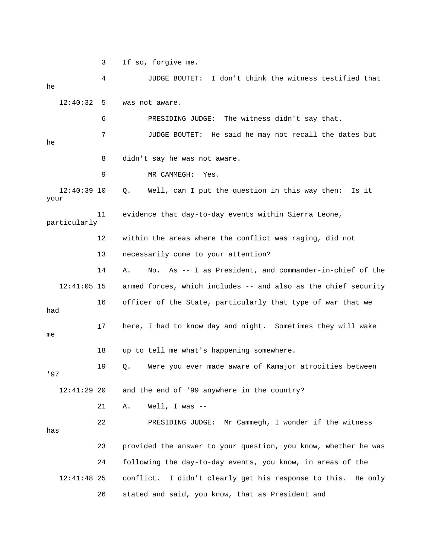3 If so, forgive me.

 4 JUDGE BOUTET: I don't think the witness testified that 12:40:32 5 was not aware. 6 BRESIDING JUDGE: The witness didn't say that. 8 didn't say he was not aware. 12:40:39 10 Q. Well, can I put the question in this way then: Is it particularly 12 within the areas where the conflict was raging, did not 13 necessarily come to your attention? 14 A. No. As -- I as President, and commander-in-chief of the 12:41:05 15 armed forces, which includes -- and also as the chief security 16 officer of the State, particularly that type of war that we 17 here, I had to know day and night. Sometimes they will wake 18 up to tell me what's happening somewhere. 12:41:29 20 and the end of '99 anywhere in the country? 21 A. Well, I was -- 23 provided the answer to your question, you know, whether he was 12:41:48 25 conflict. I didn't clearly get his response to this. He only 26 stated and said, you know, that as President and he 7 JUDGE BOUTET: He said he may not recall the dates but he 9 MR CAMMEGH: Yes. your 11 evidence that day-to-day events within Sierra Leone, had 1 me 19 Q. Were you ever made aware of Kamajor atrocities between '97 22 PRESIDING JUDGE: Mr Cammegh, I wonder if the witness has 24 following the day-to-day events, you know, in areas of the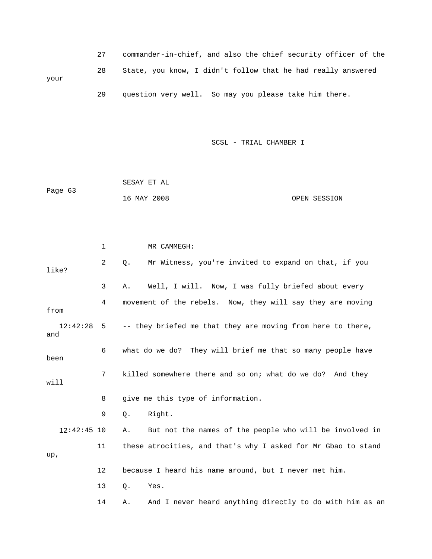|      |    | commander-in-chief, and also the chief security officer of the |
|------|----|----------------------------------------------------------------|
| your | 28 | State, you know, I didn't follow that he had really answered   |
|      | 29 | question very well. So may you please take him there.          |

|         | SESAY ET AL |              |
|---------|-------------|--------------|
| Page 63 |             |              |
|         | 16 MAY 2008 | OPEN SESSION |

|                 | 1              | MR CAMMEGH:                                                    |
|-----------------|----------------|----------------------------------------------------------------|
| like?           | $\overline{2}$ | Mr Witness, you're invited to expand on that, if you<br>О.     |
|                 | 3              | Well, I will. Now, I was fully briefed about every<br>Α.       |
| from            | 4              | movement of the rebels. Now, they will say they are moving     |
| 12:42:28<br>and | 5              | -- they briefed me that they are moving from here to there,    |
| been            | 6              | what do we do? They will brief me that so many people have     |
| will            | 7              | killed somewhere there and so on; what do we do? And they      |
|                 | 8              | give me this type of information.                              |
|                 | 9              | Right.<br>$Q$ .                                                |
| $12:42:45$ 10   |                | But not the names of the people who will be involved in<br>Α.  |
| up,             | 11             | these atrocities, and that's why I asked for Mr Gbao to stand  |
|                 | 12             | because I heard his name around, but I never met him.          |
|                 | 13             | Q.<br>Yes.                                                     |
|                 | 14             | And I never heard anything directly to do with him as an<br>Α. |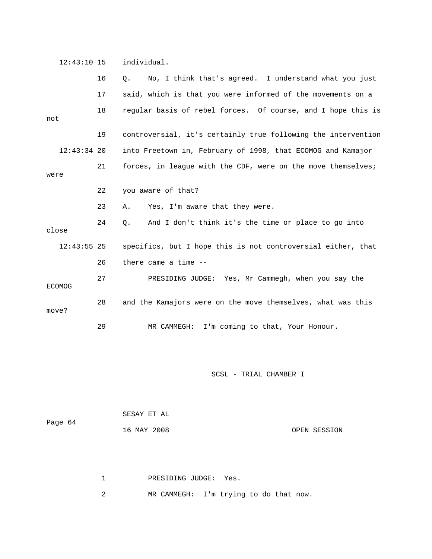12:43:10 15 individual.

|               |               | 16 | No, I think that's agreed. I understand what you just<br>Q.   |
|---------------|---------------|----|---------------------------------------------------------------|
|               |               | 17 | said, which is that you were informed of the movements on a   |
| not           |               | 18 | regular basis of rebel forces. Of course, and I hope this is  |
|               |               | 19 | controversial, it's certainly true following the intervention |
|               | $12:43:34$ 20 |    | into Freetown in, February of 1998, that ECOMOG and Kamajor   |
| were          |               | 21 | forces, in league with the CDF, were on the move themselves;  |
|               |               | 22 | you aware of that?                                            |
|               |               | 23 | Yes, I'm aware that they were.<br>Α.                          |
| close         |               | 24 | And I don't think it's the time or place to go into<br>Q.     |
|               | $12:43:55$ 25 |    | specifics, but I hope this is not controversial either, that  |
|               |               | 26 | there came a time --                                          |
| <b>ECOMOG</b> |               | 27 | PRESIDING JUDGE: Yes, Mr Cammegh, when you say the            |
| move?         |               | 28 | and the Kamajors were on the move themselves, what was this   |
|               |               | 29 | I'm coming to that, Your Honour.<br>MR CAMMEGH:               |

SCSL - TRIAL CHAMBER I

|         | SESAY ET AL |              |
|---------|-------------|--------------|
| Page 64 |             |              |
|         | 16 MAY 2008 | OPEN SESSION |
|         |             |              |

1 PRESIDING JUDGE: Yes.

2 MR CAMMEGH: I'm trying to do that now.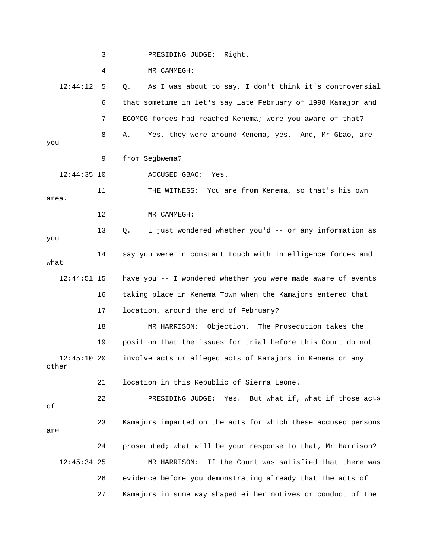3 PRESIDING JUDGE: Right. 4 MR CAMMEGH: 12:44:12 5 Q. As I was about to say, I don't think it's controversial 6 that sometime in let's say late February of 1998 Kamajor and 7 ECOMOG forces had reached Kenema; were you aware of that? 8 A. Yes, they were around Kenema, yes. And, Mr Gbao, are you 12:44:35 10 ACCUSED GBAO: Yes. 11 THE WITNESS: You are from Kenema, so that's his own 14 say you were in constant touch with intelligence forces and what 12:44:51 15 have you -- I wondered whether you were made aware of events 16 taking place in Kenema Town when the Kamajors entered that 17 location, around the end of February? 19 position that the issues for trial before this Court do not involve acts or alleged acts of Kamajors in Kenema or any other 21 location in this Republic of Sierra Leone. 22 PRESIDING JUDGE: Yes. But what if, what if those acts 23 Kamajors impacted on the acts for which these accused persons are MR HARRISON: If the Court was satisfied that there was 26 evidence before you demonstrating already that the acts of 9 from Segbwema? area. 12 MR CAMMEGH: 13 Q. I just wondered whether you'd -- or any information as you 18 MR HARRISON: Objection. The Prosecution takes the  $12:45:1020$ of 24 prosecuted; what will be your response to that, Mr Harrison?  $12:45:34$  25 27 Kamajors in some way shaped either motives or conduct of the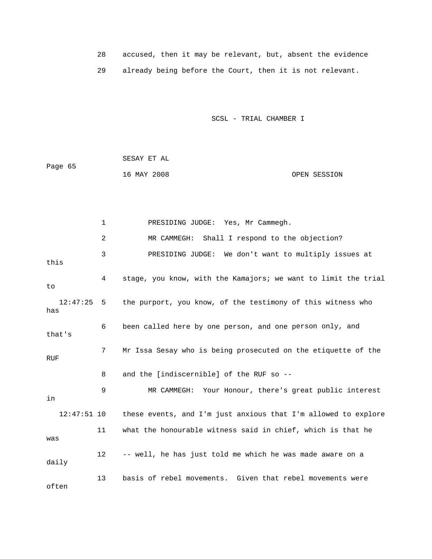|  |  |  |  | accused, then it may be relevant, but, absent the evidence |  |
|--|--|--|--|------------------------------------------------------------|--|
|  |  |  |  | already being before the Court, then it is not relevant.   |  |

| Page 65 | SESAY ET AL |              |
|---------|-------------|--------------|
|         | 16 MAY 2008 | OPEN SESSION |

|                 | $\mathbf 1$       | PRESIDING JUDGE: Yes, Mr Cammegh.                              |
|-----------------|-------------------|----------------------------------------------------------------|
|                 | 2                 | Shall I respond to the objection?<br>MR CAMMEGH:               |
| this            | 3                 | PRESIDING JUDGE: We don't want to multiply issues at           |
| to              | 4                 | stage, you know, with the Kamajors; we want to limit the trial |
| 12:47:25<br>has | 5                 | the purport, you know, of the testimony of this witness who    |
| that's          | 6                 | been called here by one person, and one person only, and       |
| <b>RUF</b>      | 7                 | Mr Issa Sesay who is being prosecuted on the etiquette of the  |
|                 | 8                 | and the [indiscernible] of the RUF so --                       |
| in              | 9                 | MR CAMMEGH: Your Honour, there's great public interest         |
| $12:47:51$ 10   |                   | these events, and I'm just anxious that I'm allowed to explore |
| was             | 11                | what the honourable witness said in chief, which is that he    |
| daily           | $12 \overline{ }$ | -- well, he has just told me which he was made aware on a      |
| often           | 13                | basis of rebel movements. Given that rebel movements were      |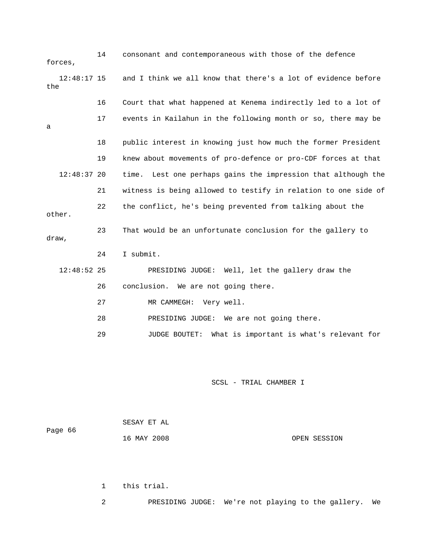| forces,              | 14 | consonant and contemporaneous with those of the defence        |  |  |  |
|----------------------|----|----------------------------------------------------------------|--|--|--|
| $12:48:17$ 15<br>the |    | and I think we all know that there's a lot of evidence before  |  |  |  |
|                      | 16 | Court that what happened at Kenema indirectly led to a lot of  |  |  |  |
| a                    | 17 | events in Kailahun in the following month or so, there may be  |  |  |  |
|                      | 18 | public interest in knowing just how much the former President  |  |  |  |
|                      | 19 | knew about movements of pro-defence or pro-CDF forces at that  |  |  |  |
| $12:48:37$ 20        |    | time. Lest one perhaps gains the impression that although the  |  |  |  |
|                      | 21 | witness is being allowed to testify in relation to one side of |  |  |  |
| other.               | 22 | the conflict, he's being prevented from talking about the      |  |  |  |
| draw,                | 23 | That would be an unfortunate conclusion for the gallery to     |  |  |  |
|                      | 24 | I submit.                                                      |  |  |  |
| $12:48:52$ 25        |    | PRESIDING JUDGE: Well, let the gallery draw the                |  |  |  |
|                      | 26 | conclusion. We are not going there.                            |  |  |  |
|                      | 27 | MR CAMMEGH: Very well.                                         |  |  |  |
|                      | 28 | PRESIDING JUDGE: We are not going there.                       |  |  |  |
|                      | 29 | What is important is what's relevant for<br>JUDGE BOUTET:      |  |  |  |

| Page 66 | SESAY ET AL |              |
|---------|-------------|--------------|
|         | 16 MAY 2008 | OPEN SESSION |

1 this trial.

2 PRESIDING JUDGE: We're not playing to the gallery. We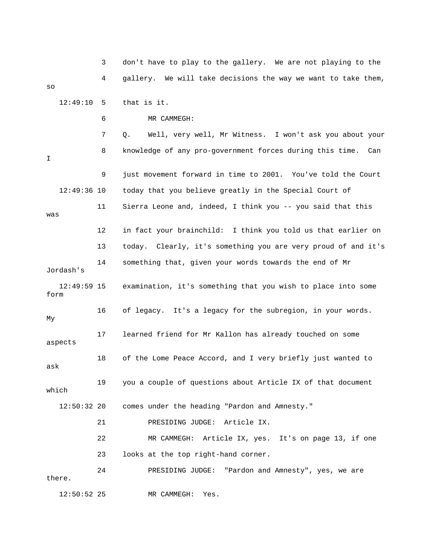3 don't have to play to the gallery. We are not playin g to the 4 gallery. We will take decisions the way we want to t ake them, 12:49:10 5 that is it. 6 MR CAMMEGH: 9 just movement forward in time to 2001. You've told the Court 12:49:36 10 today that you believe greatly in the Special Court of 11 Sierra Leone and, indeed, I think you -- you said that this was 13 today. Clearly, it's something you are very proud of and it's Jordash's 12:49:59 15 examination, it's something that you wish to place into some 16 of legacy. It's a legacy for the subregion, in your words. aspects 18 of the Lome Peace Accord, and I very briefly just wanted to ask 19 you a couple of questions about Article IX of that document which comes under the heading "Pardon and Amnesty." 22 MR CAMMEGH: Article IX, yes. It's on page 13, if one 23 looks at the top right-hand corner. so 7 Q. Well, very well, Mr Witness. I won't ask you about your 8 knowledge of any pro-government forces during this time. Can I 12 in fact your brainchild: I think you told us that earlier on 14 something that, given your words towards the end of Mr form My 17 learned friend for Mr Kallon has already touched on some  $12:50:32$  20 21 PRESIDING JUDGE: Article IX. 24 PRESIDING JUDGE: "Pardon and Amnesty", yes, we are there. 12:50:52 25 MR CAMMEGH: Yes.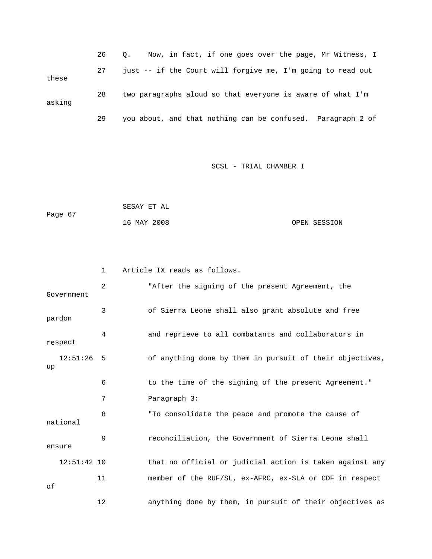|        | 26 | Now, in fact, if one goes over the page, Mr Witness, I<br>$\circ$ . |
|--------|----|---------------------------------------------------------------------|
| these  | 27 | just -- if the Court will forgive me, I'm going to read out         |
| asking | 28 | two paragraphs aloud so that everyone is aware of what I'm          |
|        | 29 | you about, and that nothing can be confused. Paragraph 2 of         |

|         | SESAY ET AL |              |
|---------|-------------|--------------|
| Page 67 |             |              |
|         | 16 MAY 2008 | OPEN SESSION |

|                    | $\mathbf{1}$ | Article IX reads as follows.                             |
|--------------------|--------------|----------------------------------------------------------|
| Government         | 2            | "After the signing of the present Agreement, the         |
| pardon             | 3            | of Sierra Leone shall also grant absolute and free       |
| respect            | 4            | and reprieve to all combatants and collaborators in      |
| $12:51:26$ 5<br>up |              | of anything done by them in pursuit of their objectives, |
|                    | 6            | to the time of the signing of the present Agreement."    |
|                    | 7            | Paragraph 3:                                             |
| national           | 8            | "To consolidate the peace and promote the cause of       |
| ensure             | 9            | reconciliation, the Government of Sierra Leone shall     |
| $12:51:42$ 10      |              | that no official or judicial action is taken against any |
| оf                 | 11           | member of the RUF/SL, ex-AFRC, ex-SLA or CDF in respect  |
|                    | 12           | anything done by them, in pursuit of their objectives as |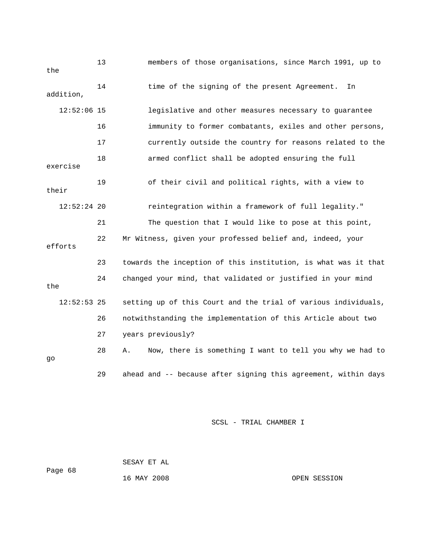| the       |               | 13 | members of those organisations, since March 1991, up to        |  |  |  |
|-----------|---------------|----|----------------------------------------------------------------|--|--|--|
| addition, |               | 14 | time of the signing of the present Agreement.<br>In            |  |  |  |
|           | $12:52:06$ 15 |    | legislative and other measures necessary to guarantee          |  |  |  |
|           |               | 16 | immunity to former combatants, exiles and other persons,       |  |  |  |
|           |               | 17 | currently outside the country for reasons related to the       |  |  |  |
| exercise  |               | 18 | armed conflict shall be adopted ensuring the full              |  |  |  |
| their     |               | 19 | of their civil and political rights, with a view to            |  |  |  |
|           | $12:52:24$ 20 |    | reintegration within a framework of full legality."            |  |  |  |
|           |               | 21 | The question that I would like to pose at this point,          |  |  |  |
| efforts   |               | 22 | Mr Witness, given your professed belief and, indeed, your      |  |  |  |
|           |               | 23 | towards the inception of this institution, is what was it that |  |  |  |
| the       |               | 24 | changed your mind, that validated or justified in your mind    |  |  |  |
|           | $12:52:53$ 25 |    | setting up of this Court and the trial of various individuals, |  |  |  |
|           |               | 26 | notwithstanding the implementation of this Article about two   |  |  |  |
|           |               | 27 | years previously?                                              |  |  |  |
| go        |               | 28 | Now, there is something I want to tell you why we had to<br>Α. |  |  |  |
|           |               | 29 | ahead and -- because after signing this agreement, within days |  |  |  |

 SESAY ET AL Page 68

16 MAY 2008 OPEN SESSION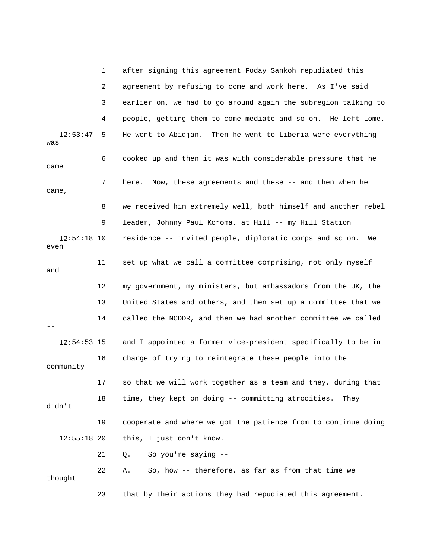|                       | 1  | after signing this agreement Foday Sankoh repudiated this      |
|-----------------------|----|----------------------------------------------------------------|
|                       | 2  | agreement by refusing to come and work here. As I've said      |
|                       | 3  | earlier on, we had to go around again the subregion talking to |
|                       | 4  | people, getting them to come mediate and so on. He left Lome.  |
| 12:53:47<br>was       | 5  | He went to Abidjan. Then he went to Liberia were everything    |
| came                  | 6  | cooked up and then it was with considerable pressure that he   |
| came,                 | 7  | here. Now, these agreements and these -- and then when he      |
|                       | 8  | we received him extremely well, both himself and another rebel |
|                       | 9  | leader, Johnny Paul Koroma, at Hill -- my Hill Station         |
| $12:54:18$ 10<br>even |    | residence -- invited people, diplomatic corps and so on.<br>We |
| and                   | 11 | set up what we call a committee comprising, not only myself    |
|                       | 12 | my government, my ministers, but ambassadors from the UK, the  |
|                       | 13 | United States and others, and then set up a committee that we  |
|                       | 14 | called the NCDDR, and then we had another committee we called  |
| $12:54:53$ 15         |    | and I appointed a former vice-president specifically to be in  |
| community             | 16 | charge of trying to reintegrate these people into the          |
|                       | 17 | so that we will work together as a team and they, during that  |
| didn't                | 18 | time, they kept on doing -- committing atrocities.<br>They     |
|                       | 19 | cooperate and where we got the patience from to continue doing |
| $12:55:18$ 20         |    | this, I just don't know.                                       |
|                       | 21 | So you're saying --<br>Q.                                      |
| thought               | 22 | So, how -- therefore, as far as from that time we<br>Α.        |
|                       | 23 | that by their actions they had repudiated this agreement.      |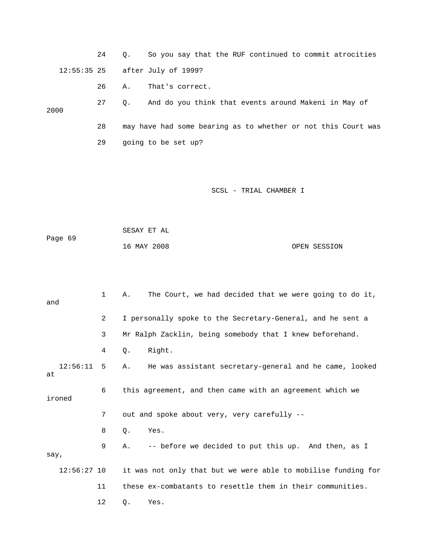24 Q. So you say that the RUF continued to commit atrocities 12:55:35 25 after July of 1999?

26 A. That's correct.

 27 Q. And do you think that events around Makeni in May of 28 may have had some bearing as to whether or not this Court was 2000

29 going to be set up?

SCSL - TRIAL CHAMBER I

 16 MAY 2008 OPEN SESSION SESAY ET AL Page 69

 1 A. The Court, we had decided that we were going to do it, and 2 I personally spoke to the Secretary-General, and he sent a 3 Mr Ralph Zacklin, being somebody that I knew beforehand. 12:56:11 5 A. He was assistant secretary-general and he came, looked 9 A. -- before we decided to put this up. And then, as I  $\operatorname*{say}$  , 12 Q. Yes. 4 Q. Right. at 6 this agreement, and then came with an agreement which we ironed 7 out and spoke about very, very carefully -- 8 Q. Yes. 12:56:27 10 it was not only that but we were able to mobilise funding for 11 these ex-combatants to resettle them in their communities.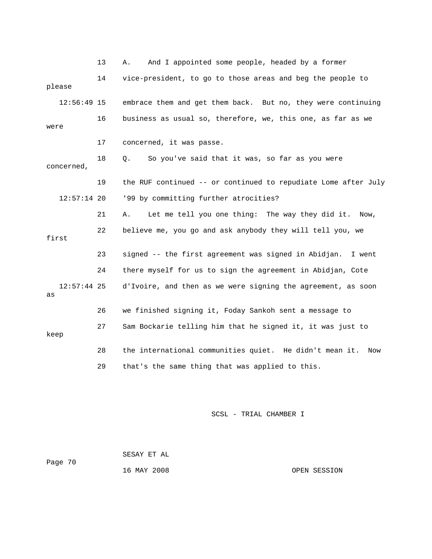13 A. And I appointed some people, headed by a former 14 vice-presid ent, to go to those areas and beg the people to 12:56:49 15 embrace them and get them back. But no, they were continuing 16 business as usual so, therefore, we, this one, as far as we 17 concerned, it was passe. concerned, 19 the RUF continued -- or continued to repudiate Lome after July 22 believe me, you go and ask anybody they will tell you, we 23 signed -- the first agreement was signed in Abidjan. I went 24 there myself for us to sign the agreement in Abidjan, Cote 12:57:44 25 d'Ivoire, and then as we were signing the agreement, as soon please were 18 Q. So you've said that it was, so far as you were 12:57:14 20 '99 by committing further atrocities? 21 A. Let me tell you one thing: The way they did it. Now, first as 26 we finished signing it, Foday Sankoh sent a message to 27 Sam Bockarie telling him that he signed it, it was just to keep 28 the international communities quiet. He didn't mean it. Now 29 that's the same thing that was applied to this.

SCSL - TRIAL CHAMBER I

 SESAY ET AL Page 70 16 MAY 2008

OPEN SESSION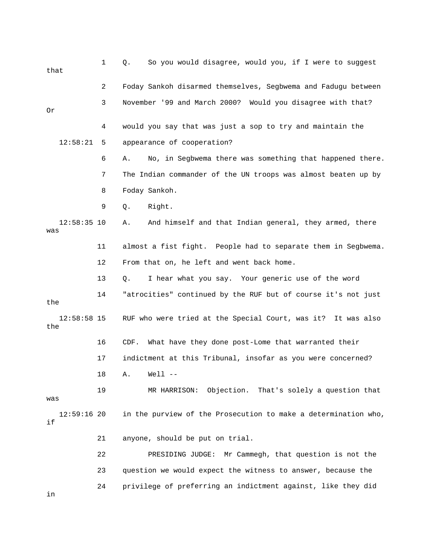1 Q. So you would disagree, would you, if I were to suggest that 2 Foday Sankoh disarmed themselves, Segbwema and Fadugu between 3 November '99 and March 2000? Would you disagree with that? 4 would you say that was just a sop to try and maintain the 12:58:21 5 appearance of cooperation? 6 A. No, in Segbwema there was something that happened there. 8 Foday Sankoh. A. And himself and that Indian general, they armed, there 11 almost a fist fight. People had to separate them in Segbwema. 12 From that on, he left and went back home. 14 "atrocities" continued by the RUF but of course it's not just 12:58:58 15 RUF who were tried at the Special Court, was it? It was also 16 CDF. What have they done post-Lome that warranted their 19 MR HARRISON: Objection. That's solely a question that in the purview of the Prosecution to make a determination who, 21 anyone, should be put on trial. 22 PRESIDING JUDGE: Mr Cammegh, that question is not the 24 privilege of preferring an indictment against, like they did Or 7 The Indian commander of the UN troops was almost beaten up by 9 Q. Right.  $12:58:35$  10 was 13 Q. I hear what you say. Your generic use of the word the the 17 indictment at this Tribunal, insofar as you were concerned? 18 A. Well - was  $12:59:16$  20 if 23 question we would expect the witness to answer, because the in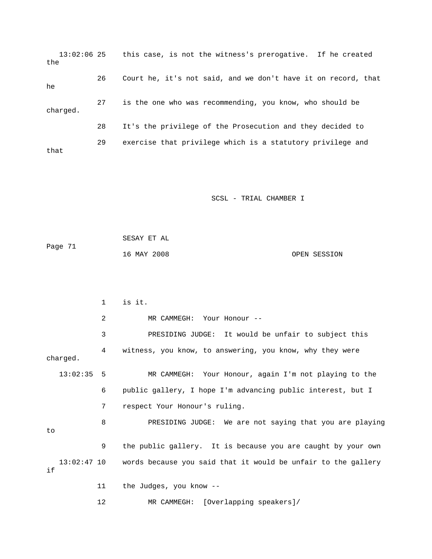13:02:06 25 this case, is not the witness's prerogative. If he created the 26 Court he, it's not said, and we don't have it on record, that he 27 is the one who was recommending, you know, who should be 28 It's the privilege of the Prosecution and they decided to 29 exercise that privilege which is a statutory privilege and charged. that

SCSL - TRIAL CHAMBER I

 SESAY ET AL Page 71 16 MAY 2008 OPEN SESSION

 1 is it. 3 PRESIDING JUDGE: It would be unfair to subject this 4 witness, you know, to answering, you know, why they were 13:02:35 5 MR CAMMEGH: Your Honour, again I'm not playing to the 6 public gallery, I hope I'm advancing public interest, but I 7 respect Your Honour's ruling. PRESIDING JUDGE: We are not saying that you are playing 9 the public gallery. It is because you are caught by your own 13:02:47 10 words because you said that it would be unfair to the gallery 11 the Judges, you know -- 12 MR CAMMEGH: [Overlapping speakers]/ 2 MR CAMMEGH: Your Honour - charged. 8 PR to if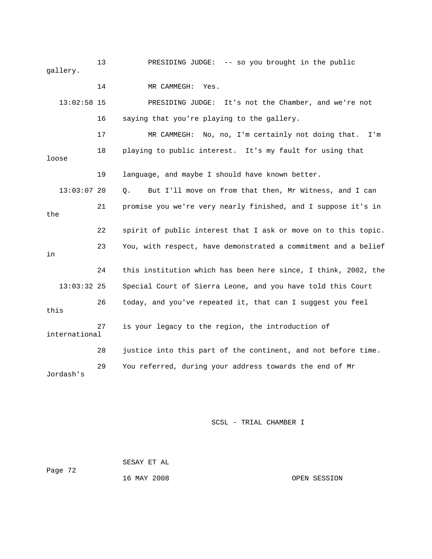13 PRESIDING JUDGE: -- so you brought in the public gallery. 13:02:58 15 PRESIDING JUDGE: It's not the Chamber, and we're not 16 saying that you're playing to the gallery. 17 MR CAMMEGH: No, no, I'm certainly not doing that. I'm 18 playing to public interest. It's my fault for using that 19 language, and maybe I should have known better. Q. But I'll move on from that then, Mr Witness, and I can 21 promise you we're very nearly finished, and I suppose it's in the 22 spirit of public interest that I ask or move on to this topic. 23 You, with respect, have demonstrated a commitment and a belief 24 this institution which has been here since, I think, 2002, the 13:03:32 25 Special Court of Sierra Leone, and you have told this Court 26 today, and you've repeated it, that can I suggest you feel international 14 MR CAMMEGH: Yes. loose 13:03:0 in this 27 is your legacy to the region, the introduction of 28 justice into this part of the continent, and not before time. 29 You referred, during your address towards the end of Mr Jordash's

SCSL - TRIAL CHAMBER I

 SESAY ET AL Page 72

16 MAY 2008 OPEN SESSION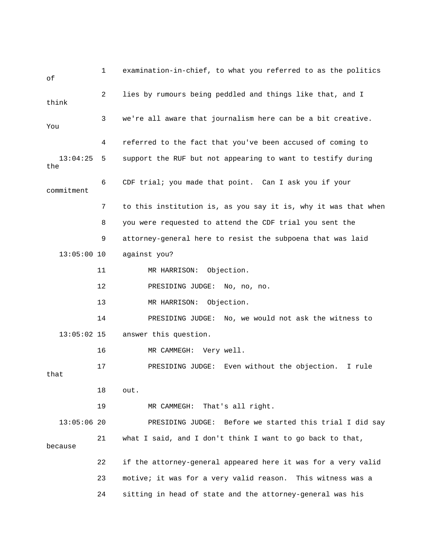| оf              | 1              | examination-in-chief, to what you referred to as the politics  |
|-----------------|----------------|----------------------------------------------------------------|
| think           | $\overline{2}$ | lies by rumours being peddled and things like that, and I      |
| You             | 3              | we're all aware that journalism here can be a bit creative.    |
|                 | 4              | referred to the fact that you've been accused of coming to     |
| 13:04:25<br>the | 5              | support the RUF but not appearing to want to testify during    |
| commitment      | 6              | CDF trial; you made that point. Can I ask you if your          |
|                 | 7              | to this institution is, as you say it is, why it was that when |
|                 | 8              | you were requested to attend the CDF trial you sent the        |
|                 | 9              | attorney-general here to resist the subpoena that was laid     |
| $13:05:00$ 10   |                | against you?                                                   |
|                 | 11             | MR HARRISON: Objection.                                        |
|                 | 12             | PRESIDING JUDGE: No, no, no.                                   |
|                 | 13             | MR HARRISON:<br>Objection.                                     |
|                 | 14             | PRESIDING JUDGE: No, we would not ask the witness to           |
| $13:05:02$ 15   |                | answer this question.                                          |
|                 | 16             | MR CAMMEGH: Very well.                                         |
| that            | 17             | Even without the objection.<br>I rule<br>PRESIDING JUDGE:      |
|                 | 18             | out.                                                           |
|                 | 19             | MR CAMMEGH: That's all right.                                  |
| $13:05:06$ 20   |                | PRESIDING JUDGE: Before we started this trial I did say        |
| because         | 21             | what I said, and I don't think I want to go back to that,      |
|                 | 22             | if the attorney-general appeared here it was for a very valid  |
|                 | 23             | motive; it was for a very valid reason. This witness was a     |
|                 | 24             | sitting in head of state and the attorney-general was his      |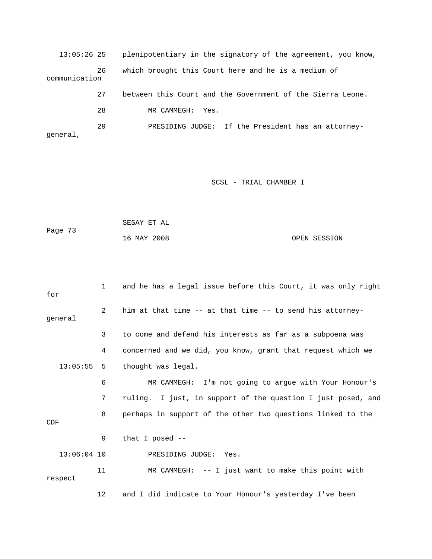13:05:26 25 plenipotentiary in the signatory of the agreement, you know, 26 which brought this Court here and he is a medium of 27 between this Court and the Government of the Sierra Leone. 28 MR CAMMEGH: Yes. communication 29 PRESIDING JUDGE: If the President has an attorneygeneral,

|         | SESAY ET AL |  |              |
|---------|-------------|--|--------------|
| Page 73 |             |  |              |
|         | 16 MAY 2008 |  | OPEN SESSION |

| for           | $\mathbf{1}$ | and he has a legal issue before this Court, it was only right |
|---------------|--------------|---------------------------------------------------------------|
| general       | 2            | him at that time -- at that time -- to send his attorney-     |
|               | 3            | to come and defend his interests as far as a subpoena was     |
|               | 4            | concerned and we did, you know, grant that request which we   |
| $13:05:55$ 5  |              | thought was legal.                                            |
|               | 6            | MR CAMMEGH: I'm not going to argue with Your Honour's         |
|               | 7            | ruling. I just, in support of the question I just posed, and  |
| CDF           | 8            | perhaps in support of the other two questions linked to the   |
|               | 9            | that I posed $-$                                              |
| $13:06:04$ 10 |              | PRESIDING JUDGE: Yes.                                         |
| respect       | 11           | $MR$ CAMMEGH: $--$ I just want to make this point with        |
|               | 12           | and I did indicate to Your Honour's yesterday I've been       |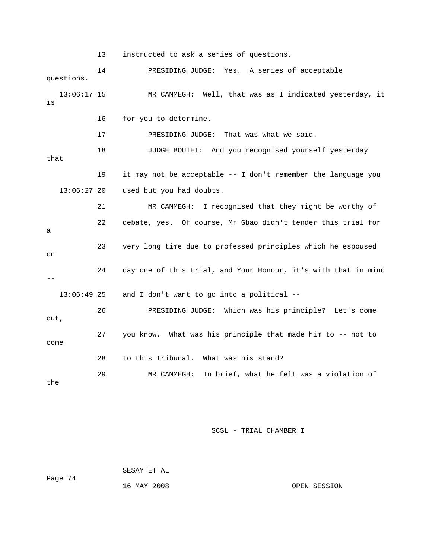13 instructed to ask a series of questions.

 14 PRESIDING JUDGE: Yes. A series of acceptable 13:06:17 15 MR CAMMEGH: Well, that was as I indicated yesterday, it 18 JUDGE BOUTET: And you recognised yourself yesterday 19 it may not be acceptable -- I don't remember the language you 22 debate, yes. Of course, Mr Gbao didn't tender this trial for 23 very long time due to professed principles which he espoused 24 day one of this trial, and Your Honour, it's with that in mind ich was his principle? Let's come 26 PRESIDING JUDGE: Wh out, 27 you know. What was his principle that made him to -- not to 28 to this Tribunal. What was his stand? the questions. is 16 for you to determine. 17 PRESIDING JUDGE: That was what we said. that 13:06:27 20 used but you had doubts. 21 MR CAMMEGH: I recognised that they might be worthy of a on -- 13:06:49 25 and I don't want to go into a political - come 29 MR CAMMEGH: In brief, what he felt was a violation of

SCSL - TRIAL CHAMBER I

 SESAY ET AL 16 MAY 2008 OPEN SESSION Page 74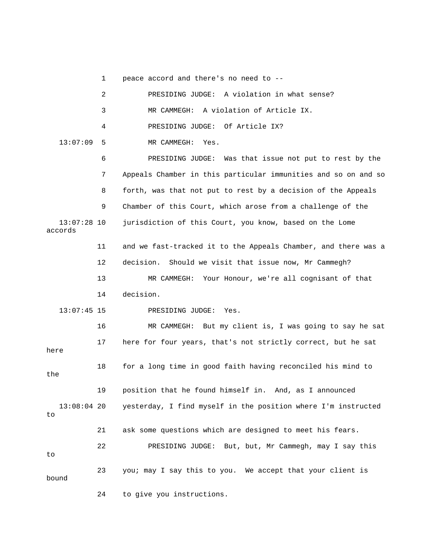1 peace accord and there's no need to --

|                          | 2  | PRESIDING JUDGE: A violation in what sense?                    |
|--------------------------|----|----------------------------------------------------------------|
|                          | 3  | A violation of Article IX.<br>MR CAMMEGH:                      |
|                          | 4  | PRESIDING JUDGE: Of Article IX?                                |
| 13:07:09                 | 5  | MR CAMMEGH: Yes.                                               |
|                          | 6  | PRESIDING JUDGE: Was that issue not put to rest by the         |
|                          | 7  | Appeals Chamber in this particular immunities and so on and so |
|                          | 8  | forth, was that not put to rest by a decision of the Appeals   |
|                          | 9  | Chamber of this Court, which arose from a challenge of the     |
| $13:07:28$ 10<br>accords |    | jurisdiction of this Court, you know, based on the Lome        |
|                          | 11 | and we fast-tracked it to the Appeals Chamber, and there was a |
|                          | 12 | Should we visit that issue now, Mr Cammegh?<br>decision.       |
|                          | 13 | MR CAMMEGH: Your Honour, we're all cognisant of that           |
|                          | 14 | decision.                                                      |
| $13:07:45$ 15            |    | PRESIDING JUDGE:<br>Yes.                                       |
|                          | 16 | MR CAMMEGH: But my client is, I was going to say he sat        |
| here                     | 17 | here for four years, that's not strictly correct, but he sat   |
| the                      | 18 | for a long time in good faith having reconciled his mind to    |
|                          | 19 | position that he found himself in. And, as I announced         |
| $13:08:04$ 20<br>to      |    | yesterday, I find myself in the position where I'm instructed  |
|                          | 21 | ask some questions which are designed to meet his fears.       |
| to                       | 22 | PRESIDING JUDGE: But, but, Mr Cammegh, may I say this          |
| bound                    | 23 | you; may I say this to you. We accept that your client is      |
|                          | 24 | to give you instructions.                                      |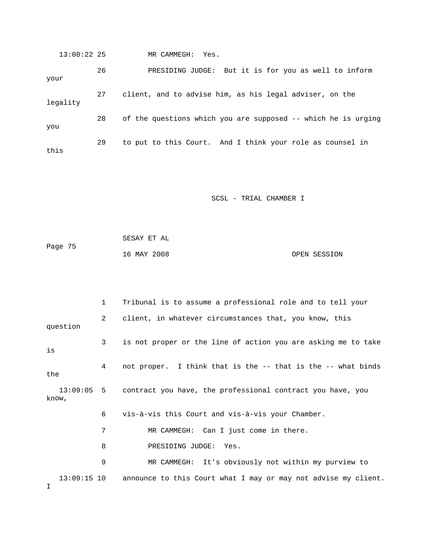13:08:22 25 MR CAMMEGH: Yes. 26 PRESIDING JUDGE: But it is for you as well to inform 27 client, and to advise him, as his legal adviser, on the your legality 28 of the questions which you are supposed -- which he is urging you 29 to put to this Court. And I think your role as counsel in this

SCSL - TRIAL CHAMBER I

 SESAY ET AL 16 MAY 2008 OPEN SESSION Page 75

 1 Tribunal is to assume a professional role and to tell your 2 client, in whatever circumstances that, you know, this 3 is not proper or the line of action you are asking me to take 13:09:05 5 contract you have, the professional contract you have, you know, 6 vis-à-vis this Court and vis-à-vis your Chamber. 9 MR CAMMEGH: It's obviously not within my purview to announce to this Court what I may or may not advise my client. question is 4 not proper. I think that is the -- that is the -- what binds the 7 MR CAMMEGH: Can I just come in there. 8 PRESIDING JUDGE: Yes.  $13:09:15$  10 I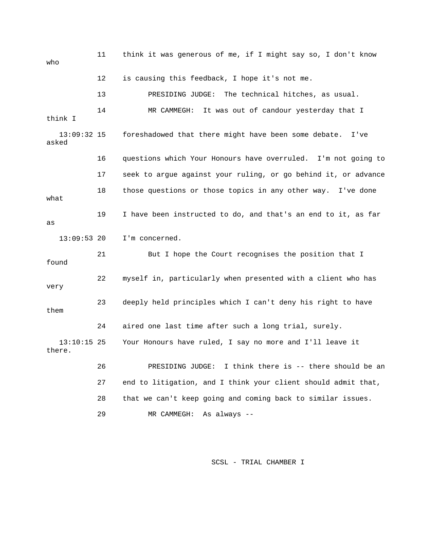| who                     | 11 | think it was generous of me, if I might say so, I don't know   |  |  |
|-------------------------|----|----------------------------------------------------------------|--|--|
|                         | 12 | is causing this feedback, I hope it's not me.                  |  |  |
|                         | 13 | The technical hitches, as usual.<br>PRESIDING JUDGE:           |  |  |
| think I                 | 14 | MR CAMMEGH:<br>It was out of candour yesterday that I          |  |  |
| $13:09:32$ 15<br>asked  |    | foreshadowed that there might have been some debate.<br>I've   |  |  |
|                         | 16 | questions which Your Honours have overruled. I'm not going to  |  |  |
|                         | 17 | seek to argue against your ruling, or go behind it, or advance |  |  |
| what                    | 18 | those questions or those topics in any other way. I've done    |  |  |
| as                      | 19 | I have been instructed to do, and that's an end to it, as far  |  |  |
| $13:09:53$ 20           |    | I'm concerned.                                                 |  |  |
| found                   | 21 | But I hope the Court recognises the position that I            |  |  |
| very                    | 22 | myself in, particularly when presented with a client who has   |  |  |
| them                    | 23 | deeply held principles which I can't deny his right to have    |  |  |
|                         | 24 | aired one last time after such a long trial, surely.           |  |  |
| $13:10:15$ 25<br>there. |    | Your Honours have ruled, I say no more and I'll leave it       |  |  |
|                         | 26 | I think there is -- there should be an<br>PRESIDING JUDGE:     |  |  |
|                         | 27 | end to litigation, and I think your client should admit that,  |  |  |
|                         | 28 | that we can't keep going and coming back to similar issues.    |  |  |
|                         | 29 | As always --<br>MR CAMMEGH:                                    |  |  |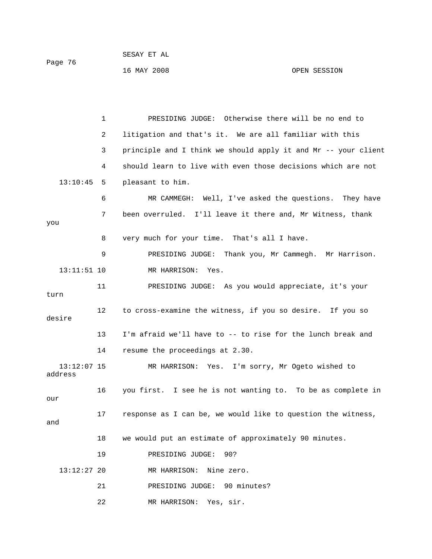1 PRESIDING JUDGE: Otherwise there will be no end to 2 litigation and that's it. We are all familiar with this 3 principle and I think we should apply it and Mr -- your client 6 MR CAMMEGH: Well, I've asked the questions. They have 7 been overruled. I'll leave it there and, Mr Witness, thank you 8 very much for your time. That's all I have. 13:11:51 10 MR HARRISON: Yes. 11 PRESIDING JUDGE: As you would appreciate, it's your desire 13 I'm afraid we'll have to -- to rise for the lunch break and 16 you first. I see he is not wanting to. To be as complete in 17 response as I can be, we would like to question the witness, 18 we would put an estimate of approximately 90 minutes. 19 PRESIDING JUDGE: 90? 21 PRESIDING JUDGE: 90 minutes? 4 should learn to live with even those decisions which are not 13:10:45 5 pleasant to him. 9 PRESIDING JUDGE: Thank you, Mr Cammegh. Mr Harrison. turn 12 to cross-examine the witness, if you so desire. If you so 14 resume the proceedings at 2.30. 13:12:07 15 MR HARRISON: Yes. I'm sorry, Mr Ogeto wished to address our and 13:12:27 20 MR HARRISON: Nine zero.

22 MR HARRISON: Yes, sir.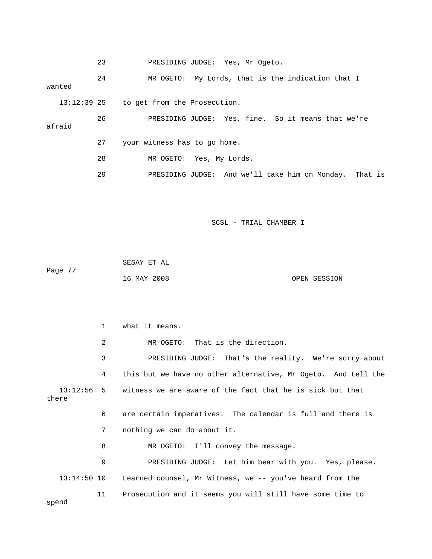|        | 23 | PRESIDING JUDGE: Yes, Mr Ogeto.                        |
|--------|----|--------------------------------------------------------|
| wanted | 24 | My Lords, that is the indication that I<br>MR OGETO:   |
|        |    | 13:12:39 25 to get from the Prosecution.               |
| afraid | 26 | PRESIDING JUDGE: Yes, fine. So it means that we're     |
|        | 27 | your witness has to go home.                           |
|        | 28 | MR OGETO: Yes, My Lords.                               |
|        | 29 | PRESIDING JUDGE: And we'll take him on Monday. That is |

Page 77 OPEN SESSION SESAY ET AL 16 MAY 2008

 1 what it means. 3 PRESIDING JUDGE: That's the reality. We're sorry about 4 this but we have no other alternative, Mr Ogeto. And tell the witness we are aware of the fact that he is sick but that 6 are certain imperatives. The calendar is full and there is 7 nothing we can do about it. 8 MR OGETO: I'll convey the message. 9 PRESIDING JUDGE: Let him bear with you. Yes, please. spend 2 MR OGETO: That is the direction. 13:12: there 13:14:50 10 Learned counsel, Mr Witness, we -- you've heard from the 11 Prosecution and it seems you will still have some time to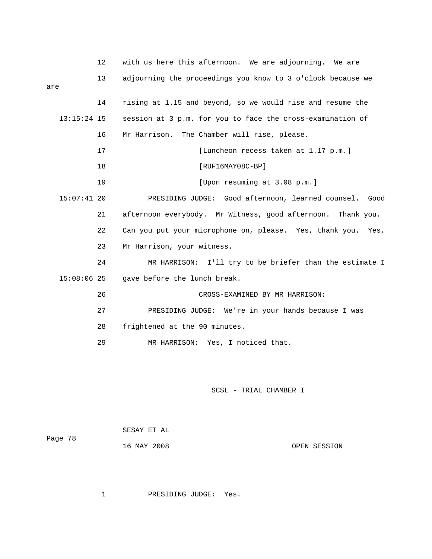|               | 12 | with us here this afternoon. We are adjourning. We are          |
|---------------|----|-----------------------------------------------------------------|
| are           | 13 | adjourning the proceedings you know to 3 o'clock because we     |
|               |    |                                                                 |
|               | 14 | rising at 1.15 and beyond, so we would rise and resume the      |
| $13:15:24$ 15 |    | session at 3 p.m. for you to face the cross-examination of      |
|               | 16 | Mr Harrison. The Chamber will rise, please.                     |
|               | 17 | [Luncheon recess taken at 1.17 p.m.]                            |
|               | 18 | $[RUF16MAY08C-BP]$                                              |
|               | 19 | [Upon resuming at 3.08 p.m.]                                    |
| $15:07:41$ 20 |    | PRESIDING JUDGE: Good afternoon, learned counsel. Good          |
|               | 21 | afternoon everybody. Mr Witness, good afternoon. Thank you.     |
|               | 22 | Can you put your microphone on, please. Yes, thank you.<br>Yes, |
|               | 23 | Mr Harrison, your witness.                                      |
|               | 24 | MR HARRISON: I'll try to be briefer than the estimate I         |
| $15:08:06$ 25 |    | gave before the lunch break.                                    |
|               | 26 | CROSS-EXAMINED BY MR HARRISON:                                  |
|               | 27 | PRESIDING JUDGE: We're in your hands because I was              |
|               | 28 | frightened at the 90 minutes.                                   |
|               | 29 | MR HARRISON: Yes, I noticed that.                               |

|         | SESAY ET AL |              |
|---------|-------------|--------------|
| Page 78 | 16 MAY 2008 | OPEN SESSION |
|         |             |              |

1 PRESIDING JUDGE: Yes.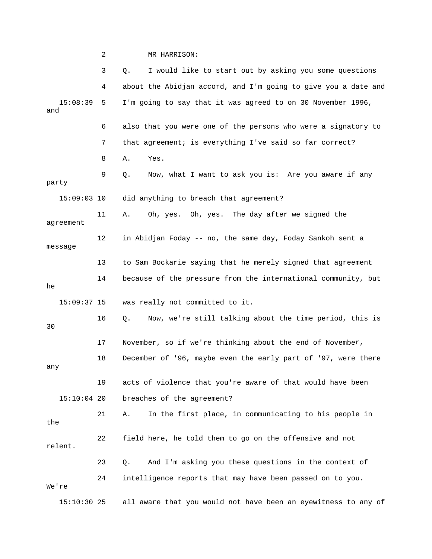2 MR HARRISON:

|                 | 3  | I would like to start out by asking you some questions<br>Q.   |
|-----------------|----|----------------------------------------------------------------|
|                 | 4  | about the Abidjan accord, and I'm going to give you a date and |
| 15:08:39<br>and | 5  | I'm going to say that it was agreed to on 30 November 1996,    |
|                 | 6  | also that you were one of the persons who were a signatory to  |
|                 | 7  | that agreement; is everything I've said so far correct?        |
|                 | 8  | Yes.<br>Α.                                                     |
| party           | 9  | Now, what I want to ask you is: Are you aware if any<br>Q.     |
| $15:09:03$ 10   |    | did anything to breach that agreement?                         |
| agreement       | 11 | Oh, yes. Oh, yes. The day after we signed the<br>Α.            |
| message         | 12 | in Abidjan Foday -- no, the same day, Foday Sankoh sent a      |
|                 | 13 | to Sam Bockarie saying that he merely signed that agreement    |
| he              | 14 | because of the pressure from the international community, but  |
| $15:09:37$ 15   |    | was really not committed to it.                                |
| 30              | 16 | Now, we're still talking about the time period, this is<br>Q.  |
|                 | 17 | November, so if we're thinking about the end of November,      |
| any             | 18 | December of '96, maybe even the early part of '97, were there  |
|                 | 19 | acts of violence that you're aware of that would have been     |
| $15:10:04$ 20   |    | breaches of the agreement?                                     |
| the             | 21 | In the first place, in communicating to his people in<br>Α.    |
| relent.         | 22 | field here, he told them to go on the offensive and not        |
|                 | 23 | And I'm asking you these questions in the context of<br>Q.     |
| We're           | 24 | intelligence reports that may have been passed on to you.      |
| $15:10:30$ 25   |    | all aware that you would not have been an eyewitness to any of |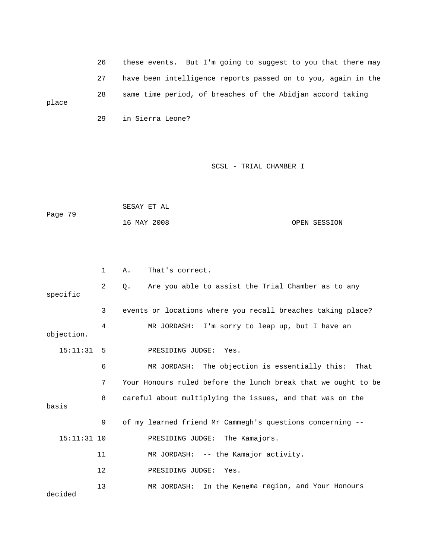26 these events. But I'm goin g to suggest to you that there may 27 have been intelligence repo rts passed on to you, again in the 28 same time period, of breaches of the Abidjan accord taking place

29 in Sierra Leone?

```
 16 MAY 2008 OPEN SESSION 
             SESAY ET AL 
Page 79
```

|                                                                         | 1  | That's correct.<br>Α.                                         |  |
|-------------------------------------------------------------------------|----|---------------------------------------------------------------|--|
| specific                                                                | 2  | Are you able to assist the Trial Chamber as to any<br>Q.      |  |
|                                                                         | 3  | events or locations where you recall breaches taking place?   |  |
| objection.                                                              | 4  | MR JORDASH: I'm sorry to leap up, but I have an               |  |
| 15:11:31                                                                | -5 | PRESIDING JUDGE: Yes.                                         |  |
|                                                                         | 6  | MR JORDASH: The objection is essentially this:<br>That        |  |
|                                                                         | 7  | Your Honours ruled before the lunch break that we ought to be |  |
| careful about multiplying the issues, and that was on the<br>8<br>basis |    |                                                               |  |
|                                                                         | 9  | of my learned friend Mr Cammegh's questions concerning --     |  |
| $15:11:31$ 10                                                           |    | PRESIDING JUDGE: The Kamajors.                                |  |
|                                                                         | 11 | MR JORDASH: -- the Kamajor activity.                          |  |
|                                                                         | 12 | PRESIDING JUDGE: Yes.                                         |  |
| decided                                                                 | 13 | MR JORDASH: In the Kenema region, and Your Honours            |  |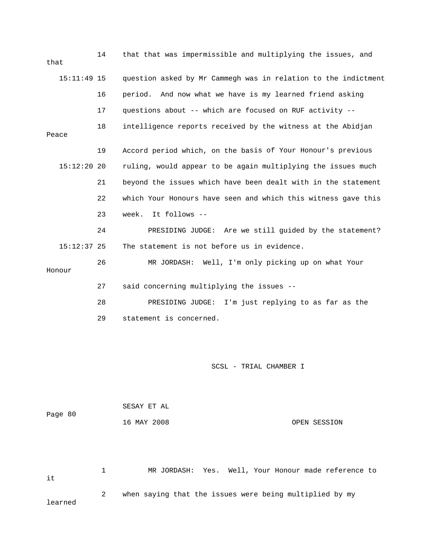| that  |               | 14 | that that was impermissible and multiplying the issues, and    |
|-------|---------------|----|----------------------------------------------------------------|
|       | $15:11:49$ 15 |    | question asked by Mr Cammegh was in relation to the indictment |
|       |               | 16 | period. And now what we have is my learned friend asking       |
|       |               | 17 | questions about -- which are focused on RUF activity --        |
| Peace |               | 18 | intelligence reports received by the witness at the Abidjan    |
|       |               | 19 | Accord period which, on the basis of Your Honour's previous    |
|       | $15:12:20$ 20 |    | ruling, would appear to be again multiplying the issues much   |
|       |               | 21 | beyond the issues which have been dealt with in the statement  |
|       |               | 22 | which Your Honours have seen and which this witness gave this  |
|       |               | 23 | week. It follows --                                            |
|       |               | 24 | PRESIDING JUDGE: Are we still guided by the statement?         |
|       | $15:12:37$ 25 |    | The statement is not before us in evidence.                    |
|       | Honour        | 26 | MR JORDASH: Well, I'm only picking up on what Your             |
|       |               | 27 | said concerning multiplying the issues --                      |
|       |               | 28 | PRESIDING JUDGE: I'm just replying to as far as the            |
|       |               | 29 | statement is concerned.                                        |

|         | SESAY ET AL |              |
|---------|-------------|--------------|
| Page 80 |             |              |
|         | 16 MAY 2008 | OPEN SESSION |

 1 MR JORDASH: Yes. Well, Your Honour made reference to 2 when saying that the issues were being multiplied by my it learned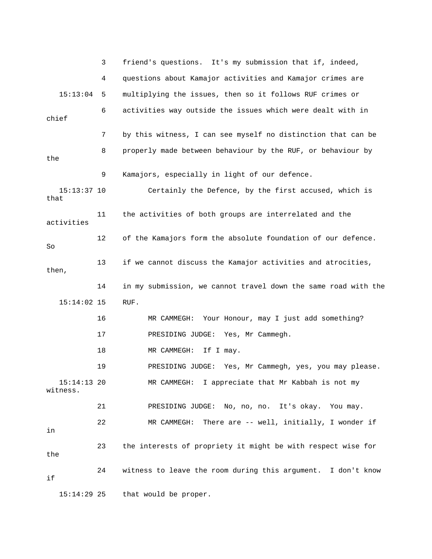|                           | 3  | friend's questions. It's my submission that if, indeed,        |
|---------------------------|----|----------------------------------------------------------------|
|                           | 4  | questions about Kamajor activities and Kamajor crimes are      |
| 15:13:04                  | 5  | multiplying the issues, then so it follows RUF crimes or       |
| chief                     | 6  | activities way outside the issues which were dealt with in     |
|                           | 7  | by this witness, I can see myself no distinction that can be   |
| the                       | 8  | properly made between behaviour by the RUF, or behaviour by    |
|                           | 9  | Kamajors, especially in light of our defence.                  |
| $15:13:37$ 10<br>that     |    | Certainly the Defence, by the first accused, which is          |
| activities                | 11 | the activities of both groups are interrelated and the         |
| So                        | 12 | of the Kamajors form the absolute foundation of our defence.   |
| then,                     | 13 | if we cannot discuss the Kamajor activities and atrocities,    |
|                           | 14 | in my submission, we cannot travel down the same road with the |
| $15:14:02$ 15             |    | RUF.                                                           |
|                           | 16 | Your Honour, may I just add something?<br>MR CAMMEGH:          |
|                           | 17 | PRESIDING JUDGE: Yes, Mr Cammegh.                              |
|                           | 18 | If I may.<br>MR CAMMEGH:                                       |
|                           | 19 | PRESIDING JUDGE: Yes, Mr Cammegh, yes, you may please.         |
| $15:14:13$ 20<br>witness. |    | MR CAMMEGH: I appreciate that Mr Kabbah is not my              |
|                           | 21 | PRESIDING JUDGE: No, no, no. It's okay. You may.               |
| in                        | 22 | MR CAMMEGH: There are -- well, initially, I wonder if          |
| the                       | 23 | the interests of propriety it might be with respect wise for   |
| if                        | 24 | witness to leave the room during this argument. I don't know   |
|                           |    |                                                                |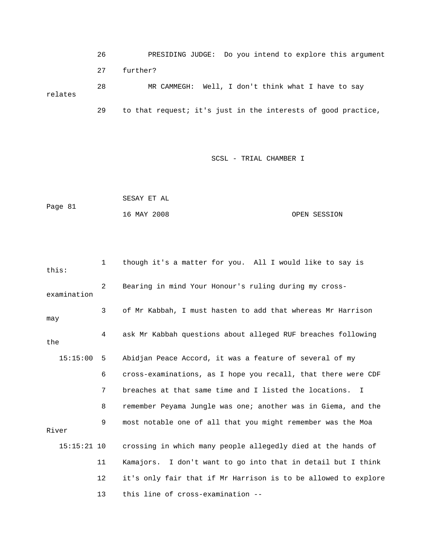26 PRESIDING JUDGE: Do you intend to explore this argument 27 further? relates 29 to that request; it's just in the interests of good practice, 28 MR CAMMEGH: Well, I don't think what I have to say

```
 SESAY ET AL 
            16 MAY 2008 OPEN SESSION 
Page 81
```

| this:         | $\mathbf{1}$                                               | though it's a matter for you. All I would like to say is       |  |  |  |
|---------------|------------------------------------------------------------|----------------------------------------------------------------|--|--|--|
| examination   | Bearing in mind Your Honour's ruling during my cross-<br>2 |                                                                |  |  |  |
| may           | 3                                                          | of Mr Kabbah, I must hasten to add that whereas Mr Harrison    |  |  |  |
| the           | 4                                                          | ask Mr Kabbah questions about alleged RUF breaches following   |  |  |  |
| 15:15:00      | -5                                                         | Abidjan Peace Accord, it was a feature of several of my        |  |  |  |
|               | 6                                                          | cross-examinations, as I hope you recall, that there were CDF  |  |  |  |
|               | 7                                                          | breaches at that same time and I listed the locations. I       |  |  |  |
|               | 8                                                          | remember Peyama Jungle was one; another was in Giema, and the  |  |  |  |
| River         | 9                                                          | most notable one of all that you might remember was the Moa    |  |  |  |
| $15:15:21$ 10 |                                                            | crossing in which many people allegedly died at the hands of   |  |  |  |
|               | 11                                                         | Kamajors. I don't want to go into that in detail but I think   |  |  |  |
|               | 12                                                         | it's only fair that if Mr Harrison is to be allowed to explore |  |  |  |
|               | 13                                                         | this line of cross-examination --                              |  |  |  |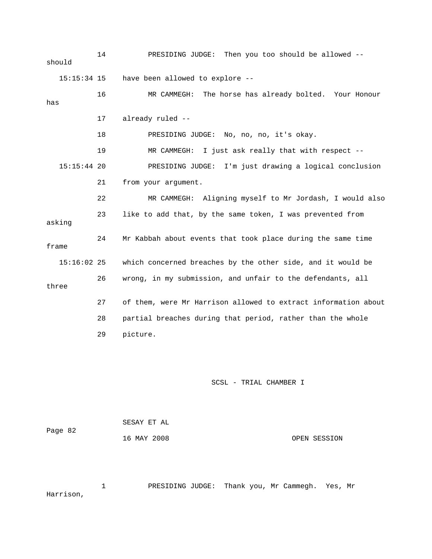14 PRESIDING JUDGE: Then you too should be allowed - has 17 already ruled -- 22 MR CAMMEGH: Aligning myself to Mr Jordash, I would also 23 like to add that, by the same token, I was prevented from  $15:16:02$  25 which concerned breaches by the other side, and it would be 26 wrong, in my submission, and unfair to the defendants, all three 27 of them, were Mr Harrison allowed to extract information about 28 partial breaches during that period, rather than the whole 29 picture. should 15:15:34 15 have been allowed to explore -- 16 MR CAMMEGH: The horse has already bolted. Your Honour 18 PRESIDING JUDGE: No, no, no, it's okay. 19 MR CAMMEGH: I just ask really that with respect -- 15:15:44 20 PRESIDING JUDGE: I'm just drawing a logical conclusion 21 from your argument. asking 24 Mr Kabbah about events that took place during the same time frame

SCSL - TRIAL CHAMBER I

 16 MAY 2008 OPEN SESSION SESAY ET AL Page 82

 1 PRESIDING JUDGE: Thank you, Mr Cammegh. Yes, Mr Harrison,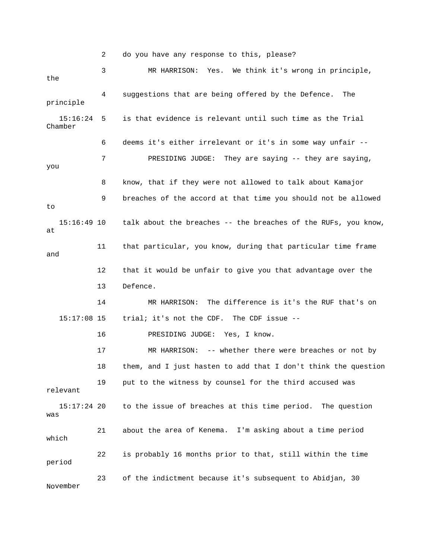2 do you have any response to this, please? 3 MR HARRISON: Yes. We think it's wrong in principle, 4 suggestions that are being offered by the Defence. The principle is that evidence is relevant until such time as the Trial 6 deems it's either irrelevant or it's in some way unfair -- 7 PRESIDING JUDGE: They are saying -- they are saying, you 8 know, that if they were not allowed to talk about Kamajor 9 breaches of the accord at that time you should not be allowed talk about the breaches -- the breaches of the RUFs, you know, 11 that particular, you know, during that particular time frame 12 that it would be unfair to give you that advantage over the 15:17:08 15 trial; it's not the CDF. The CDF issue -- 16 PRESIDING JUDGE: Yes, I know. 19 put to the witness by counsel for the third accused was 15:17:24 20 to the issue of breaches at this time period. The question 21 about the area of Kenema. I'm asking about a time period which 22 is probably 16 months prior to that, still within the time 23 of the indictment because it's subsequent to Abidjan, 30 November the  $15:16:24$  5 Chamber to  $15:16:49$  10 at and 13 Defence. 14 MR HARRISON: The difference is it's the RUF that's on 17 MR HARRISON: -- whether there were breaches or not by 18 them, and I just hasten to add that I don't think the question relevant was period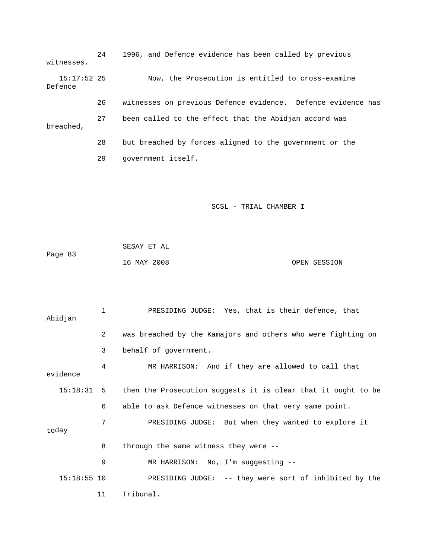24 1996, and Defence evidence has been called by previous witnesses. 15:17:52 25 Now, the Prosecution is entitled to cross-examine Defence 26 witnesses on previous Defence evidence. Defence evidence has breached, 27 been called to the effect that the Abidjan accord was 28 but breached by forces aligned to the government or the

29 government itself.

|         | SESAY ET AL |              |
|---------|-------------|--------------|
| Page 83 |             |              |
|         | 16 MAY 2008 | OPEN SESSION |

| Abidjan       | 1  | PRESIDING JUDGE: Yes, that is their defence, that             |
|---------------|----|---------------------------------------------------------------|
|               | 2  | was breached by the Kamajors and others who were fighting on  |
|               | 3  | behalf of government.                                         |
| evidence      | 4  | MR HARRISON: And if they are allowed to call that             |
| $15:18:31$ 5  |    | then the Prosecution suggests it is clear that it ought to be |
|               | 6  | able to ask Defence witnesses on that very same point.        |
| today         | 7  | PRESIDING JUDGE: But when they wanted to explore it           |
|               | 8  | through the same witness they were $-$ -                      |
|               | 9  | MR HARRISON: No, I'm suggesting --                            |
| $15:18:55$ 10 |    | PRESIDING JUDGE: -- they were sort of inhibited by the        |
|               | 11 | Tribunal.                                                     |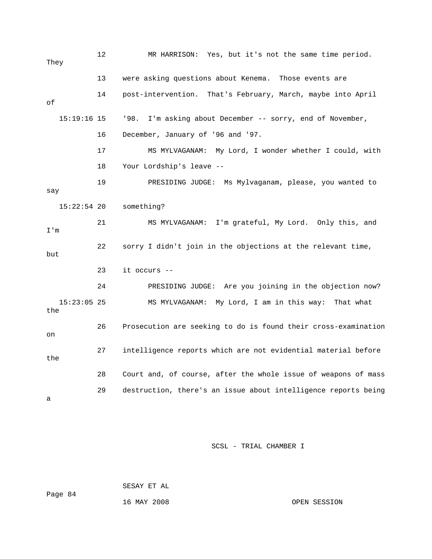12 MR HARRISON: Yes, but it's not the same time period . They 14 post-intervention. That's February, March, maybe into April '98. I'm asking about December -- sorry, end of November, 17 MS MYLVAGANAM: My Lord, I wonder whether I could, with DING JUDGE: Ms Mylvaganam, please, you wanted to 19 PRESI  $\operatorname*{say}% \operatorname*{supp}\left( X_{0},\mathcal{N}\right) =\operatorname*{supp}\left( X_{0},\mathcal{N}\right)$ something? 21 MS MYLVAGANAM: I'm grateful, My Lord. Only this, and 22 sorry I didn't join in the objections at the relevant time, 23 it occurs -- 24 PRESIDING JUDGE: Are you joining in the objection now? 27 intelligence reports which are not evidential material before the 29 destruction, there's an issue about intelligence reports being 13 were asking questions about Kenema. Those events are of  $15:19:16$  15 16 December, January of '96 and '97. 18 Your Lordship's leave --  $15:22:54$  20 I'm but 15:23:05 25 MS MYLVAGANAM: My Lord, I am in this way: That what the 26 Prosecution are seeking to do is found their cross-examination on 28 Court and, of course, after the whole issue of weapons of mass a

SCSL - TRIAL CHAMBER I

SESAY ET AL

Page 84

16 MAY 2008 OPEN SESSION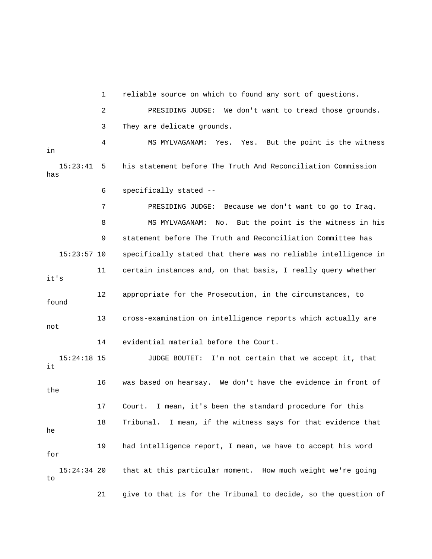1 reliable source on which to found any sort of questions.

 2 PRESIDING JUDGE: We don't want to tread those grounds. 3 They are delicate grounds. 4 MS MYLVAGANAM: Yes. Yes. But the point is the witness 15:23:41 5 his statement before The Truth And Reconciliation Commission has Iraq. 7 PRESIDING JUDGE: Because we don't want to go to 8 MS MYLVAGANAM: No. But the point is the witness in his 9 statement before The Truth and Reconciliation Committee has 15:23:57 10 specifically stated that there was no reliable intelligence in 12 appropriate for the Prosecution, in the circumstances, to 13 cross-examination on intelligence reports which actually are 14 evidential material before the Court. 15:24:18 15 JUDGE BOUTET: I'm not certain that we accept it, that the 17 Court. I mean, it's been the standard procedure for this 19 had intelligence report, I mean, we have to accept his word that at this particular moment. How much weight we're going 21 give to that is for the Tribunal to decide, so the question of in 6 specifically stated -- 11 certain instances and, on that basis, I really query whether it's found not it 16 was based on hearsay. We don't have the evidence in front of 18 Tribunal. I mean, if the witness says for that evidence that he for  $15:24:34$  20 to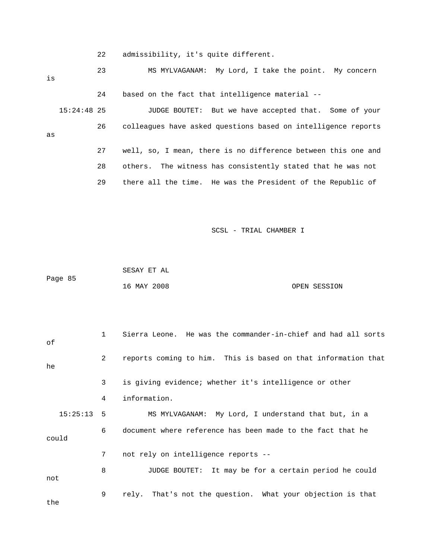22 admissibility, it's quite different.

| is |             | 23 | MS MYLVAGANAM: My Lord, I take the point. My concern          |
|----|-------------|----|---------------------------------------------------------------|
|    |             | 24 | based on the fact that intelligence material --               |
|    | 15:24:48 25 |    | JUDGE BOUTET: But we have accepted that. Some of your         |
| as |             | 26 | colleagues have asked questions based on intelligence reports |
|    |             | 27 | well, so, I mean, there is no difference between this one and |
|    |             | 28 | others. The witness has consistently stated that he was not   |
|    |             | 29 | there all the time. He was the President of the Republic of   |
|    |             |    |                                                               |

|         | SESAY ET AL |  |              |
|---------|-------------|--|--------------|
| Page 85 |             |  |              |
|         | 16 MAY 2008 |  | OPEN SESSION |

| оf           | $\mathbf{1}$ | Sierra Leone. He was the commander-in-chief and had all sorts |
|--------------|--------------|---------------------------------------------------------------|
| he           | 2            | reports coming to him. This is based on that information that |
|              | 3            | is giving evidence; whether it's intelligence or other        |
|              | 4            | information.                                                  |
| $15:25:13$ 5 |              | MS MYLVAGANAM: My Lord, I understand that but, in a           |
| could        | 6            | document where reference has been made to the fact that he    |
|              | 7            | not rely on intelligence reports --                           |
| not          | 8            | JUDGE BOUTET: It may be for a certain period he could         |
| the          | 9            | rely. That's not the question. What your objection is that    |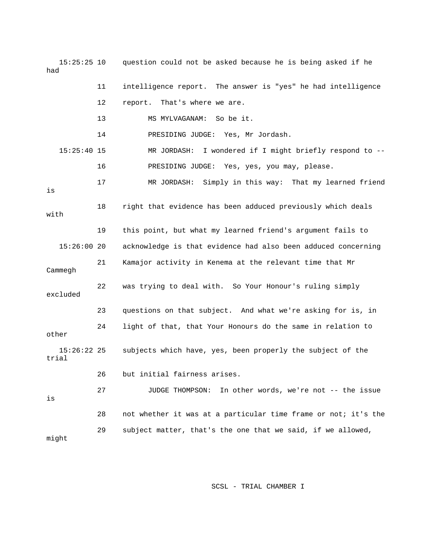15:25:25 10 question could not be asked because he is being asked if he had 11 intelligence report. The answer is "yes" he had intelligence 12 report. That's where we are. 15:25:40 15 MR JORDASH: I wondered if I might briefly respond to -- 16 PRESIDING JUDGE: Yes, yes, you may, please. 17 MR JORDASH: Simply in this way: That my learned friend 18 right that evidence has been adduced previously which deals with 19 this point, but what my learned friend's argument fails to 21 Kamajor activity in Kenema at the relevant time that Mr Cammegh 22 was trying to deal with. So Your Honour's ruling simply 24 Iight of that, that Your Honours do the same in relation to other trial 27 JUDGE THOMPSON: In other words, we're not -- the issue 28 not whether it was at a particular time frame or not; it's the 29 subject matter, that's the one that we said, if we allowed, might 13 MS MYLVAGANAM: So be it. 14 PRESIDING JUDGE: Yes, Mr Jordash. is 15:26:00 20 acknowledge is that evidence had also been adduced concerning excluded 23 questions on that subject. And what we're asking for is, in 15:26:22 25 subjects which have, yes, been properly the subject of the 26 but initial fairness arises. is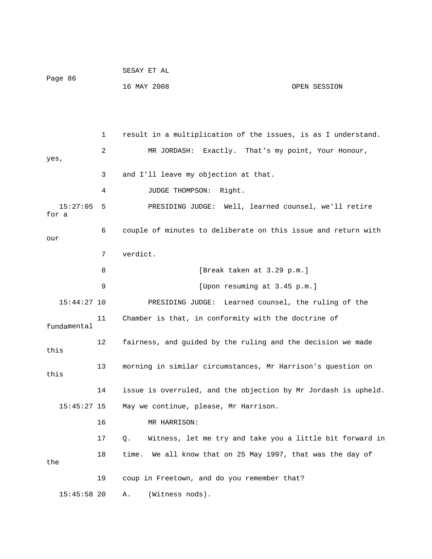|                   |    | SESAY ET AL                                                    |              |
|-------------------|----|----------------------------------------------------------------|--------------|
| Page 86           |    | 16 MAY 2008                                                    | OPEN SESSION |
|                   |    |                                                                |              |
|                   |    |                                                                |              |
|                   | 1  | result in a multiplication of the issues, is as I understand.  |              |
| yes,              | 2  | MR JORDASH: Exactly. That's my point, Your Honour,             |              |
|                   | 3  | and I'll leave my objection at that.                           |              |
|                   | 4  | JUDGE THOMPSON:<br>Right.                                      |              |
| 15:27:05<br>for a | 5  | PRESIDING JUDGE: Well, learned counsel, we'll retire           |              |
| our               | 6  | couple of minutes to deliberate on this issue and return with  |              |
|                   | 7  | verdict.                                                       |              |
|                   | 8  | [Break taken at 3.29 p.m.]                                     |              |
|                   | 9  | [Upon resuming at 3.45 p.m.]                                   |              |
| $15:44:27$ 10     |    | PRESIDING JUDGE: Learned counsel, the ruling of the            |              |
| fundamental       | 11 | Chamber is that, in conformity with the doctrine of            |              |
| this              | 12 | fairness, and guided by the ruling and the decision we made    |              |
| this              | 13 | morning in similar circumstances, Mr Harrison's question on    |              |
|                   | 14 | issue is overruled, and the objection by Mr Jordash is upheld. |              |
| $15:45:27$ 15     |    | May we continue, please, Mr Harrison.                          |              |
|                   | 16 | MR HARRISON:                                                   |              |
|                   | 17 | Witness, let me try and take you a little bit forward in<br>Q. |              |
| the               | 18 | We all know that on 25 May 1997, that was the day of<br>time.  |              |
|                   | 19 | coup in Freetown, and do you remember that?                    |              |
| $15:45:58$ 20     |    | (Witness nods).<br>Α.                                          |              |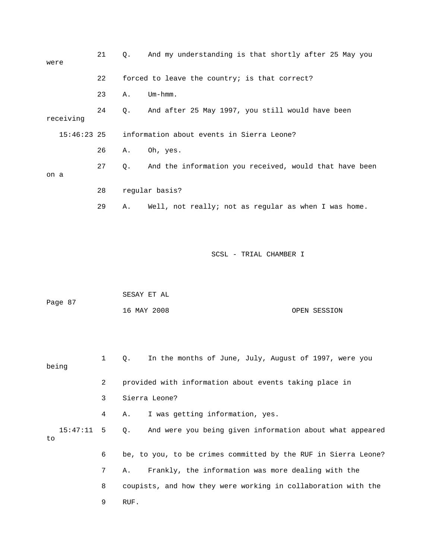| were |               | 21 | Ο. | And my understanding is that shortly after 25 May you  |
|------|---------------|----|----|--------------------------------------------------------|
|      |               | 22 |    | forced to leave the country; is that correct?          |
|      |               | 23 | Α. | $Um - hmm.$                                            |
|      | receiving     | 24 | Q. | And after 25 May 1997, you still would have been       |
|      | $15:46:23$ 25 |    |    | information about events in Sierra Leone?              |
|      |               | 26 | Α. | Oh, yes.                                               |
| on a |               | 27 | Q. | And the information you received, would that have been |
|      |               | 28 |    | regular basis?                                         |
|      |               | 29 | Α. | Well, not really; not as regular as when I was home.   |
|      |               |    |    |                                                        |
|      |               |    |    |                                                        |

|         | SESAY ET AL |              |
|---------|-------------|--------------|
| Page 87 |             |              |
|         | 16 MAY 2008 | OPEN SESSION |

1 Q. In the months of June, July, August of 1997, were you being 2 provided with information about events taking place in 3 Sierra Leone? 4 A. I was getting information, yes. 15:47:11 5 Q. And were you being given information about what appeared 6 be, to you, to be crimes committed by the RUF in Sierra Leone? 8 coupists, and how they were working in collaboration with the 9 RUF. to 7 A. Frankly, the information was more dealing with the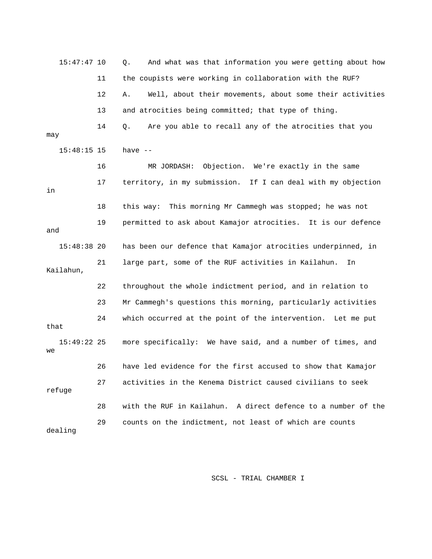15:47:47 10 Q. And what was that information you were getting about h ow 11 the coupists were working in collaboration with the RUF? 12 A. Well, about their movements, about some their activities 13 and atrocities being committed; that type of thing. 14 Q. Are you able to recall any of the atrocities that you 5:48:15 15 have -- 1 17 territory, in my submission. If I can deal with my objection 18 this way: This morning Mr Cammegh was stopped; he was not 19 permitted to ask about Kamajor atrocities. It is our defence 15:48:38 20 has been our defence that Kamajor atrocities underpinned, in Kailahun, 22 throughout the whole indictment period, and in relation to 24 which occurred at the point of the intervention. Let me put 15:49:22 25 more specifically: We have said, and a number of times, and 26 have led evidence for the first accused to show that Kamajor 27 activities in the Kenema District caused civilians to seek 28 with the RUF in Kailahun. A direct defence to a number of the may 16 MR JORDASH: Objection. We're exactly in the same in and 21 large part, some of the RUF activities in Kailahun. In 23 Mr Cammegh's questions this morning, particularly activities that we refuge 29 counts on the indictment, not least of which are counts dealing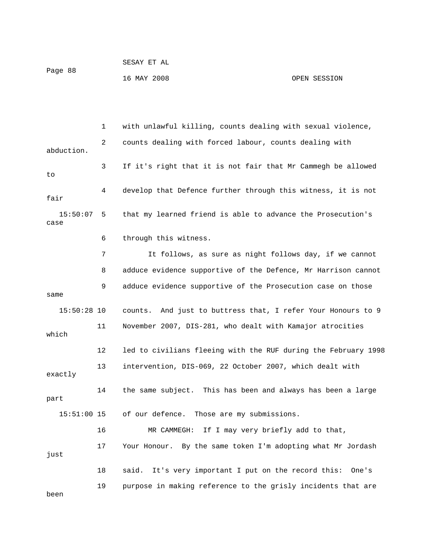1 with unlawful killing, counts dealing with sexual violence, 2 counts dealing with forced labour, counts dealing with abduction. 3 If it's right that it is not fair that Mr Cammegh be allowed 4 develop that Defence further through this witness, it is not fair 15:50:07 5 that my learned friend is able to advance the Prosecution's case 6 through this witness. 7 It follows, as sure as night follows day, if we cannot 8 adduce evidence supportive of the Defence, Mr Harrison cannot 9 adduce evidence supportive of the Prosecution case on those 15:50:28 10 counts. And just to buttress that, I refer Your Honours to 9 11 November 2007, DIS-281, who dealt with Kamajor atrocities 12 led to civilians fleeing with the RUF during the February 1998 13 intervention, DIS-069, 22 October 2007, which dealt with exactly 14 the same subject. This has been and always has been a large 15:51:00 15 of our defence. Those are my submissions. 16 MR CAMMEGH: If I may very briefly add to that, 18 said. It's very important I put on the record this: One's 19 purpose in making reference to the grisly incidents that are to same which part 17 Your Honour. By the same token I'm adopting what Mr Jordash just been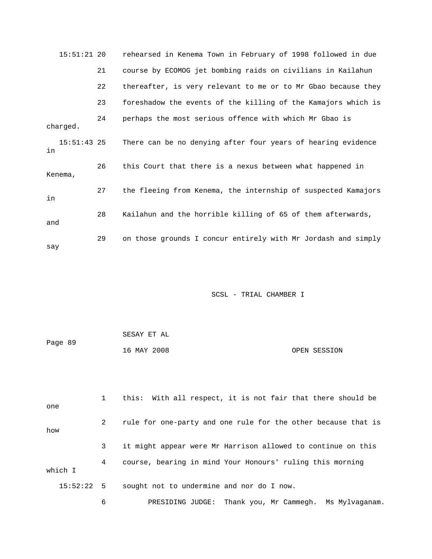|          | $15:51:21$ 20 | rehearsed in Kenema Town in February of 1998 followed in due  |
|----------|---------------|---------------------------------------------------------------|
|          | 21            | course by ECOMOG jet bombing raids on civilians in Kailahun   |
|          | 22            | thereafter, is very relevant to me or to Mr Gbao because they |
|          | 23            | foreshadow the events of the killing of the Kamajors which is |
| charged. | 24            | perhaps the most serious offence with which Mr Gbao is        |
| in       | $15:51:43$ 25 | There can be no denying after four years of hearing evidence  |
| Kenema,  | 26            | this Court that there is a nexus between what happened in     |
| in       | 27            | the fleeing from Kenema, the internship of suspected Kamajors |
| and      | 28            | Kailahun and the horrible killing of 65 of them afterwards,   |
| say      | 29            | on those grounds I concur entirely with Mr Jordash and simply |

|         | SESAY ET AL |              |
|---------|-------------|--------------|
| Page 89 |             |              |
|         | 16 MAY 2008 | OPEN SESSION |

 1 this: With all respect, it is not fair that there should be 2 rule for one-party and one rule for the other because that is w ho 3 it might appear were Mr Harrison allowed to continue on this 4 course, bearing in mind Your Honours' ruling this morning 15:52:22 5 sought not to undermine and nor do I now. one which I

6 PRESIDING JUDGE: Thank you, Mr Cammegh. Ms Mylvaganam.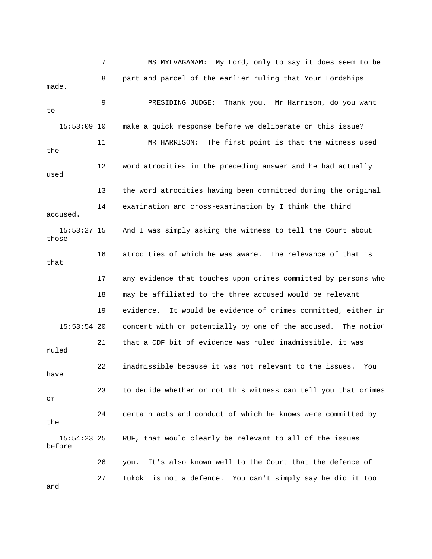7 MS MYLVAGANAM: My Lord, only to say it does se em to be 8 part and parcel of the earlier ruling that Your Lords hips made. 9 PRESIDING JUDGE: Thank you. Mr Harrison, do you want make a quick response before we deliberate on this issue? used 13 the word atrocities having been committed during the original 14 examination and cross-examination by I think the third accused. 18 may be affiliated to the three accused would be relevant 19 evidence. It would be evidence of crimes committed, either in 15:53:54 20 concert with or potentially by one of the accused. The notion 23 to decide whether or not this witness can tell you that crimes 24 certain acts and conduct of which he knows were committed by RUF, that would clearly be relevant to all of the issues before 26 you. It's also known well to the Court that the defence of to  $15:53:09$  10 11 MR HARRISON: The first point is that the witness used the 12 word atrocities in the preceding answer and he had actually 15:53:27 15 And I was simply asking the witness to tell the Court about those 16 atrocities of which he was aware. The relevance of that is that 17 any evidence that touches upon crimes committed by persons who 21 that a CDF bit of evidence was ruled inadmissible, it was ruled 22 inadmissible because it was not relevant to the issues. You have or the  $15:54:23$  25 27 Tukoki is not a defence. You can't simply say he did it too and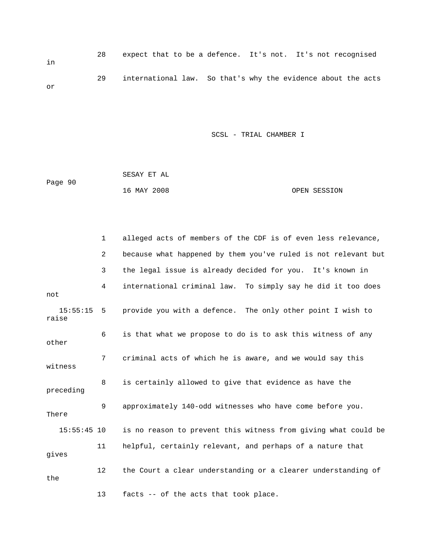| in | 28 |  | expect that to be a defence. It's not. It's not recognised   |
|----|----|--|--------------------------------------------------------------|
| or | 29 |  | international law. So that's why the evidence about the acts |

|         | SESAY ET AL |              |
|---------|-------------|--------------|
| Page 90 |             |              |
|         | 16 MAY 2008 | OPEN SESSION |

|                       | $\mathbf 1$ | alleged acts of members of the CDF is of even less relevance,  |
|-----------------------|-------------|----------------------------------------------------------------|
|                       | 2           | because what happened by them you've ruled is not relevant but |
|                       | 3           | the legal issue is already decided for you. It's known in      |
| not                   | 4           | international criminal law. To simply say he did it too does   |
| $15:55:15$ 5<br>raise |             | provide you with a defence. The only other point I wish to     |
| other                 | 6           | is that what we propose to do is to ask this witness of any    |
| witness               | 7           | criminal acts of which he is aware, and we would say this      |
| preceding             | 8           | is certainly allowed to give that evidence as have the         |
| There                 | 9           | approximately 140-odd witnesses who have come before you.      |
| $15:55:45$ 10         |             | is no reason to prevent this witness from giving what could be |
| gives                 | 11          | helpful, certainly relevant, and perhaps of a nature that      |
| the                   | 12          | the Court a clear understanding or a clearer understanding of  |
|                       | 13          | facts -- of the acts that took place.                          |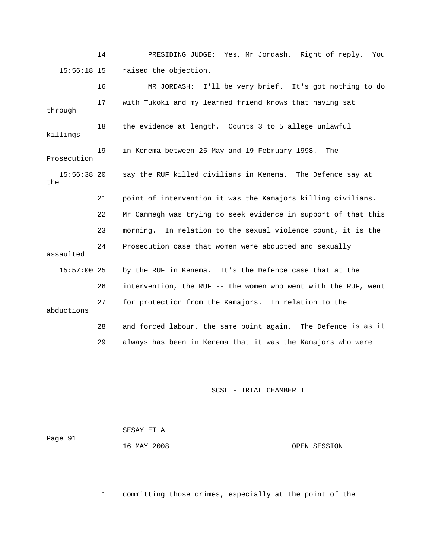14 PRESIDING JUDGE: Yes, Mr Jordash. Right of reply. You 15:56:18 15 raised the objection.

 16 MR JORDASH: I'll be very brief. It's got nothing to do s killing say the RUF killed civilians in Kenema. The Defence say at 21 point of intervention it was the Kamajors killing civilians. 22 Mr Cammegh was trying to seek evidence in support of that this 24 Prosecution case that women were abducted and sexually 15:57:00 25 by the RUF in Kenema. It's the Defence case that at the 26 intervention, the RUF -- the women who went with the RUF, went 28 and forced labour, the same point again. The Defence is as it 29 always has been in Kenema that it was the Kamajors who were 17 with Tukoki and my learned friend knows that having sat through 18 the evidence at length. Counts 3 to 5 allege unlawful 19 in Kenema between 25 May and 19 February 1998. The Prosecution 15:56:38 20 the 23 morning. In relation to the sexual violence count, it is the assaulted 27 for protection from the Kamajors. In relation to the abductions

SCSL - TRIAL CHAMBER I

| Paqe 91 | SESAY ET AL |              |
|---------|-------------|--------------|
|         | 16 MAY 2008 | OPEN SESSION |

1 committing those crimes, especially at the point of the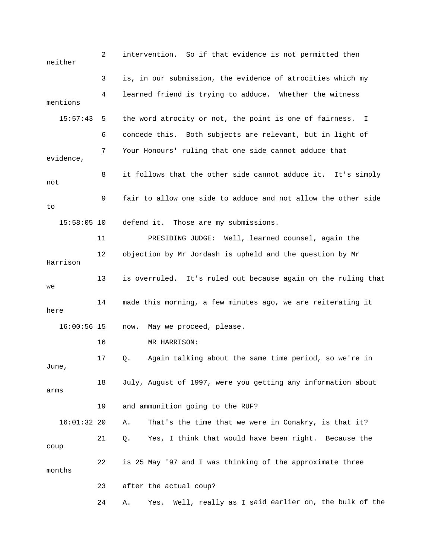2 intervention. So if that evidence is not permitted then 3 is, in our submission, the evidence of atrocities which my 4 learned friend is trying to adduce. Whether the witness mentions 15:57:43 5 the word atrocity or not, the point is one of fairness. I 6 concede this. Both subjects are relevant, but in light of 8 it follows that the other side cannot adduce it. It's simply not 9 fair to allow one side to adduce and not allow the other side 15:58:05 10 defend it. Those are my submissions. 11 PRESIDING JUDGE: Well, learned counsel, again the Harrison 13 is overruled. It's ruled out because again on the ruling that 16 MR HARRISON: 17 Q. Again talking about the same time period, so we're in June, 18 July, August of 1997, were you getting any information about arms 19 and ammunition going to the RUF? 16:01:32 20 A. That's the time that we were in Conakry, is that it? 21 Q. Yes, I think that would have been right. Because the 22 is 25 May '97 and I was thinking of the approximate three months 23 after the actual coup? 24 A. Yes. Well, really as I said earlier on, the bulk of the neither 7 Your Honours' ruling that one side cannot adduce that evidence, to 12 objection by Mr Jordash is upheld and the question by Mr we 14 made this morning, a few minutes ago, we are reiterating it here 16:00:56 15 now. May we proceed, please. coup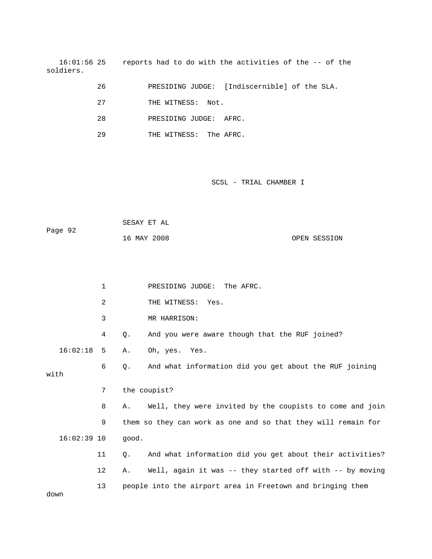16:01:56 25 reports had to do with the activities of the -- of the soldiers.

|  |  | PRESIDING JUDGE: [Indiscernible] of the SLA. |  |  |  |
|--|--|----------------------------------------------|--|--|--|
|--|--|----------------------------------------------|--|--|--|

- 27 THE WITNESS: Not.
- 28 PRESIDING JUDGE: AFRC.
- 29 THE WITNESS: The AFRC.

| Page 92 | SESAY ET AL |              |
|---------|-------------|--------------|
|         | 16 MAY 2008 | OPEN SESSION |

|               | $\mathbf 1$ |       | PRESIDING JUDGE: The AFRC.                                    |
|---------------|-------------|-------|---------------------------------------------------------------|
|               | 2           |       | THE WITNESS: Yes.                                             |
|               | 3           |       | MR HARRISON:                                                  |
|               | 4           | Q.    | And you were aware though that the RUF joined?                |
| 16:02:18      | -5          | Α.    | Oh, yes. Yes.                                                 |
| with          | 6           | Ο.    | And what information did you get about the RUF joining        |
|               | 7           |       | the coupist?                                                  |
|               | 8           | Α.    | Well, they were invited by the coupists to come and join      |
|               | 9           |       | them so they can work as one and so that they will remain for |
| $16:02:39$ 10 |             | qood. |                                                               |
|               | 11          | Q.    | And what information did you get about their activities?      |
|               | 12          | Α.    | Well, again it was -- they started off with -- by moving      |
| down          | 13          |       | people into the airport area in Freetown and bringing them    |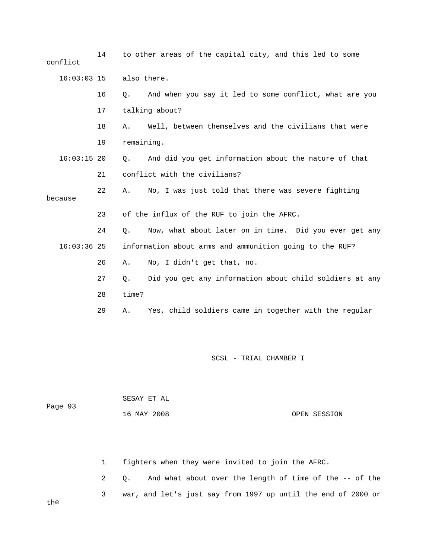14 to other areas of the capital city, and this led to some 16 Q. And when you say it led to some conflict, what are you And did you get information about the nature of that because 23 of the influx of the RUF to join the AFRC. 24 Q. Now, what about later on in time. Did you ever get any 16:03:36 25 information about arms and ammunition going to the RUF? 26 A. No, I didn't get that, no. 28 time? 29 A. Yes, child soldiers came in together with the regular conflict 16:03:03 15 also there. 17 talking about? 18 A. Well, between themselves and the civilians that were 19 remaining.  $16:03:15$  20 Q. 21 conflict with the civilians? 22 A. No, I was just told that there was severe fighting 27 Q. Did you get any information about child soldiers at any

SCSL - TRIAL CHAMBER I

| Page 93 | SESAY ET AL |              |
|---------|-------------|--------------|
|         | 16 MAY 2008 | OPEN SESSION |

1 fighters when they were invited to join the AFRC.

2 Q. And what about over the length of time of the -- of the 3 war, and let's just say from 1997 up until the end of 2000 or

the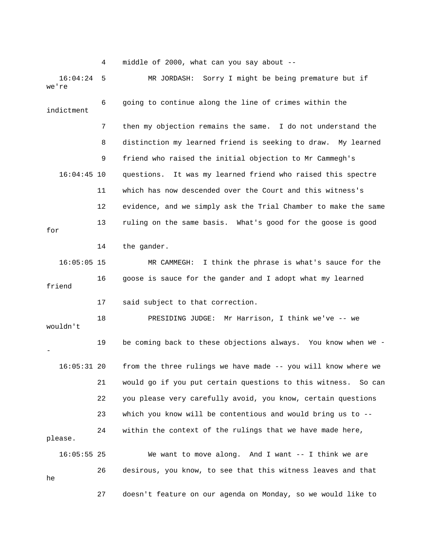4 middle of 2000, what can you say about --

16:04:24 5 MR JORDASH: Sorry I might be being premature but if 're we 6 going to continue along the line of crimes within the 7 then my objection remains the same. I do not understand the 8 distinction my learned friend is seeking to draw. My learned 9 friend who raised the initial objection to Mr Cammegh's 16:04:45 10 questions. It was my learned friend who raised this spectre 11 which has now descended over the Court and this witness's 12 evidence, and we simply ask the Trial Chamber to make the same e 16:05:05 15 MR CAMMEGH: I think the phrase is what's sauce for th 16 goose is sauce for the gander and I adopt what my learned 17 said subject to that correction. 18 PRESIDING JUDGE: Mr Harrison, I think we've -- we 19 be coming back to these objections always. You know when we - 16:05:31 20 from the three rulings we have made -- you will know where we 21 would go if you put certain questions to this witness. So can 23 which you know will be contentious and would bring us to -- 24 within the context of the rulings that we have made here, please. 16:05:55 25 We want to move along. And I want -- I think we are 26 desirous, you know, to see that this witness leaves and that 27 doesn't feature on our agenda on Monday, so we would like to indictment 13 ruling on the same basis. What's good for the goose is good for 14 the gander. friend wouldn't - 22 you please very carefully avoid, you know, certain questions he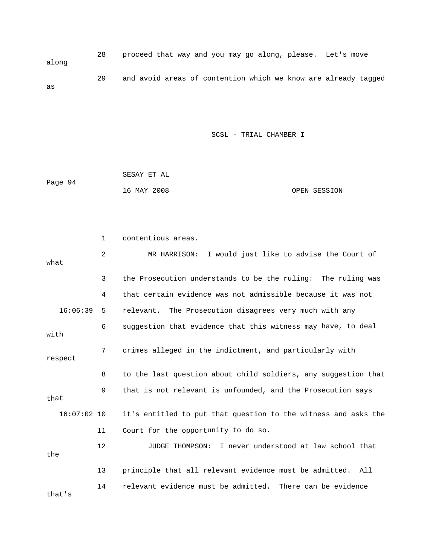28 proceed that way and you may go along, please. Let's move along 29 and avoid areas of contention which we know are already tagged as

|         | SESAY ET AL |              |
|---------|-------------|--------------|
| Page 94 |             |              |
|         | 16 MAY 2008 | OPEN SESSION |

|               | $\mathbf 1$    | contentious areas.                                             |
|---------------|----------------|----------------------------------------------------------------|
| what          | $\overline{2}$ | MR HARRISON: I would just like to advise the Court of          |
|               | 3              | the Prosecution understands to be the ruling: The ruling was   |
|               | 4              | that certain evidence was not admissible because it was not    |
| 16:06:39      | 5              | relevant. The Prosecution disagrees very much with any         |
| with          | 6              | suggestion that evidence that this witness may have, to deal   |
| respect       | 7              | crimes alleged in the indictment, and particularly with        |
|               | 8              | to the last question about child soldiers, any suggestion that |
| that          | 9              | that is not relevant is unfounded, and the Prosecution says    |
| $16:07:02$ 10 |                | it's entitled to put that question to the witness and asks the |
|               | 11             | Court for the opportunity to do so.                            |
| the           | $12 \,$        | I never understood at law school that<br>JUDGE THOMPSON:       |
|               | 13             | principle that all relevant evidence must be admitted. All     |
| that's        | 14             | relevant evidence must be admitted. There can be evidence      |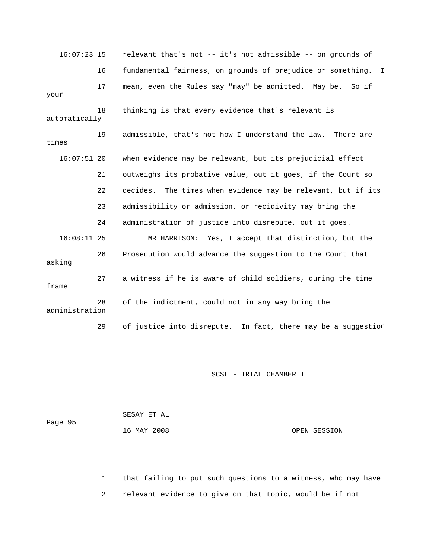16:07:23 15 relevant that's not -- it's not admissible -- on grounds of 16 fundamental fairness, on grounds of prejudice or something. I 17 mean, even the Rules say "may" be admitted. May be. So if automatically 19 admissible, that's not how I understand the law. There are times 16:07:51 20 when evidence may be relevant, but its prejudicial effect 21 outweighs its probative value, out it goes, if the Court so 22 decides. The times when evidence may be relevant, but if its 16:08:11 25 MR HARRISON: Yes, I accept that distinction, but the 29 of justice into disrepute. In fact, there may be a suggestion your 18 thinking is that every evidence that's relevant is 23 admissibility or admission, or recidivity may bring the 24 administration of justice into disrepute, out it goes. 26 Prosecution would advance the suggestion to the Court that asking 27 a witness if he is aware of child soldiers, during the time frame 28 of the indictment, could not in any way bring the administration

SCSL - TRIAL CHAMBER I

 SESAY ET AL Page 95 16 MAY 2008 OPEN SESSION

 1 that failing to put such questions to a witness, who may have 2 relevant evidence to give on that topic, would be if not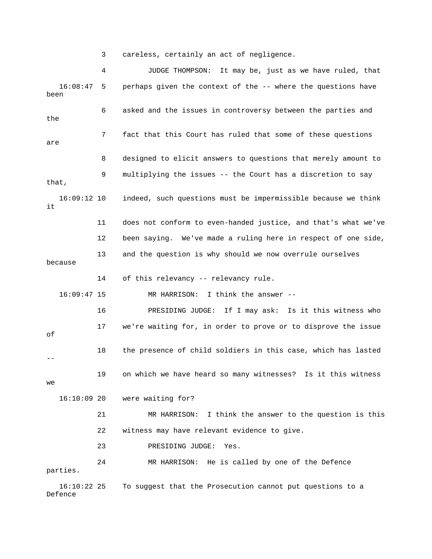3 careless, certainly an act of negligence.

 4 JUDGE THOMPSON: It may be, just as we have ruled, that 16:08:47 5 perhaps given the context of the -- where the questions have been 6 asked and the issues in controversy between the parties and the 7 fact that this Court has ruled that some of these questions are 8 designed to elicit answers to questions that merely amount to 9 multiplying the issues -- the Court has a discretion to say that, 16:09:12 10 indeed, such questions must be impermissible because we think 11 does not conform to even-handed justice, and that's what we've 12 been saying. We've made a ruling here in respect of one side, 16:09:47 15 MR HARRISON: I think the answer -- 16 PRESIDING JUDGE: If I may ask: Is it this witness who 19 on which we have heard so many witnesses? Is it this witness 24 MR HARRISON: He is called by one of the Defence it 13 and the question is why should we now overrule ourselves because 14 of this relevancy -- relevancy rule. 17 we're waiting for, in order to prove or to disprove the issue of 18 the presence of child soldiers in this case, which has lasted - we 16:10:09 20 were waiting for? 21 MR HARRISON: I think the answer to the question is this 22 witness may have relevant evidence to give. 23 PRESIDING JUDGE: Yes. parties.

16:10:22 25 To suggest that the Prosecution cannot put questions to a Defence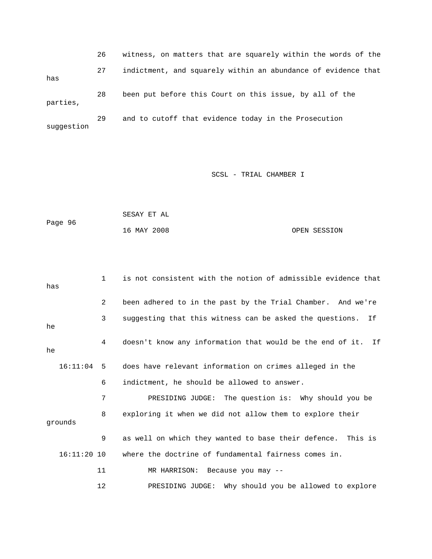26 witness, on matters that are squarely within the words of the 27 indictment, and squarely within an abundance of evidence that 28 been put before this Court on this issue, by all of the parties, 29 and to cutoff that evidence today in the Prosecution suggestion has

| Page 96 | SESAY ET AL |              |
|---------|-------------|--------------|
|         | 16 MAY 2008 | OPEN SESSION |

| has |               | $\mathbf{1}$ | is not consistent with the notion of admissible evidence that  |
|-----|---------------|--------------|----------------------------------------------------------------|
|     |               | 2            | been adhered to in the past by the Trial Chamber. And we're    |
| he  |               | 3            | suggesting that this witness can be asked the questions.<br>If |
| he  |               | 4            | doesn't know any information that would be the end of it. If   |
|     | $16:11:04$ 5  |              | does have relevant information on crimes alleged in the        |
|     |               | 6            | indictment, he should be allowed to answer.                    |
|     |               | 7            | PRESIDING JUDGE: The question is: Why should you be            |
|     | grounds       | 8            | exploring it when we did not allow them to explore their       |
|     |               | 9            | as well on which they wanted to base their defence. This is    |
|     | $16:11:20$ 10 |              | where the doctrine of fundamental fairness comes in.           |
|     |               | 11           | MR HARRISON: Because you may --                                |
|     |               | 12           | Why should you be allowed to explore<br>PRESIDING JUDGE:       |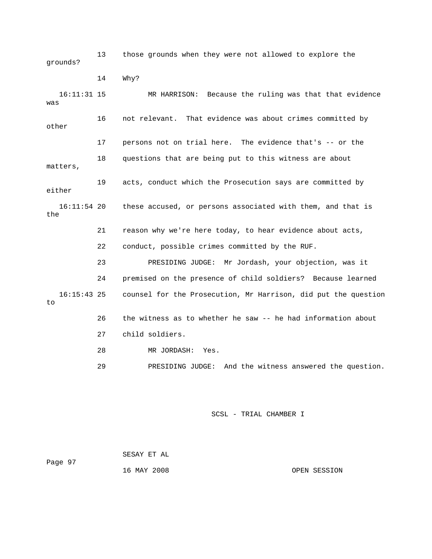13 those grounds when they were not allowed to explore the grounds?

 16:11:31 15 MR HARRISON: Because the ruling was that that evidence 16 not relevant. That evidence was about crimes committed by other 17 persons not on trial here. The evidence that's -- or the 18 questions that are being put to this witness are about matters, either 16:11:54 20 these accused, or persons associated with them, and that is 23 PRESIDING JUDGE: Mr Jordash, your objection, was it 24 premised on the presence of child soldiers? Because learned counsel for the Prosecution, Mr Harrison, did put the question 26 the witness as to whether he saw -- he had information about 14 Why? was 19 acts, conduct which the Prosecution says are committed by the 21 reason why we're here today, to hear evidence about acts, 22 conduct, possible crimes committed by the RUF.  $16:15:43$  25 to 27 child soldiers. 28 MR JORDASH: Yes.

29 PRESIDING JUDGE: And the witness answered the question.

## SCSL - TRIAL CHAMBER I

Page 97 SESAY ET AL

16 MAY 2008 OPEN SESSION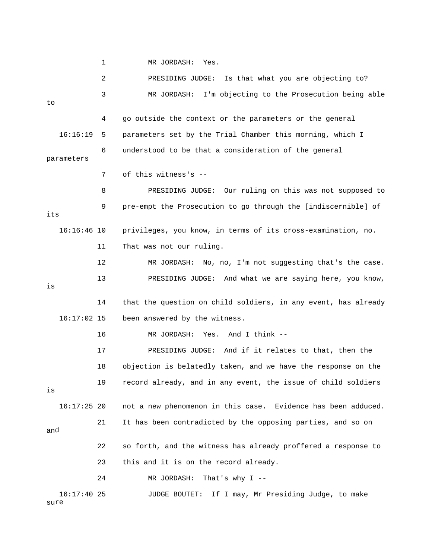1 MR JORDASH: Yes.

 2 PRESIDING JUDGE: Is that what you are objecting to? 3 MR JORDASH: I'm objecting to the Prosecution being able 4 go outside the context or the parameters or the general 16:16:19 5 parameters set by the Trial Chamber this morning, which I 6 understood to be that a consideration of the general parameters 7 of this witness's -- 8 BRESIDING JUDGE: Our ruling on this was not supposed to 9 pre-empt the Prosecution to go through the [indiscernible] of its 16:16:46 10 privileges, you know, in terms of its cross-examination, no. 11 That was not our ruling. 12 MR JORDASH: No, no, I'm not suggesting that's the case. 13 PRESIDING JUDGE: And what we are saying here, you know, 14 that the question on child soldiers, in any event, has already 16:17:02 15 been answered by the witness. 16 MR JORDASH: Yes. And I think -- 17 PRESIDING JUDGE: And if it relates to that, then the 18 objection is belatedly taken, and we have the response on the not a new phenomenon in this case. Evidence has been adduced. and 22 so forth, and the witness has already proffered a response to 23 this and it is on the record already. 24 MR JORDASH: That's why I - sure to is 19 record already, and in any event, the issue of child soldiers is  $16:17:25$  20 21 It has been contradicted by the opposing parties, and so on 16:17:40 25 JUDGE BOUTET: If I may, Mr Presiding Judge, to make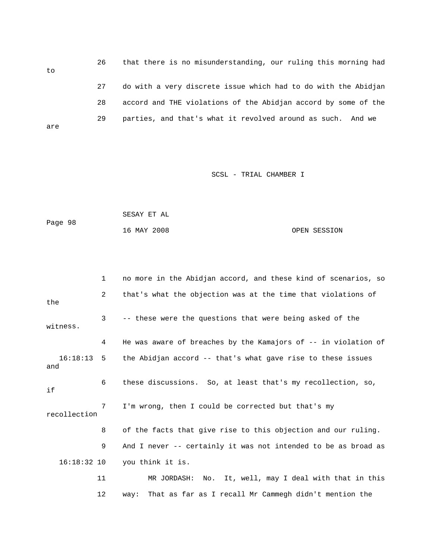26 that there is no misunderstanding, our r uling this morning had to 27 do with a very discrete issue which had to do with the Abidjan 28 accord and THE violations of the Abidjan accord by some of the 29 parties, and that's what it revolved around as such. And we are

#### SCSL - TRIAL CHAMBER I

Page 98 SESAY ET AL 16 MAY 2008 OPEN SESSION

 3 -- these were the questions that were being asked of the witness. 4 He was aware of breaches by the Kamajors of -- in violation of 16:18:13 5 the Abidjan accord -- that's what gave rise to these issues 6 these discussions. So, at least that's my recollection, so, recollection 8 of the facts that give rise to this objection and our ruling. 9 And I never -- certainly it was not intended to be as broad as 16:18:32 10 you think it is. 11 MR JORDASH: No. It, well, may I deal with that in this 1 no more in the Abidjan accord, and these kind of scenarios, so 2 that's what the objection was at the time that violations of the and if 7 I'm wrong, then I could be corrected but that's my 12 way: That as far as I recall Mr Cammegh didn't mention the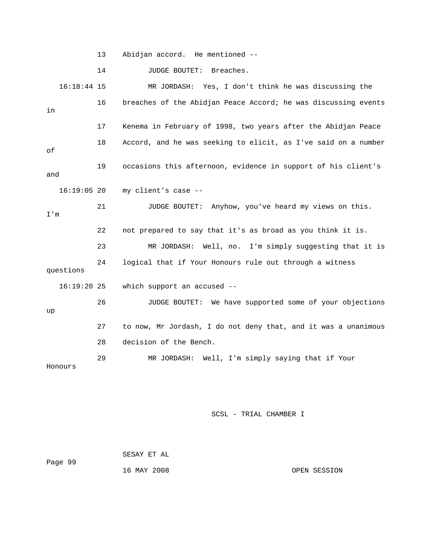13 Abidjan accord. He mentioned --

14 JUDGE BOUTET: Breaches.

 16 breaches of the Abidjan Peace Accord; he was discussing events 17 Kenema in February of 1998, two years after the Abidjan Peace 18 Accord, and he was seeking to elicit, as I've said on a number and 16:19:05 20 my client's case - simply suggesting that it is 23 MR JORDASH: Well, no. I'm 24 logical that if Your Honours rule out through a witness questions 16:19:20 25 which support an accused -- 28 decision of the Bench. Honours 16:18:44 15 MR JORDASH: Yes, I don't think he was discussing the in of 19 occasions this afternoon, evidence in support of his client's 21 JUDGE BOUTET: Anyhow, you've heard my views on this. I'm 22 not prepared to say that it's as broad as you think it is. 26 JUDGE BOUTET: We have supported some of your objections up 27 to now, Mr Jordash, I do not deny that, and it was a unanimous 29 MR JORDASH: Well, I'm simply saying that if Your

| Page 99 | SESAY ET AL |              |
|---------|-------------|--------------|
|         | 16 MAY 2008 | OPEN SESSION |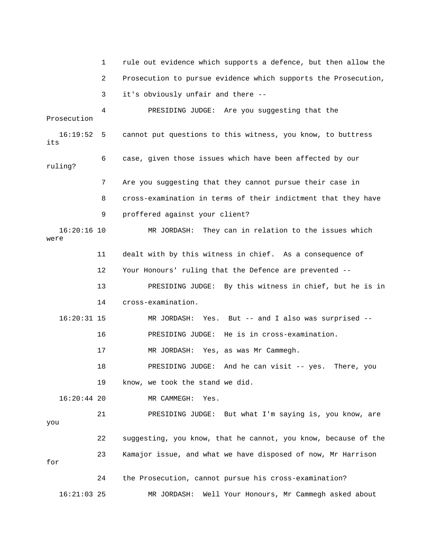|                       | 1  | rule out evidence which supports a defence, but then allow the |
|-----------------------|----|----------------------------------------------------------------|
|                       | 2  | Prosecution to pursue evidence which supports the Prosecution, |
|                       | 3  | it's obviously unfair and there --                             |
| Prosecution           | 4  | PRESIDING JUDGE: Are you suggesting that the                   |
|                       |    |                                                                |
| $16:19:52$ 5<br>its   |    | cannot put questions to this witness, you know, to buttress    |
| ruling?               | 6  | case, given those issues which have been affected by our       |
|                       | 7  | Are you suggesting that they cannot pursue their case in       |
|                       | 8  | cross-examination in terms of their indictment that they have  |
|                       | 9  | proffered against your client?                                 |
| $16:20:16$ 10<br>were |    | MR JORDASH: They can in relation to the issues which           |
|                       | 11 | dealt with by this witness in chief. As a consequence of       |
|                       | 12 | Your Honours' ruling that the Defence are prevented --         |
|                       | 13 | PRESIDING JUDGE: By this witness in chief, but he is in        |
|                       | 14 | cross-examination.                                             |
| $16:20:31$ 15         |    | Yes. But -- and I also was surprised --<br>MR JORDASH:         |
|                       | 16 | PRESIDING JUDGE: He is in cross-examination.                   |
|                       | 17 | MR JORDASH: Yes, as was Mr Cammegh.                            |
|                       | 18 | PRESIDING JUDGE: And he can visit -- yes. There, you           |
|                       | 19 | know, we took the stand we did.                                |
| $16:20:44$ 20         |    | MR CAMMEGH:<br>Yes.                                            |
| you                   | 21 | PRESIDING JUDGE: But what I'm saying is, you know, are         |
|                       | 22 | suggesting, you know, that he cannot, you know, because of the |
| for                   | 23 | Kamajor issue, and what we have disposed of now, Mr Harrison   |
|                       | 24 | the Prosecution, cannot pursue his cross-examination?          |
| $16:21:03$ 25         |    | Well Your Honours, Mr Cammegh asked about<br>MR JORDASH:       |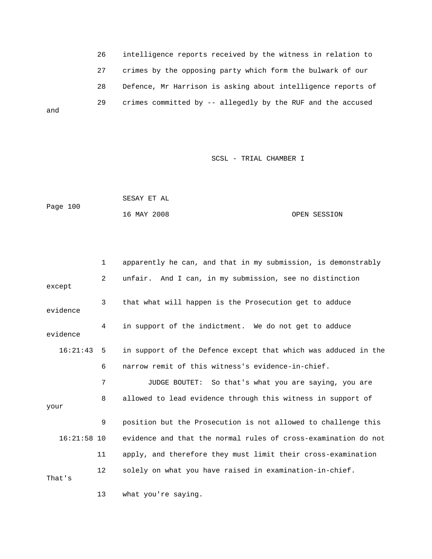26 intelligence reports received by the witness in relation to 27 crimes by the opposing party which form the bulwark of our 28 Defence, Mr Harrison is asking about intelligence reports of 29 crimes committed by -- allegedly by the RUF and the accused

and

### SCSL - TRIAL CHAMBER I

|          | SESAY ET AL |              |
|----------|-------------|--------------|
| Page 100 |             |              |
|          | 16 MAY 2008 | OPEN SESSION |

|               | $\mathbf{1}$   | apparently he can, and that in my submission, is demonstrably  |
|---------------|----------------|----------------------------------------------------------------|
| except        | $\overline{2}$ | unfair. And I can, in my submission, see no distinction        |
| evidence      | 3              | that what will happen is the Prosecution get to adduce         |
| evidence      | 4              | in support of the indictment. We do not get to adduce          |
| 16:21:43      | 5              | in support of the Defence except that which was adduced in the |
|               | 6              | narrow remit of this witness's evidence-in-chief.              |
|               | 7              | JUDGE BOUTET: So that's what you are saying, you are           |
| your          | 8              | allowed to lead evidence through this witness in support of    |
|               | 9              | position but the Prosecution is not allowed to challenge this  |
| $16:21:58$ 10 |                | evidence and that the normal rules of cross-examination do not |
|               | 11             | apply, and therefore they must limit their cross-examination   |
| That's        | 12             | solely on what you have raised in examination-in-chief.        |

13 what you're saying.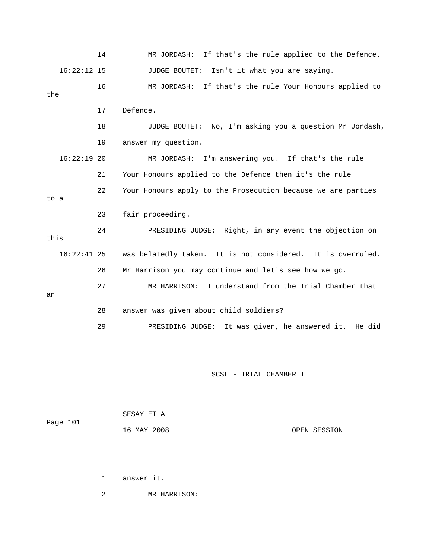|      |               | 14 | If that's the rule applied to the Defence.<br>MR JORDASH:    |
|------|---------------|----|--------------------------------------------------------------|
|      | $16:22:12$ 15 |    | Isn't it what you are saying.<br><b>JUDGE BOUTET:</b>        |
| the  |               | 16 | If that's the rule Your Honours applied to<br>MR JORDASH:    |
|      |               |    |                                                              |
|      |               | 17 | Defence.                                                     |
|      |               | 18 | No, I'm asking you a question Mr Jordash,<br>JUDGE BOUTET:   |
|      |               | 19 | answer my question.                                          |
|      | $16:22:19$ 20 |    | MR JORDASH: I'm answering you. If that's the rule            |
|      |               | 21 | Your Honours applied to the Defence then it's the rule       |
| to a |               | 22 | Your Honours apply to the Prosecution because we are parties |
|      |               |    |                                                              |
|      |               | 23 | fair proceeding.                                             |
|      |               | 24 | PRESIDING JUDGE: Right, in any event the objection on        |
| this |               |    |                                                              |
|      | $16:22:41$ 25 |    | was belatedly taken. It is not considered. It is overruled.  |
|      |               | 26 | Mr Harrison you may continue and let's see how we go.        |
| an   |               | 27 | MR HARRISON: I understand from the Trial Chamber that        |
|      |               |    |                                                              |
|      |               | 28 | answer was given about child soldiers?                       |
|      |               | 29 | PRESIDING JUDGE: It was given, he answered it. He did        |
|      |               |    |                                                              |

SCSL - TRIAL CHAMBER I

| Page 101 | SESAY ET AL |              |
|----------|-------------|--------------|
|          | 16 MAY 2008 | OPEN SESSION |

1 answer it.

2 MR HARRISON: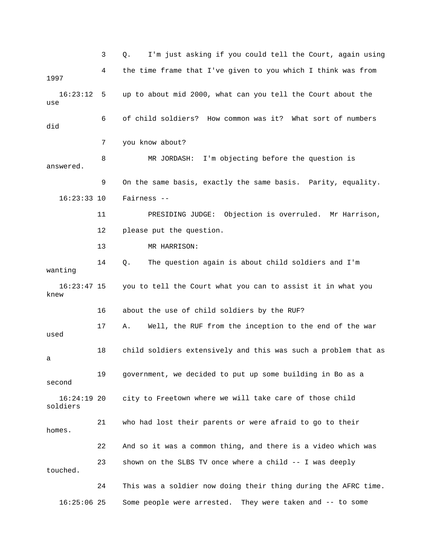3 Q. I'm just asking if you could tell the Court, again using 4 the time frame that I've given to you which I think was from 1997 16:23:12 5 up to about mid 2000, what can you tell the Court about the use 6 of child soldiers? How common was it? What sort of numbers did 7 you know about? 8 MR JORDASH: I'm objecting before the question is 9 On the same basis, exactly the same basis. Parity, equality. 16:23:33 10 Fairness -- 11 PRESIDING JUDGE: Objection is overruled. Mr Harrison, 12 please put the question. wanting 17 A. Well, the RUF from the inception to the end of the war 18 child soldiers extensively and this was such a problem that as second  $16:24:19$  20 city to Freetown where we will take care of those child 21 who had lost their parents or were afraid to go to their homes. 22 And so it was a common thing, and there is a video which was 23 shown on the SLBS TV once where a child -- I was deeply 24 This was a soldier now doing their thing during the AFRC time. 16:25:06 25 Some people were arrested. They were taken and -- to some answered. 13 MR HARRISON: 14 Q. The question again is about child soldiers and I'm 16:23:47 15 you to tell the Court what you can to assist it in what you knew 16 about the use of child soldiers by the RUF? used a 19 government, we decided to put up some building in Bo as a soldiers touched.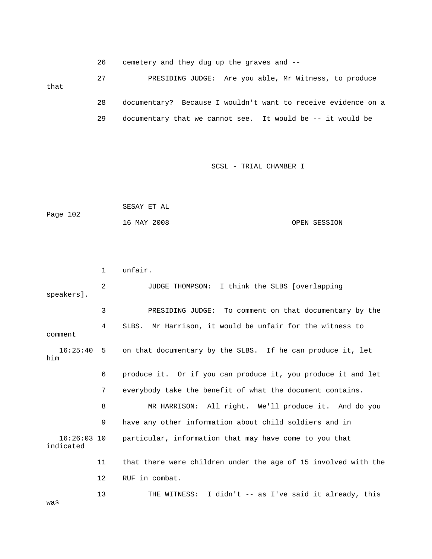26 cemetery and they dug up the graves and --

 27 PRESIDING JUDGE: Are you able, Mr Witness, to produce 28 documentary? Because I wouldn't want to receive evidence on a 29 documentary that we cannot see. It would be -- it would be that

SCSL - TRIAL CHAMBER I

```
 SESAY ET AL 
Page 102
            16 MAY 2008 OPEN SESSION
```
 2 JUDGE THOMPSON: I think the SLBS [overlapping 4 SLBS. Mr Harrison, it would be unfair for the witness to comment 16:25:40 5 on that documentary by the SLBS. If he can produce it, let 6 produce it. Or if you can produce it, you produce it and let 7 everybody take the benefit of what the document contains. 8 MR HARRISON: All right. We'll produce it. And do you 16:26:03 10 particular, information that may have come to you that indicated 11 that there were children under the age of 15 involved with the 13 THE WITNESS: I didn't -- as I've said it already, this 1 unfair. speakers]. 3 PRESIDING JUDGE: To comment on that documentary by the him 9 have any other information about child soldiers and in 12 RUF in combat.

was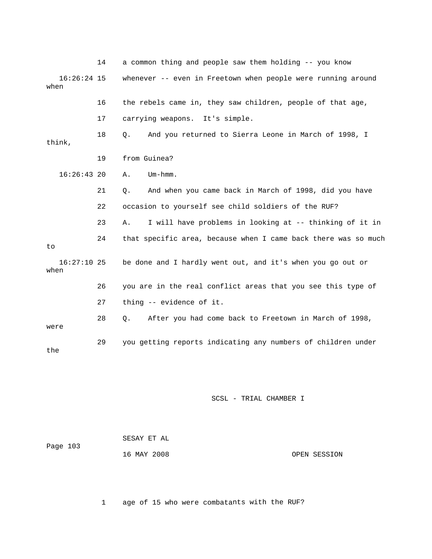14 a common thing and people saw them holding -- you know 16:26:24 15 whenever -- even in Freetown when people were running around 16 the rebels came in, they saw children, people of that age, think, 16:26:43 20 A. Um-hmm. 21 Q. And when you came back in March of 1998, did you have 23 A. I will have problems in looking at -- thinking of it in 16:27:10 25 be done and I hardly went out, and it's when you go out or when 26 you are in the real conflict areas that you see this type of 28 Q. After you had come back to Freetown in March of 1998, 29 you getting reports indicating any numbers of children under when 17 carrying weapons. It's simple. 18 Q. And you returned to Sierra Leone in March of 1998, I 19 from Guinea? 22 occasion to yourself see child soldiers of the RUF? 24 that specific area, because when I came back there was so much to 27 thing -- evidence of it. were the

### SCSL - TRIAL CHAMBER I

| Page 103 | SESAY ET AL |              |
|----------|-------------|--------------|
|          | 16 MAY 2008 | OPEN SESSION |

1 age of 15 who were combatants with the RUF?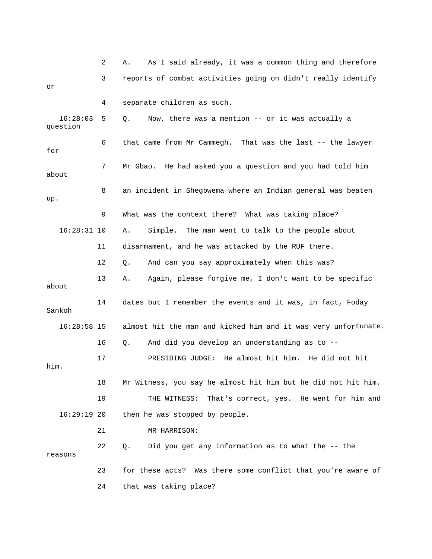|                      | 2  | As I said already, it was a common thing and therefore<br>Α.   |
|----------------------|----|----------------------------------------------------------------|
| or                   | 3  | reports of combat activities going on didn't really identify   |
|                      | 4  | separate children as such.                                     |
| 16:28:03<br>question | 5  | Now, there was a mention -- or it was actually a<br>Q.         |
| for                  | 6  | that came from Mr Cammegh. That was the last -- the lawyer     |
| about                | 7  | Mr Gbao. He had asked you a question and you had told him      |
| up.                  | 8  | an incident in Shegbwema where an Indian general was beaten    |
|                      | 9  | What was the context there? What was taking place?             |
| $16:28:31$ 10        |    | Α.<br>Simple. The man went to talk to the people about         |
|                      | 11 | disarmament, and he was attacked by the RUF there.             |
|                      | 12 | And can you say approximately when this was?<br>Q.             |
| about                | 13 | Again, please forgive me, I don't want to be specific<br>Α.    |
| Sankoh               | 14 | dates but I remember the events and it was, in fact, Foday     |
| $16:28:58$ 15        |    | almost hit the man and kicked him and it was very unfortunate. |
|                      | 16 | And did you develop an understanding as to --<br>Q.            |
| him.                 | 17 | He almost hit him. He did not hit<br>PRESIDING JUDGE:          |
|                      | 18 | Mr Witness, you say he almost hit him but he did not hit him.  |
|                      | 19 | That's correct, yes. He went for him and<br>THE WITNESS:       |
| $16:29:19$ 20        |    | then he was stopped by people.                                 |
|                      | 21 | MR HARRISON:                                                   |
| reasons              | 22 | Did you get any information as to what the -- the<br>Q.        |
|                      | 23 | for these acts? Was there some conflict that you're aware of   |
|                      | 24 | that was taking place?                                         |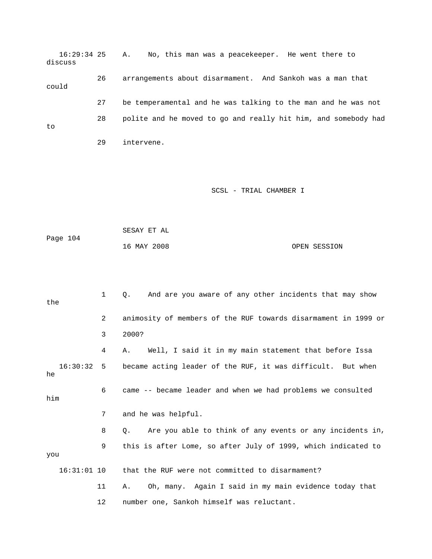16:29:34 25 A. No, this man was a peacekeeper. He went there to discuss 26 arrangements about disarmament. And Sankoh was a man that could 27 be temperamental and he was talking to the man and he was not 28 polite and he moved to go and really hit him, and somebody had 29 intervene. to

|          | SESAY ET AL |              |
|----------|-------------|--------------|
| Page 104 |             |              |
|          | 16 MAY 2008 | OPEN SESSION |

| the |               | 1              | And are you aware of any other incidents that may show<br>0.          |
|-----|---------------|----------------|-----------------------------------------------------------------------|
|     |               | $\overline{2}$ | animosity of members of the RUF towards disarmament in 1999 or        |
|     |               | 3              | 2000?                                                                 |
|     |               | 4              | Well, I said it in my main statement that before Issa<br>Α.           |
| he  | 16:30:32 5    |                | became acting leader of the RUF, it was difficult. But when           |
| him |               | 6              | came -- became leader and when we had problems we consulted           |
|     |               | 7              | and he was helpful.                                                   |
|     |               | 8              | Are you able to think of any events or any incidents in,<br>$\circ$ . |
| you |               | 9              | this is after Lome, so after July of 1999, which indicated to         |
|     | $16:31:01$ 10 |                | that the RUF were not committed to disarmament?                       |
|     |               | 11             | Oh, many. Again I said in my main evidence today that<br>Α.           |
|     |               | 12             | number one, Sankoh himself was reluctant.                             |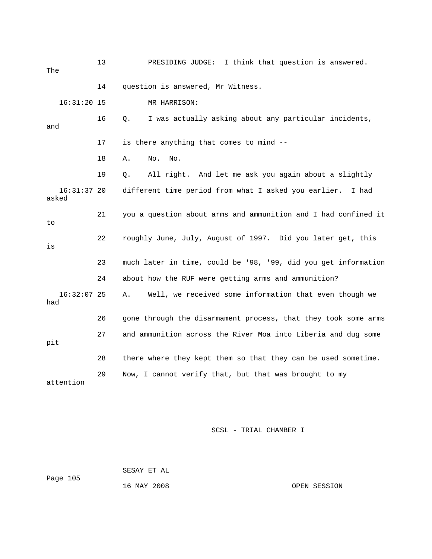13 PRESIDING JUDGE: I think that question is answered. The 16:31:20 15 MR HARRISON: 16 Q. I was actually asking about any particular incidents, and 17 is there anything that comes to mind -- 21 you a question about arms and ammunition and I had confined it 22 roughly June, July, August of 1997. Did you later get, this 23 much later in time, could be '98, '99, did you get information 24 about how the RUF were getting arms and ammunition? 16:32:07 25 A. Well, we received some information that even though we 26 gone through the disarmament process, that they took some arms 27 and ammunition across the River Moa into Liberia and dug some 28 there where they kept them so that they can be used sometime. attention 14 question is answered, Mr Witness. 18 A. No. No. 19 Q. All right. And let me ask you again about a slightly 16:31:37 20 different time period from what I asked you earlier. I had asked to is had pit 29 Now, I cannot verify that, but that was brought to my

SCSL - TRIAL CHAMBER I

 SESAY ET AL Page 105

16 MAY 2008 OPEN SESSION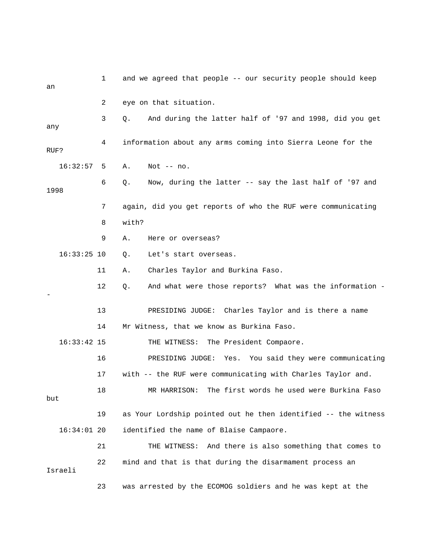| an   |               | 1  | and we agreed that people -- our security people should keep   |
|------|---------------|----|----------------------------------------------------------------|
|      |               | 2  | eye on that situation.                                         |
| any  |               | 3  | And during the latter half of '97 and 1998, did you get<br>О.  |
| RUF? |               | 4  | information about any arms coming into Sierra Leone for the    |
|      | 16:32:57      | 5  | Α.<br>Not $--$ no.                                             |
| 1998 |               | 6  | Now, during the latter -- say the last half of '97 and<br>Q.   |
|      |               | 7  | again, did you get reports of who the RUF were communicating   |
|      |               | 8  | with?                                                          |
|      |               | 9  | Α.<br>Here or overseas?                                        |
|      | $16:33:25$ 10 |    | Let's start overseas.<br>Q.                                    |
|      |               | 11 | Charles Taylor and Burkina Faso.<br>Α.                         |
|      |               | 12 | And what were those reports? What was the information -<br>Q.  |
|      |               | 13 | PRESIDING JUDGE: Charles Taylor and is there a name            |
|      |               | 14 | Mr Witness, that we know as Burkina Faso.                      |
|      | $16:33:42$ 15 |    | THE WITNESS: The President Compaore.                           |
|      |               | 16 | PRESIDING JUDGE: Yes. You said they were communicating         |
|      |               | 17 | with -- the RUF were communicating with Charles Taylor and.    |
| but  |               | 18 | The first words he used were Burkina Faso<br>MR HARRISON:      |
|      |               | 19 | as Your Lordship pointed out he then identified -- the witness |
|      | $16:34:01$ 20 |    | identified the name of Blaise Campaore.                        |
|      |               | 21 | THE WITNESS: And there is also something that comes to         |
|      | Israeli       | 22 | mind and that is that during the disarmament process an        |
|      |               | 23 | was arrested by the ECOMOG soldiers and he was kept at the     |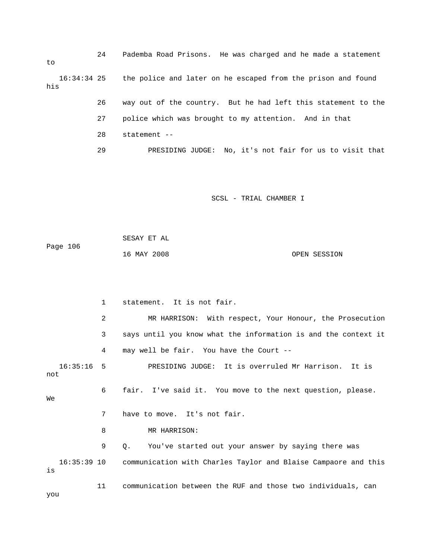24 Pademba Road Prisons. He was charged and he made a statement 16:34:34 25 the police and later on he escaped from the prison and found 29 PRESIDING JUDGE: No, it's not fair for us to visit that to his 26 way out of the country. But he had left this statement to the 27 police which was brought to my attention. And in that 28 statement --

SCSL - TRIAL CHAMBER I

 SESAY ET AL 16 MAY 2008 OPEN SESSION Page 106

 2 MR HARRISON: With respect, Your Honour, the Prosecution 3 says until you know what the information is and the context it 16:35:16 5 PRESIDING JUDGE: It is overruled Mr Harrison. It is not 6 fair. I've said it. You move to the next question, please. 7 have to move. It's not fair. 9 Q. You've started out your answer by saying there was 16:35:39 10 communication with Charles Taylor and Blaise Campaore and this 11 communication between the RUF and those two individuals, can 1 statement. It is not fair. 4 may well be fair. You have the Court -- We 8 MR HARRISON: is you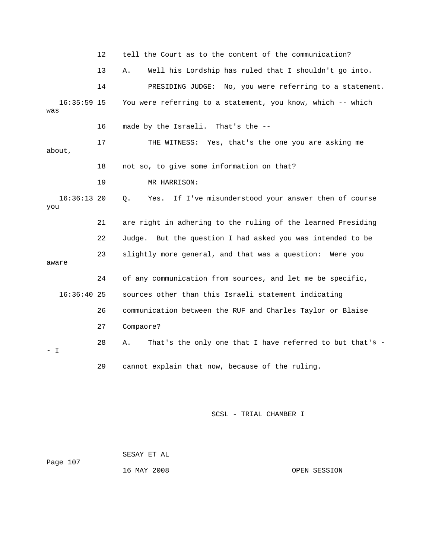|                      | $12 \,$ | tell the Court as to the content of the communication?         |
|----------------------|---------|----------------------------------------------------------------|
|                      | 13      | Well his Lordship has ruled that I shouldn't go into.<br>Α.    |
|                      | 14      | PRESIDING JUDGE: No, you were referring to a statement.        |
| $16:35:59$ 15<br>was |         | You were referring to a statement, you know, which -- which    |
|                      | 16      | made by the Israeli. That's the --                             |
| about,               | 17      | THE WITNESS: Yes, that's the one you are asking me             |
|                      | 18      | not so, to give some information on that?                      |
|                      | 19      | MR HARRISON:                                                   |
| $16:36:13$ 20<br>you |         | If I've misunderstood your answer then of course<br>Q.<br>Yes. |
|                      |         | are right in adhering to the ruling of the learned Presiding   |
|                      | 21      |                                                                |
|                      | 22      | Judge. But the question I had asked you was intended to be     |
| aware                | 23      | slightly more general, and that was a question: Were you       |
|                      | 24      | of any communication from sources, and let me be specific,     |
| $16:36:40$ 25        |         | sources other than this Israeli statement indicating           |
|                      | 26      | communication between the RUF and Charles Taylor or Blaise     |
|                      | 27      | Compaore?                                                      |
| – I                  | 28      | That's the only one that I have referred to but that's -<br>Α. |

SCSL - TRIAL CHAMBER I

Page 107 16 MAY 2008 OPEN SESSION SESAY ET AL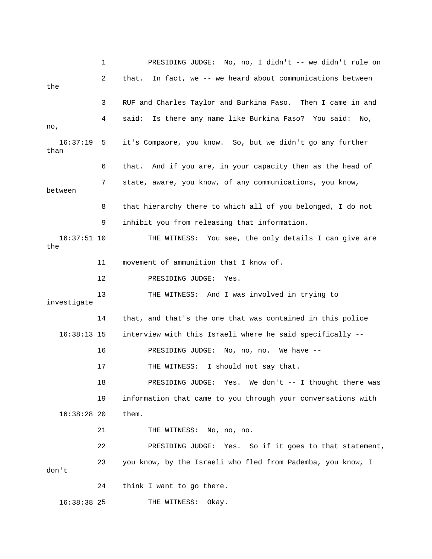1 PRES IDING JUDGE: No, no, I didn't -- we didn't rule on 2 that. In fact, we -- we heard about communications between 3 RUF and Charles Taylor and Burkina Faso. Then I came in and 4 said: Is there any name like Burkina Faso? You said: No, , no 16:37:19 5 it's Compaore, you know. So, but we didn't go any further than 6 that. And if you are, in your capacity then as the head of 7 state, aware, you know, of any communications, you know, between 8 that hierarchy there to which all of you belonged, I do not 9 inhibit you from releasing that information. 16:37:51 10 THE WITNESS: You see, the only details I can give are the 13 THE WITNESS: And I was involved in trying to 16:38:13 15 interview with this Israeli where he said specifically -- 18 PRESIDING JUDGE: Yes. We don't -- I thought there was 19 information that came to you through your conversations with 16:38:28 20 them. 21 THE WITNESS: No, no, no. 22 **PRESIDING JUDGE:** Yes. So if it goes to that statement, 23 you know, by the Israeli who fled from Pademba, you know, I 24 think I want to go there. THE WITNESS: Okay. the 11 movement of ammunition that I know of. 12 PRESIDING JUDGE: Yes. investigate 14 that, and that's the one that was contained in this police 16 PRESIDING JUDGE: No, no, no. We have -- 17 THE WITNESS: I should not say that. don't 16:38:38 2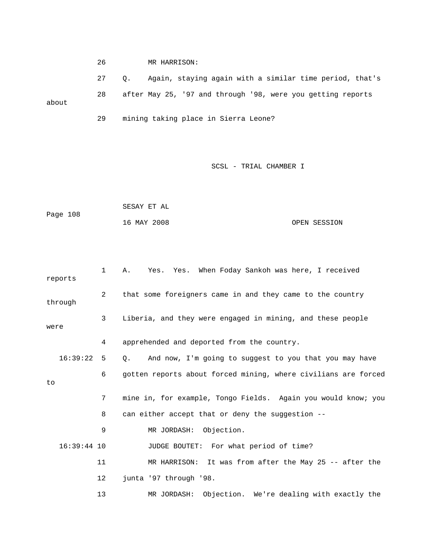26 MR HARRISON: 27 Q. Again, staying again with a similar time period, that's 28 after May 25, '97 and through '98, were you getting reports about 29 mining taking place in Sierra Leone?

```
Page 108
            16 MAY 2008 OPEN SESSION 
            SESAY ET AL
```

|      | reports       | $\mathbf{1}$   | Yes. Yes. When Foday Sankoh was here, I received<br>Α.                |
|------|---------------|----------------|-----------------------------------------------------------------------|
|      | through       | $\overline{2}$ | that some foreigners came in and they came to the country             |
| were |               | 3              | Liberia, and they were engaged in mining, and these people            |
|      |               | 4              | apprehended and deported from the country.                            |
|      | 16:39:22      | -5             | And now, I'm going to suggest to you that you may have<br>$Q_{\star}$ |
| to   |               | 6              | gotten reports about forced mining, where civilians are forced        |
|      |               | 7              | mine in, for example, Tongo Fields. Again you would know; you         |
|      |               | 8              | can either accept that or deny the suggestion --                      |
|      |               | 9              | MR JORDASH: Objection.                                                |
|      | $16:39:44$ 10 |                | JUDGE BOUTET: For what period of time?                                |
|      |               | 11             | MR HARRISON: It was from after the May 25 -- after the                |
|      |               | 12             | junta '97 through '98.                                                |
|      |               | 13             | MR JORDASH:<br>Objection. We're dealing with exactly the              |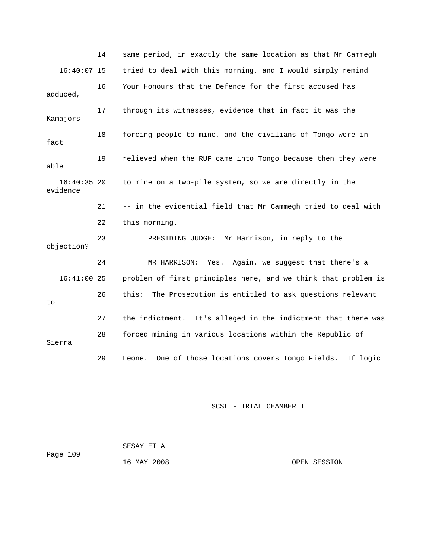14 same period, in exactly the same location as that Mr Cammeg h 16:40:07 15 tried to deal with this morning, and I would simply remind adduced, 17 through its witnesses, evidence that in fact it was the Kamajors 16:40:35 20 to mine on a two-pile system, so we are directly in the evidence 21 -- in the evidential field that Mr Cammegh tried to deal with 22 this morning. 23 PRESIDING JUDGE: Mr Harrison, in reply to the 27 the indictment. It's alleged in the indictment that there was 29 Leone. One of those locations covers Tongo Fields. If logic 16 Your Honours that the Defence for the first accused has 18 forcing people to mine, and the civilians of Tongo were in fact 19 relieved when the RUF came into Tongo because then they were able objection? 24 MR HARRISON: Yes. Again, we suggest that there's a 16:41:00 25 problem of first principles here, and we think that problem is 26 this: The Prosecution is entitled to ask questions relevant to 28 forced mining in various locations within the Republic of Sierra

SCSL - TRIAL CHAMBER I

Page 109 SESAY ET AL 16 MAY 2008 OPEN SESSION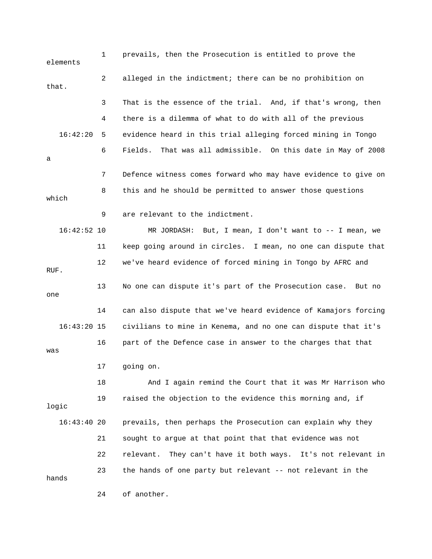1 prevails, then the Prosecution is entitled to prove the 2 alleged in the indictment; there can be no prohibition on 3 That is the essence of the trial. And, if that's wrong, then 4 there is a dilemma of what to do with all of the previous 16:42:20 5 evidence heard in this trial alleging forced mining in Tongo 6 Fields. That was all admissible. On this date in May of 2008 7 Defence witness comes forward who may have evidence to give on 8 this and he should be permitted to answer those questions which 16:42:52 10 MR JORDASH: But, I mean, I don't want to -- I mean, we 11 keep going around in circles. I mean, no one can dispute that 12 we've heard evidence of forced mining in Tongo by AFRC and RUF. 13 No one can dispute it's part of the Prosecution case. But no one 14 can also dispute that we've heard evidence of Kamajors forcing 17 going on. 18 And I again remind the Court that it was Mr Harrison who logic 16:43:40 20 prevails, then perhaps the Prosecution can explain why they 21 sought to argue at that point that that evidence was not elements that. a 9 are relevant to the indictment. 16:43:20 15 civilians to mine in Kenema, and no one can dispute that it's 16 part of the Defence case in answer to the charges that that was 19 raised the objection to the evidence this morning and, if 22 relevant. They can't have it both ways. It's not relevant in 23 the hands of one party but relevant -- not relevant in the hands 24 of another.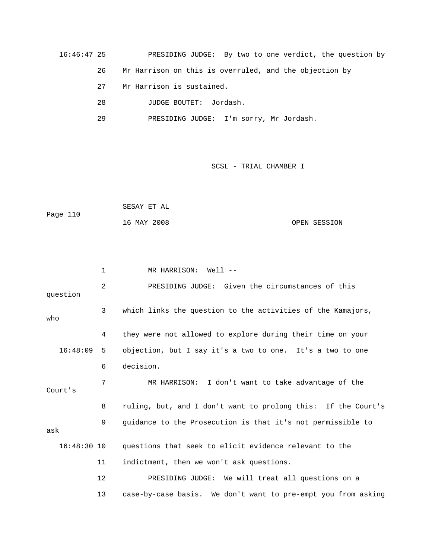16:46:47 25 PRESIDING JUDGE: By two to one verdict, the question by 26 Mr Harrison on this is overruled, and the objection by 28 JUDGE BOUTET: Jordash. 27 Mr Harrison is sustained.

29 PRESIDING JUDGE: I'm sorry, Mr Jordash.

SCSL - TRIAL CHAMBER I

|          | SESAY ET AL |              |
|----------|-------------|--------------|
| Page 110 |             |              |
|          | 16 MAY 2008 | OPEN SESSION |

 1 MR HARRISON: Well -- 2 PRESIDING JUDGE: Given the circumstances of this 3 which links the question to the activities of the Kamajors, o wh 4 they were not allowed to explore during their time on your 16:48:09 5 objection, but I say it's a two to one. It's a two to one 6 decision. 7 MR HARRISON: I don't want to take advantage of the 8 ruling, but, and I don't want to prolong this: If the Court's 9 guidance to the Prosecution is that it's not permissible to 11 indictment, then we won't ask questions. 12 PRESIDING JUDGE: We will treat all questions on a 13 case-by-case basis. We don't want to pre-empt you from asking question Court's ask 16:48:30 10 questions that seek to elicit evidence relevant to the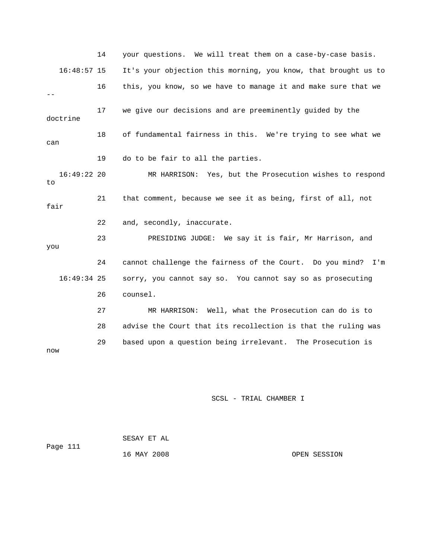14 your questions. We will treat them on a case-by-case basis. 16:48:57 15 It's your objection this morning, you know, that brought us to 16 this, you know, so we have to manage it and make sure that we 18 of fundamental fairness in this. We're trying to see what we can 19 do to be fair to all the parties. 21 that comment, because we see it as being, first of all, not 22 and, secondly, inaccurate. 23 PRESIDING JUDGE: We say it is fair, Mr Harrison, and 28 advise the Court that its recollection is that the ruling was 29 based upon a question being irrelevant. The Prosecution is  $-$  17 we give our decisions and are preeminently guided by the doctrine 16:49:22 20 MR HARRISON: Yes, but the Prosecution wishes to respond to fair you 24 cannot challenge the fairness of the Court. Do you mind? I'm 16:49:34 25 sorry, you cannot say so. You cannot say so as prosecuting 26 counsel. 27 MR HARRISON: Well, what the Prosecution can do is to now

| Page 111 | SESAY ET AL |              |
|----------|-------------|--------------|
|          | 16 MAY 2008 | OPEN SESSION |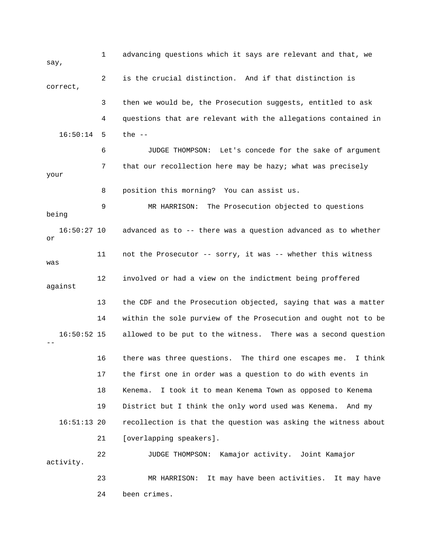1 advancing questions which it says are relevant and that, we 3 then we would be, the Prosecution suggests, entitled to ask 4 questions that are relevant with the allegations contained in 16:50:14 5 the -- 6 JUDGE THOMPSON: Let's concede for the sake of argument 7 that our recollection here may be hazy; what was precisely your 8 position this morning? You can assist us. 16:50:27 10 advanced as to -- there was a question advanced as to whether 11 not the Prosecutor -- sorry, it was -- whether this witness was against 13 the CDF and the Prosecution objected, saying that was a matter 14 within the sole purview of the Prosecution and ought not to be 16 there was three questions. The third one escapes me. I think 18 Kenema. I took it to mean Kenema Town as opposed to Kenema 19 District but I think the only word used was Kenema. And my 16:51:13 20 recollection is that the question was asking the witness about 21 [overlapping speakers]. 22 JUDGE THOMPSON: Kamajor activity. Joint Kamajor activity. 23 MR HARRISON: It may have been activities. It may have say, 2 is the crucial distinction. And if that distinction is correct, 9 MR HARRISON: The Prosecution objected to questions being or 12 involved or had a view on the indictment being proffered 16:50:52 15 allowed to be put to the witness. There was a second question -- 17 the first one in order was a question to do with events in 24 been crimes.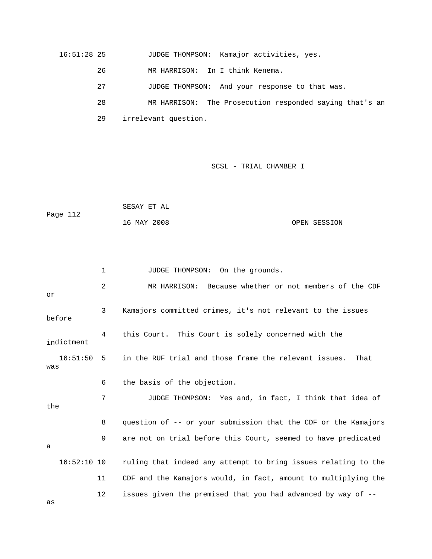16:51:28 25 JUDGE THOMPSON: Kamajor activities, yes.

- 26 MR HARRISON: In I think Kenema.
- 27 JUDGE THOMPSON: And your response to that was.

28 MR HARRISON: The Prosecution responded saying that's an

29 irrelevant question.

#### SCSL - TRIAL CHAMBER I

|          | SESAY ET AL |              |
|----------|-------------|--------------|
| Page 112 |             |              |
|          | 16 MAY 2008 | OPEN SESSION |

2 MR HARRISON: Because whether or not members of the CDF 3 Kamajors committed crimes, it's not relevant to the issues 4 this Court. This Court is solely concerned with the indictment 16:51:50 5 in the RUF trial and those frame the relevant issues. That was 7 JUDGE THOMPSON: Yes and, in fact, I think that idea of the 8 question of -- or your submission that the CDF or the Kamajors 9 are not on trial before this Court, seemed to have predicated 16:52:10 10 ruling that indeed any attempt to bring issues relating to the 11 CDF and the Kamajors would, in fact, amount to multiplying the 12 issues given the premised that you had advanced by way of -as 1 JUDGE THOMPSON: On the grounds. or before 6 the basis of the objection. a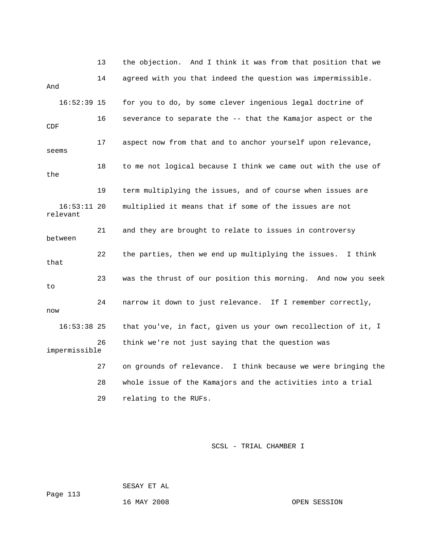13 the objection. And I think it was from that position that we 16:52:39 15 for you to do, by some clever ingenious legal doctrine of 16 severance to separate the -- that the Kamajor aspect or the 17 aspect now from that and to anchor yourself upon relevance, relevant between 23 was the thrust of our position this morning. And now you seek 16:53:38 25 that you've, in fact, given us your own recollection of it, I 27 on grounds of relevance. I think because we were bringing the 28 whole issue of the Kamajors and the activities into a trial 14 agreed with you that indeed the question was impermissible. And CDF seems 18 to me not logical because I think we came out with the use of the 19 term multiplying the issues, and of course when issues are 16:53:11 20 multiplied it means that if some of the issues are not 21 and they are brought to relate to issues in controversy 22 the parties, then we end up multiplying the issues. I think that  $t \circ$  24 narrow it down to just relevance. If I remember correctly, now 26 think we're not just saying that the question was impermissible 29 relating to the RUFs.

SCSL - TRIAL CHAMBER I

 SESAY ET AL Page 113

16 MAY 2008 OPEN SESSION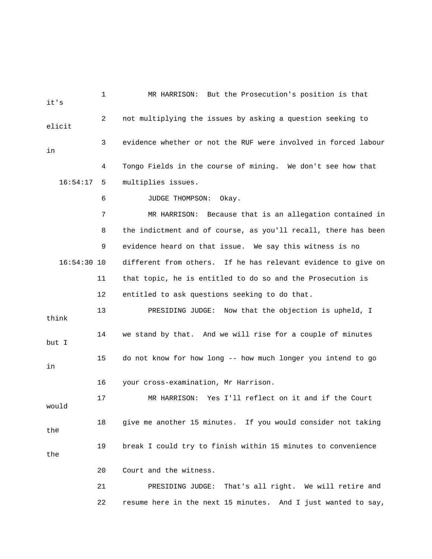1 MR HARRISON: But the Prosecution's position is that 2 ont multiplying the issues by asking a question seeking to 4 Tongo Fields in the course of mining. We don't see how that 16:54:17 5 multiplies issues. 6 JUDGE THOMPSON: Okay. 7 MR HARRISON: Because that is an allegation contained in 8 the indictment and of course, as you'll recall, there has been 9 evidence heard on that issue. We say this witness is no 16:54:30 10 different from others. If he has relevant evidence to give on 12 entitled to ask questions seeking to do that. 13 PRESIDING JUDGE: Now that the objection is upheld, I think 17 MR HARRISON: Yes I'll reflect on it and if the Court 18 give me another 15 minutes. If you would consider not taking the 19 break I could try to finish within 15 minutes to convenience 21 PRESIDING JUDGE: That's all right. We will retire and it's elicit 3 evidence whether or not the RUF were involved in forced labour in 11 that topic, he is entitled to do so and the Prosecution is 14 we stand by that. And we will rise for a couple of minutes but I 15 do not know for how long -- how much longer you intend to go in 16 your cross-examination, Mr Harrison. would the 20 Court and the witness. 22 resume here in the next 15 minutes. And I just wanted to say,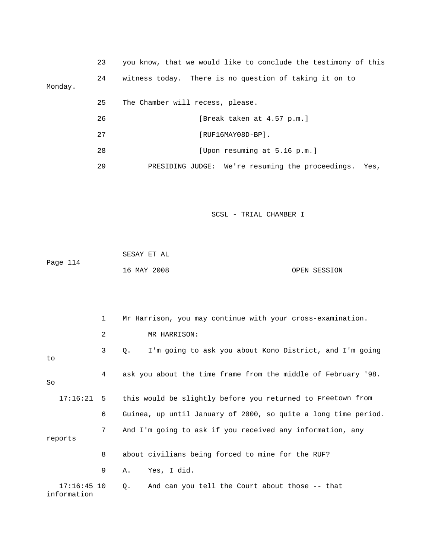|         | 23 | you know, that we would like to conclude the testimony of this |
|---------|----|----------------------------------------------------------------|
| Monday. | 24 | witness today. There is no question of taking it on to         |
|         | 25 | The Chamber will recess, please.                               |
|         | 26 | [Break taken at 4.57 p.m.]                                     |
|         | 27 | [RUF16MAY08D-BP].                                              |
|         | 28 | [Upon resuming at 5.16 p.m.]                                   |
|         |    |                                                                |

the proceedings. Yes, 29 PRESIDING JUDGE: We're resuming

|          | SESAY ET AL |              |
|----------|-------------|--------------|
| Page 114 |             |              |
|          | 16 MAY 2008 | OPEN SESSION |

|                              | $\mathbf{1}$ | Mr Harrison, you may continue with your cross-examination.     |
|------------------------------|--------------|----------------------------------------------------------------|
|                              | 2            | MR HARRISON:                                                   |
| to                           | 3            | I'm going to ask you about Kono District, and I'm going<br>Q.  |
| So                           | 4            | ask you about the time frame from the middle of February '98.  |
| $17:16:21$ 5                 |              | this would be slightly before you returned to Freetown from    |
|                              | 6            | Guinea, up until January of 2000, so quite a long time period. |
| reports                      | 7            | And I'm going to ask if you received any information, any      |
|                              | 8            | about civilians being forced to mine for the RUF?              |
|                              | 9            | Yes, I did.<br>А.                                              |
| $17:16:45$ 10<br>information |              | And can you tell the Court about those -- that<br>Q.           |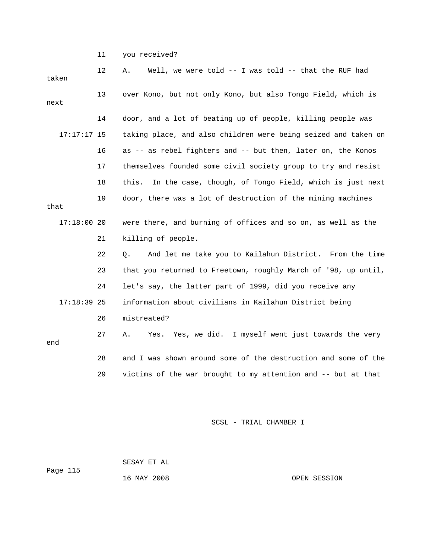11 you received?

| taken | 12            | Well, we were told -- I was told -- that the RUF had<br>Α.       |
|-------|---------------|------------------------------------------------------------------|
| next  | 13            | over Kono, but not only Kono, but also Tongo Field, which is     |
|       | 14            | door, and a lot of beating up of people, killing people was      |
|       | $17:17:17$ 15 | taking place, and also children were being seized and taken on   |
|       | 16            | as -- as rebel fighters and -- but then, later on, the Konos     |
|       | 17            | themselves founded some civil society group to try and resist    |
|       | 18            | In the case, though, of Tongo Field, which is just next<br>this. |
| that  | 19            | door, there was a lot of destruction of the mining machines      |
|       | 17:18:0020    | were there, and burning of offices and so on, as well as the     |
|       | 21            | killing of people.                                               |
|       | 22            | And let me take you to Kailahun District. From the time<br>О.    |
|       | 23            | that you returned to Freetown, roughly March of '98, up until,   |
|       | 24            | let's say, the latter part of 1999, did you receive any          |
|       | $17:18:39$ 25 | information about civilians in Kailahun District being           |
|       | 26            | mistreated?                                                      |
| end   | 27            | Yes, we did. I myself went just towards the very<br>Α.<br>Yes.   |
|       | 28            | and I was shown around some of the destruction and some of the   |
|       | 29            | victims of the war brought to my attention and -- but at that    |

SCSL - TRIAL CHAMBER I

 SESAY ET AL Page 115 16 MAY 2008

OPEN SESSION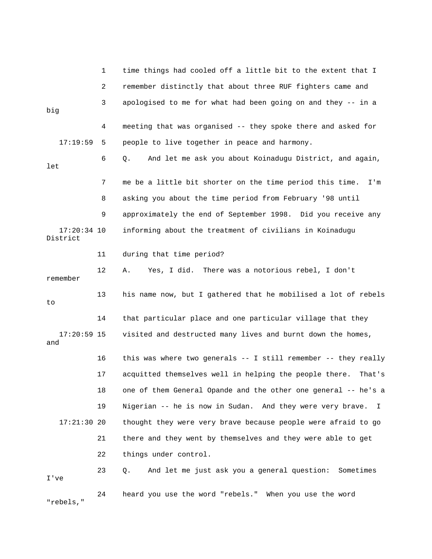|                           | 1  | time things had cooled off a little bit to the extent that I     |
|---------------------------|----|------------------------------------------------------------------|
|                           | 2  | remember distinctly that about three RUF fighters came and       |
| big                       | 3  | apologised to me for what had been going on and they -- in a     |
|                           | 4  | meeting that was organised -- they spoke there and asked for     |
| 17:19:59                  | 5. | people to live together in peace and harmony.                    |
| let                       | 6  | And let me ask you about Koinadugu District, and again,<br>Q.    |
|                           | 7  | me be a little bit shorter on the time period this time.<br>I'm  |
|                           | 8  | asking you about the time period from February '98 until         |
|                           | 9  | approximately the end of September 1998. Did you receive any     |
| $17:20:34$ 10<br>District |    | informing about the treatment of civilians in Koinadugu          |
|                           | 11 | during that time period?                                         |
| remember                  | 12 | Yes, I did. There was a notorious rebel, I don't<br>Α.           |
| to                        | 13 | his name now, but I gathered that he mobilised a lot of rebels   |
|                           | 14 | that particular place and one particular village that they       |
| $17:20:59$ 15<br>and      |    | visited and destructed many lives and burnt down the homes,      |
|                           |    |                                                                  |
|                           | 16 | this was where two generals -- I still remember -- they really   |
|                           | 17 | acquitted themselves well in helping the people there.<br>That's |
|                           | 18 | one of them General Opande and the other one general -- he's a   |
|                           | 19 | Nigerian -- he is now in Sudan. And they were very brave.<br>I.  |
| $17:21:30$ 20             |    | thought they were very brave because people were afraid to go    |
|                           | 21 | there and they went by themselves and they were able to get      |
|                           | 22 | things under control.                                            |
| I've                      | 23 | And let me just ask you a general question: Sometimes<br>Q.      |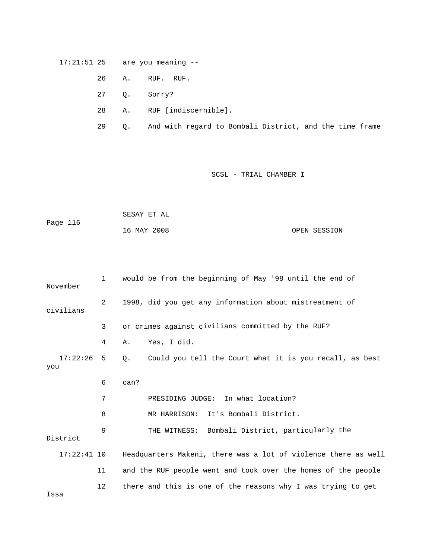## 17:21:51 25 are you meaning --

- 26 A. RUF. RUF.
- 27 Q. Sorry?
- 28 A. RUF [indiscernible].
- 29 Q. And with regard to Bombali District, and the time frame

# SCSL - TRIAL CHAMBER I

| Page 116 | SESAY ET AL |              |
|----------|-------------|--------------|
|          | 16 MAY 2008 | OPEN SESSION |

| November        | $\mathbf{1}$ | would be from the beginning of May '98 until the end of              |
|-----------------|--------------|----------------------------------------------------------------------|
| civilians       | 2            | 1998, did you get any information about mistreatment of              |
|                 | 3            | or crimes against civilians committed by the RUF?                    |
|                 | 4            | Yes, I did.<br>Α.                                                    |
| 17:22:26<br>you | 5            | Could you tell the Court what it is you recall, as best<br>$\circ$ . |
|                 | 6            | can?                                                                 |
|                 | 7            | PRESIDING JUDGE: In what location?                                   |
|                 | 8            | MR HARRISON: It's Bombali District.                                  |
| District        | 9            | THE WITNESS: Bombali District, particularly the                      |
| $17:22:41$ 10   |              | Headquarters Makeni, there was a lot of violence there as well       |
|                 | 11           | and the RUF people went and took over the homes of the people        |
|                 | 12           | there and this is one of the reasons why I was trying to get         |

Issa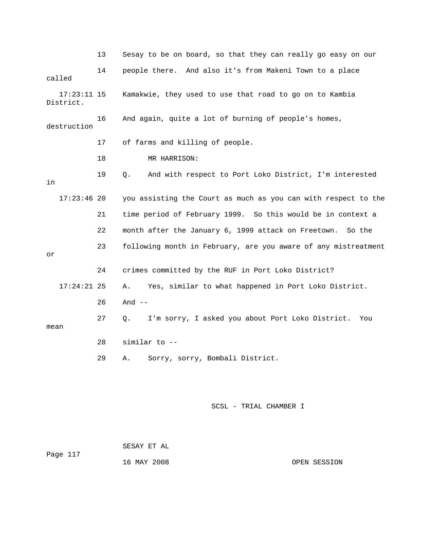|                          | 13 | Sesay to be on board, so that they can really go easy on our   |
|--------------------------|----|----------------------------------------------------------------|
| called                   | 14 | people there. And also it's from Makeni Town to a place        |
| 17:23:11 15<br>District. |    | Kamakwie, they used to use that road to go on to Kambia        |
| destruction              | 16 | And again, quite a lot of burning of people's homes,           |
|                          | 17 | of farms and killing of people.                                |
|                          | 18 | MR HARRISON:                                                   |
| in                       | 19 | And with respect to Port Loko District, I'm interested<br>О.   |
| $17:23:46$ 20            |    | you assisting the Court as much as you can with respect to the |
|                          | 21 | time period of February 1999. So this would be in context a    |
|                          | 22 | month after the January 6, 1999 attack on Freetown. So the     |
| or                       | 23 | following month in February, are you aware of any mistreatment |
|                          | 24 | crimes committed by the RUF in Port Loko District?             |
| $17:24:21$ 25            |    | Yes, similar to what happened in Port Loko District.<br>Α.     |
|                          | 26 | And $--$                                                       |
| mean                     | 27 | I'm sorry, I asked you about Port Loko District.<br>Q.<br>You  |
|                          | 28 | similar to --                                                  |
|                          | 29 | Sorry, sorry, Bombali District.<br>Α.                          |

| Page 117 | SESAY ET AL |              |
|----------|-------------|--------------|
|          | 16 MAY 2008 | OPEN SESSION |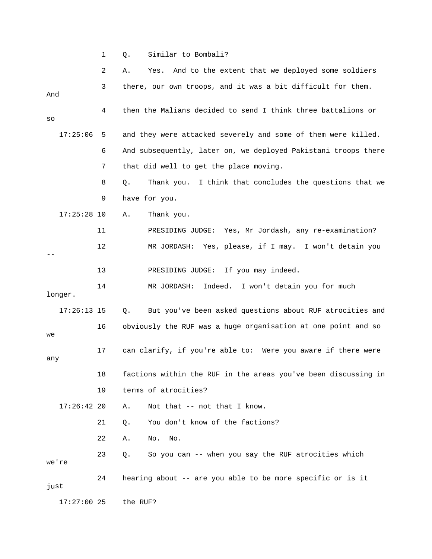1 Q. Similar to Bombali?

|               | 2  | And to the extent that we deployed some soldiers<br>Yes.<br>Α. |
|---------------|----|----------------------------------------------------------------|
| And           | 3  | there, our own troops, and it was a bit difficult for them.    |
| SO            | 4  | then the Malians decided to send I think three battalions or   |
| 17:25:06      | 5  | and they were attacked severely and some of them were killed.  |
|               | 6  | And subsequently, later on, we deployed Pakistani troops there |
|               | 7  | that did well to get the place moving.                         |
|               | 8  | Thank you. I think that concludes the questions that we<br>Q.  |
|               | 9  | have for you.                                                  |
| $17:25:28$ 10 |    | Thank you.<br>Α.                                               |
|               | 11 | PRESIDING JUDGE: Yes, Mr Jordash, any re-examination?          |
|               | 12 | MR JORDASH: Yes, please, if I may. I won't detain you          |
|               | 13 | PRESIDING JUDGE: If you may indeed.                            |
| longer.       | 14 | Indeed. I won't detain you for much<br>MR JORDASH:             |
| $17:26:13$ 15 |    | Q.<br>But you've been asked questions about RUF atrocities and |
| we            | 16 | obviously the RUF was a huge organisation at one point and so  |
| any           | 17 | can clarify, if you're able to: Were you aware if there were   |
|               | 18 | factions within the RUF in the areas you've been discussing in |
|               | 19 | terms of atrocities?                                           |
| $17:26:42$ 20 |    | Not that -- not that I know.<br>Α.                             |
|               | 21 | You don't know of the factions?<br>Q.                          |
|               | 22 | Α.<br>No.<br>No.                                               |
| we're         | 23 | So you can -- when you say the RUF atrocities which<br>О.      |
| just          | 24 | hearing about -- are you able to be more specific or is it     |
| $17:27:00$ 25 |    | the RUF?                                                       |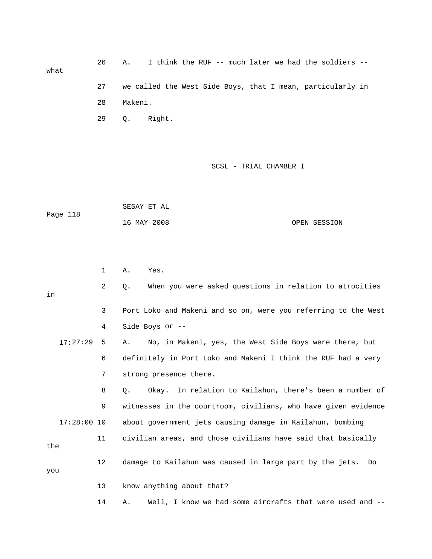26 A. I think the RUF -- much later we had the soldiers - what 27 we called the West Side Boys, that I mean, particularly in 28 Makeni. 29 Q. Right.

|          | SESAY ET AL |              |
|----------|-------------|--------------|
| Page 118 |             |              |
|          | 16 MAY 2008 | OPEN SESSION |

|     |               | $\mathbf{1}$    | Yes.<br>Α.                                                     |
|-----|---------------|-----------------|----------------------------------------------------------------|
| in  |               | $\overline{2}$  | When you were asked questions in relation to atrocities<br>Q.  |
|     |               | 3               | Port Loko and Makeni and so on, were you referring to the West |
|     |               | 4               | Side Boys or --                                                |
|     | 17:27:29      | 5               | No, in Makeni, yes, the West Side Boys were there, but<br>Α.   |
|     |               | 6               | definitely in Port Loko and Makeni I think the RUF had a very  |
|     |               | 7               | strong presence there.                                         |
|     |               | 8               | Okay. In relation to Kailahun, there's been a number of<br>О.  |
|     |               | 9               | witnesses in the courtroom, civilians, who have given evidence |
|     | $17:28:00$ 10 |                 | about government jets causing damage in Kailahun, bombing      |
| the |               | 11              | civilian areas, and those civilians have said that basically   |
| you |               | 12 <sup>°</sup> | damage to Kailahun was caused in large part by the jets.<br>Do |
|     |               | 13              | know anything about that?                                      |
|     |               | 14              | Well, I know we had some aircrafts that were used and --<br>Α. |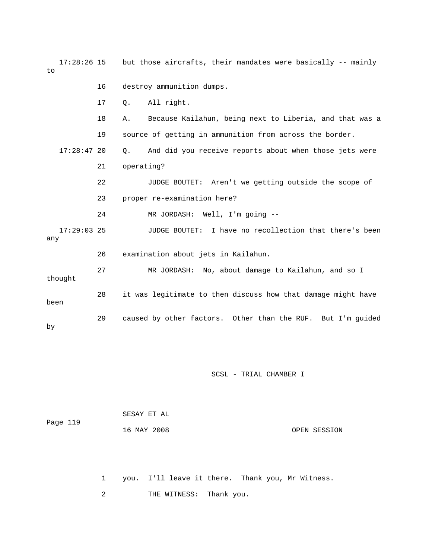| 17:28:26 15<br>to    |    | but those aircrafts, their mandates were basically -- mainly        |
|----------------------|----|---------------------------------------------------------------------|
|                      | 16 | destroy ammunition dumps.                                           |
|                      | 17 | All right.<br>Q.                                                    |
|                      | 18 | Because Kailahun, being next to Liberia, and that was a<br>Α.       |
|                      | 19 | source of getting in ammunition from across the border.             |
| $17:28:47$ 20        |    | And did you receive reports about when those jets were<br>$\circ$ . |
|                      | 21 | operating?                                                          |
|                      | 22 | JUDGE BOUTET: Aren't we getting outside the scope of                |
|                      | 23 | proper re-examination here?                                         |
|                      | 24 | MR JORDASH: Well, I'm going --                                      |
| $17:29:03$ 25<br>any |    | JUDGE BOUTET: I have no recollection that there's been              |
|                      | 26 | examination about jets in Kailahun.                                 |
| thought              | 27 | MR JORDASH: No, about damage to Kailahun, and so I                  |
| been                 | 28 | it was legitimate to then discuss how that damage might have        |
| by                   | 29 | caused by other factors. Other than the RUF. But I'm guided         |

SCSL - TRIAL CHAMBER I

| OPEN SESSION |
|--------------|
|              |
|              |
|              |

1 you. I'll leave it there. Thank you, Mr Witness.

2 THE WITNESS: Thank you.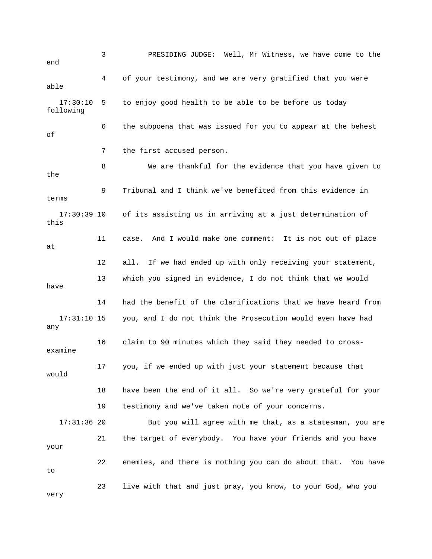3 PRESIDING JUDGE: Well, Mr Witness, we have come to the end 4 of your testimony, and we are very gratified that you were 10 5 to enjoy good health to be able to be before us today 6 the subpoena that was issued for you to appear at the behest 7 the first accused person. 8 We are thankful for the evidence that you have given to the 9 Tribunal and I think we've benefited from this evidence in 17:30:39 10 of its assisting us in arriving at a just determination of this 12 all. If we had ended up with only receiving your statement, 13 which you signed in evidence, I do not think that we would have 14 had the benefit of the clarifications that we have heard from 17:31:10 15 you, and I do not think the Prosecution would even have had 16 claim to 90 minutes which they said they needed to crossexamine 17 you, if we ended up with just your statement because that 18 have been the end of it all. So we're very grateful for your 17:31:36 20 But you will agree with me that, as a statesman, you are 21 the target of everybody. You have your friends and you have 22 enemies, and there is nothing you can do about that. You have 23 live with that and just pray, you know, to your God, who you able 17:30: following of terms 11 case. And I would make one comment: It is not out of place at any would 19 testimony and we've taken note of your concerns. your to very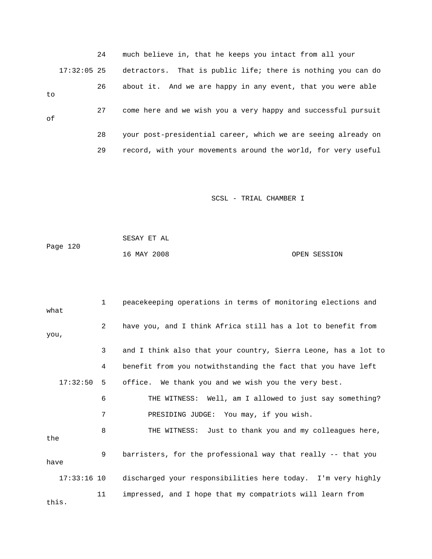|    |               | 24 | much believe in, that he keeps you intact from all your       |  |
|----|---------------|----|---------------------------------------------------------------|--|
|    | $17:32:05$ 25 |    | detractors. That is public life; there is nothing you can do  |  |
| to |               | 26 | about it. And we are happy in any event, that you were able   |  |
| of |               | 27 | come here and we wish you a very happy and successful pursuit |  |
|    |               | 28 | your post-presidential career, which we are seeing already on |  |
|    |               | 29 | record, with your movements around the world, for very useful |  |

|          | SESAY ET AL |              |
|----------|-------------|--------------|
| Page 120 |             |              |
|          | 16 MAY 2008 | OPEN SESSION |

| what          | $\mathbf{1}$   | peacekeeping operations in terms of monitoring elections and   |
|---------------|----------------|----------------------------------------------------------------|
| you,          | $\overline{a}$ | have you, and I think Africa still has a lot to benefit from   |
|               | 3              | and I think also that your country, Sierra Leone, has a lot to |
|               | 4              | benefit from you notwithstanding the fact that you have left   |
| 17:32:50      | 5              | office. We thank you and we wish you the very best.            |
|               | 6              | THE WITNESS: Well, am I allowed to just say something?         |
|               | 7              | PRESIDING JUDGE: You may, if you wish.                         |
| the           | 8              | THE WITNESS: Just to thank you and my colleagues here,         |
| have          | 9              | barristers, for the professional way that really -- that you   |
| $17:33:16$ 10 |                | discharged your responsibilities here today. I'm very highly   |
| this.         | 11             | impressed, and I hope that my compatriots will learn from      |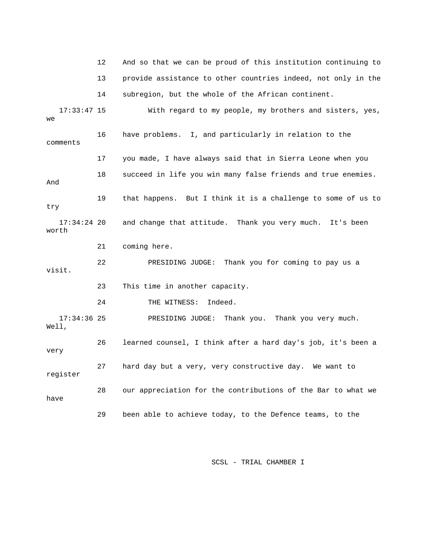12 And so that we can be proud of this institution continuing to 13 provide assistance to other countries indeed, not only in the 14 subregion, but the whole of the African continent. 17:33:47 15 With regard to my people, my brothers and sisters, yes, 16 have problems. I, and particularly in relation to the comments 17 you made, I have always said that in Sierra Leone when you 19 that happens. But I think it is a challenge to some of us to 21 coming here. 22 PRESIDING JUDGE: Thank you for coming to pay us a visit. 23 This time in another capacity. 27 hard day but a very, very constructive day. We want to we 18 succeed in life you win many false friends and true enemies. And try 17:34:24 20 and change that attitude. Thank you very much. It's been worth 24 THE WITNESS: Indeed. 17:34:36 25 PRESIDING JUDGE: Thank you. Thank you very much. Well, 26 learned counsel, I think after a hard day's job, it's been a very register 28 our appreciation for the contributions of the Bar to what we have 29 been able to achieve today, to the Defence teams, to the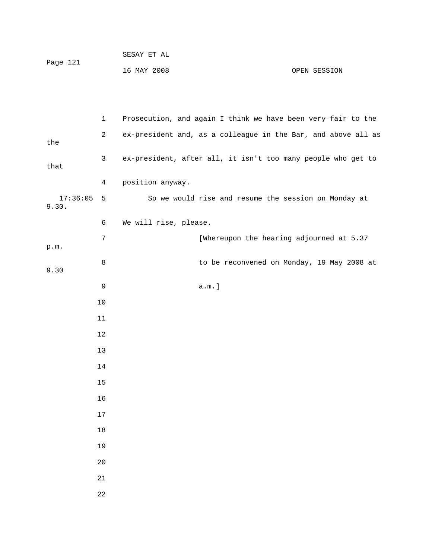| Page 121 | SESAY ET AL |              |
|----------|-------------|--------------|
|          | 16 MAY 2008 | OPEN SESSION |

|                   | $\mathbf 1$    | Prosecution, and again I think we have been very fair to the  |
|-------------------|----------------|---------------------------------------------------------------|
| the               | $\overline{c}$ | ex-president and, as a colleague in the Bar, and above all as |
| that              | 3              | ex-president, after all, it isn't too many people who get to  |
|                   | 4              | position anyway.                                              |
| 17:36:05<br>9.30. | 5              | So we would rise and resume the session on Monday at          |
|                   | 6              | We will rise, please.                                         |
| $\texttt{p.m.}$   | 7              | [Whereupon the hearing adjourned at 5.37                      |
| 9.30              | $\,8\,$        | to be reconvened on Monday, 19 May 2008 at                    |
|                   | 9              | a.m.]                                                         |
|                   | 10             |                                                               |
|                   | 11             |                                                               |
|                   | $12$           |                                                               |
|                   | $13$           |                                                               |
|                   | 14             |                                                               |
|                   | 15             |                                                               |
|                   | 16             |                                                               |
|                   | $17\,$         |                                                               |
|                   | 18             |                                                               |
|                   | 19             |                                                               |
|                   | $20$           |                                                               |
|                   | 21             |                                                               |
|                   | 22             |                                                               |